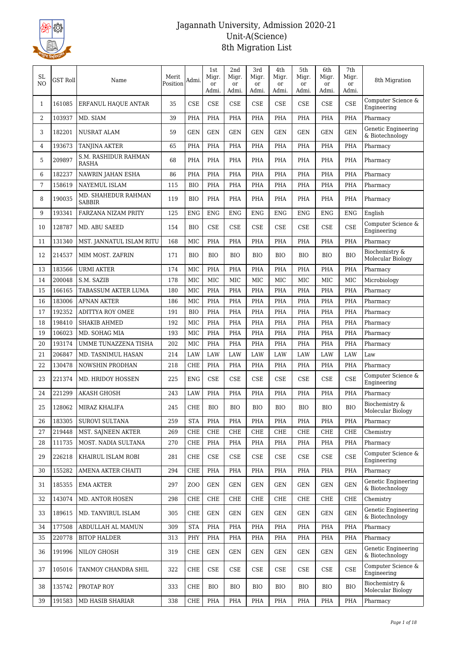

| SL.<br>N <sub>O</sub> | <b>GST Roll</b> | Name                                 | Merit<br>Position | Admi.          | 1st<br>Migr.<br><sub>or</sub> | 2nd<br>Migr.<br><sub>or</sub> | 3rd<br>Migr.<br>or  | 4th<br>Migr.<br><sub>or</sub> | 5th<br>Migr.<br><sub>or</sub> | 6th<br>Migr.<br><sub>or</sub> | $7\mathrm{th}$<br>Migr.<br>or | 8th Migration                          |
|-----------------------|-----------------|--------------------------------------|-------------------|----------------|-------------------------------|-------------------------------|---------------------|-------------------------------|-------------------------------|-------------------------------|-------------------------------|----------------------------------------|
| $\mathbf{1}$          | 161085          | ERFANUL HAQUE ANTAR                  | 35                | <b>CSE</b>     | Admi.<br><b>CSE</b>           | Admi.<br><b>CSE</b>           | Admi.<br><b>CSE</b> | Admi.<br><b>CSE</b>           | Admi.<br><b>CSE</b>           | Admi.<br><b>CSE</b>           | Admi.<br><b>CSE</b>           | Computer Science &<br>Engineering      |
| 2                     | 103937          | MD. SIAM                             | 39                | PHA            | PHA                           | PHA                           | PHA                 | PHA                           | <b>PHA</b>                    | PHA                           | <b>PHA</b>                    | Pharmacy                               |
| 3                     | 182201          | <b>NUSRAT ALAM</b>                   | 59                | <b>GEN</b>     | <b>GEN</b>                    | <b>GEN</b>                    | <b>GEN</b>          | <b>GEN</b>                    | <b>GEN</b>                    | <b>GEN</b>                    | <b>GEN</b>                    | Genetic Engineering<br>& Biotechnology |
| 4                     | 193673          | <b>TANJINA AKTER</b>                 | 65                | PHA            | PHA                           | PHA                           | PHA                 | PHA                           | PHA                           | PHA                           | PHA                           | Pharmacy                               |
| 5                     | 209897          | S.M. RASHIDUR RAHMAN<br><b>RASHA</b> | 68                | <b>PHA</b>     | PHA                           | <b>PHA</b>                    | PHA                 | <b>PHA</b>                    | <b>PHA</b>                    | PHA                           | <b>PHA</b>                    | Pharmacy                               |
| 6                     | 182237          | NAWRIN JAHAN ESHA                    | 86                | PHA            | PHA                           | PHA                           | PHA                 | PHA                           | <b>PHA</b>                    | PHA                           | <b>PHA</b>                    | Pharmacy                               |
| 7                     | 158619          | <b>NAYEMUL ISLAM</b>                 | 115               | <b>BIO</b>     | <b>PHA</b>                    | <b>PHA</b>                    | PHA                 | <b>PHA</b>                    | <b>PHA</b>                    | PHA                           | <b>PHA</b>                    | Pharmacy                               |
| 8                     | 190035          | MD. SHAHEDUR RAHMAN<br><b>SABBIR</b> | 119               | <b>BIO</b>     | PHA                           | PHA                           | <b>PHA</b>          | <b>PHA</b>                    | <b>PHA</b>                    | PHA                           | <b>PHA</b>                    | Pharmacy                               |
| 9                     | 193341          | <b>FARZANA NIZAM PRITY</b>           | 125               | <b>ENG</b>     | <b>ENG</b>                    | <b>ENG</b>                    | <b>ENG</b>          | <b>ENG</b>                    | <b>ENG</b>                    | <b>ENG</b>                    | <b>ENG</b>                    | English                                |
| 10                    | 128787          | MD. ABU SAEED                        | 154               | <b>BIO</b>     | <b>CSE</b>                    | <b>CSE</b>                    | <b>CSE</b>          | <b>CSE</b>                    | <b>CSE</b>                    | <b>CSE</b>                    | <b>CSE</b>                    | Computer Science &<br>Engineering      |
| 11                    | 131340          | MST. JANNATUL ISLAM RITU             | 168               | MIC            | PHA                           | <b>PHA</b>                    | <b>PHA</b>          | PHA                           | <b>PHA</b>                    | PHA                           | <b>PHA</b>                    | Pharmacy                               |
| 12                    | 214537          | MIM MOST. ZAFRIN                     | 171               | <b>BIO</b>     | <b>BIO</b>                    | <b>BIO</b>                    | BIO                 | <b>BIO</b>                    | <b>BIO</b>                    | <b>BIO</b>                    | <b>BIO</b>                    | Biochemistry &<br>Molecular Biology    |
| 13                    | 183566          | <b>URMI AKTER</b>                    | 174               | MIC            | PHA                           | <b>PHA</b>                    | <b>PHA</b>          | PHA                           | <b>PHA</b>                    | PHA                           | <b>PHA</b>                    | Pharmacy                               |
| 14                    | 200048          | S.M. SAZIB                           | 178               | MIC            | MIC                           | MIC                           | MIC                 | <b>MIC</b>                    | <b>MIC</b>                    | <b>MIC</b>                    | MIC                           | Microbiology                           |
| 15                    | 166165          | TABASSUM AKTER LUMA                  | 180               | MIC            | PHA                           | <b>PHA</b>                    | <b>PHA</b>          | PHA                           | <b>PHA</b>                    | PHA                           | <b>PHA</b>                    | Pharmacy                               |
| 16                    | 183006          | <b>AFNAN AKTER</b>                   | 186               | MIC            | PHA                           | <b>PHA</b>                    | <b>PHA</b>          | PHA                           | <b>PHA</b>                    | <b>PHA</b>                    | <b>PHA</b>                    | Pharmacy                               |
| 17                    | 192352          | <b>ADITTYA ROY OMEE</b>              | 191               | <b>BIO</b>     | <b>PHA</b>                    | <b>PHA</b>                    | PHA                 | <b>PHA</b>                    | <b>PHA</b>                    | PHA                           | <b>PHA</b>                    | Pharmacy                               |
| 18                    | 198410          | <b>SHAKIB AHMED</b>                  | 192               | MIC            | PHA                           | <b>PHA</b>                    | PHA                 | PHA                           | <b>PHA</b>                    | PHA                           | <b>PHA</b>                    | Pharmacy                               |
| 19                    | 106023          | MD. SOHAG MIA                        | 193               | MIC            | PHA                           | PHA                           | <b>PHA</b>          | PHA                           | PHA                           | PHA                           | PHA                           | Pharmacy                               |
| 20                    | 193174          | UMME TUNAZZENA TISHA                 | 202               | MIC            | <b>PHA</b>                    | <b>PHA</b>                    | PHA                 | PHA                           | PHA                           | PHA                           | <b>PHA</b>                    | Pharmacy                               |
| 21                    | 206847          | MD. TASNIMUL HASAN                   | 214               | LAW            | <b>LAW</b>                    | LAW                           | LAW                 | LAW                           | LAW                           | LAW                           | LAW                           | Law                                    |
| 22                    | 130478          | NOWSHIN PRODHAN                      | 218               | CHE            | <b>PHA</b>                    | <b>PHA</b>                    | <b>PHA</b>          | <b>PHA</b>                    | <b>PHA</b>                    | PHA                           | <b>PHA</b>                    | Pharmacy                               |
| 23                    | 221374          | MD. HRIDOY HOSSEN                    | 225               | <b>ENG</b>     | CSE                           | <b>CSE</b>                    | <b>CSE</b>          | <b>CSE</b>                    | <b>CSE</b>                    | <b>CSE</b>                    | <b>CSE</b>                    | Computer Science &<br>Engineering      |
| 24                    | 221299          | <b>AKASH GHOSH</b>                   | 243               | LAW            | <b>PHA</b>                    | PHA                           | <b>PHA</b>          | PHA                           | <b>PHA</b>                    | PHA                           | <b>PHA</b>                    | Pharmacy                               |
| 25                    | 128062          | MIRAZ KHALIFA                        | 245               | CHE            | <b>BIO</b>                    | <b>BIO</b>                    | <b>BIO</b>          | <b>BIO</b>                    | <b>BIO</b>                    | <b>BIO</b>                    | <b>BIO</b>                    | Biochemistry &<br>Molecular Biology    |
| 26                    | 183305          | SUROVI SULTANA                       | 259               | <b>STA</b>     | <b>PHA</b>                    | <b>PHA</b>                    | PHA                 | <b>PHA</b>                    | <b>PHA</b>                    | PHA                           | <b>PHA</b>                    | Pharmacy                               |
| 27                    | 219448          | MST. SAJNEEN AKTER                   | 269               | CHE            | CHE                           | CHE                           | CHE                 | <b>CHE</b>                    | <b>CHE</b>                    | <b>CHE</b>                    | <b>CHE</b>                    | Chemistry                              |
| 28                    | 111735          | MOST. NADIA SULTANA                  | 270               | CHE            | PHA                           | <b>PHA</b>                    | PHA                 | PHA                           | PHA                           | PHA                           | <b>PHA</b>                    | Pharmacy                               |
| 29                    | 226218          | KHAIRUL ISLAM ROBI                   | 281               | CHE            | CSE                           | <b>CSE</b>                    | CSE                 | CSE                           | CSE                           | CSE                           | CSE                           | Computer Science &<br>Engineering      |
| 30                    | 155282          | AMENA AKTER CHAITI                   | 294               | CHE            | PHA                           | <b>PHA</b>                    | PHA                 | PHA                           | <b>PHA</b>                    | PHA                           | <b>PHA</b>                    | Pharmacy                               |
| 31                    | 185355          | <b>EMA AKTER</b>                     | 297               | Z <sub>0</sub> | <b>GEN</b>                    | <b>GEN</b>                    | <b>GEN</b>          | GEN                           | <b>GEN</b>                    | <b>GEN</b>                    | <b>GEN</b>                    | Genetic Engineering<br>& Biotechnology |
| 32                    | 143074          | MD. ANTOR HOSEN                      | 298               | CHE            | <b>CHE</b>                    | CHE                           | CHE                 | CHE                           | <b>CHE</b>                    | CHE                           | <b>CHE</b>                    | Chemistry                              |
| 33                    | 189615          | MD. TANVIRUL ISLAM                   | 305               | CHE            | <b>GEN</b>                    | <b>GEN</b>                    | <b>GEN</b>          | GEN                           | <b>GEN</b>                    | <b>GEN</b>                    | <b>GEN</b>                    | Genetic Engineering<br>& Biotechnology |
| 34                    | 177508          | ABDULLAH AL MAMUN                    | 309               | <b>STA</b>     | <b>PHA</b>                    | PHA                           | PHA                 | <b>PHA</b>                    | <b>PHA</b>                    | PHA                           | <b>PHA</b>                    | Pharmacy                               |
| 35                    | 220778          | <b>BITOP HALDER</b>                  | 313               | PHY            | PHA                           | PHA                           | PHA                 | <b>PHA</b>                    | PHA                           | PHA                           | PHA                           | Pharmacy                               |
| 36                    | 191996          | NILOY GHOSH                          | 319               | CHE            | <b>GEN</b>                    | GEN                           | <b>GEN</b>          | GEN                           | <b>GEN</b>                    | <b>GEN</b>                    | GEN                           | Genetic Engineering<br>& Biotechnology |
| 37                    | 105016          | TANMOY CHANDRA SHIL                  | 322               | CHE            | CSE                           | <b>CSE</b>                    | CSE                 | CSE                           | CSE                           | CSE                           | <b>CSE</b>                    | Computer Science &<br>Engineering      |
| 38                    | 135742          | PROTAP ROY                           | 333               | CHE            | <b>BIO</b>                    | <b>BIO</b>                    | BIO                 | BIO                           | <b>BIO</b>                    | <b>BIO</b>                    | <b>BIO</b>                    | Biochemistry &<br>Molecular Biology    |
| 39                    | 191583          | MD HASIB SHARIAR                     | 338               | CHE            | PHA                           | PHA                           | PHA                 | PHA                           | <b>PHA</b>                    | PHA                           | PHA                           | Pharmacy                               |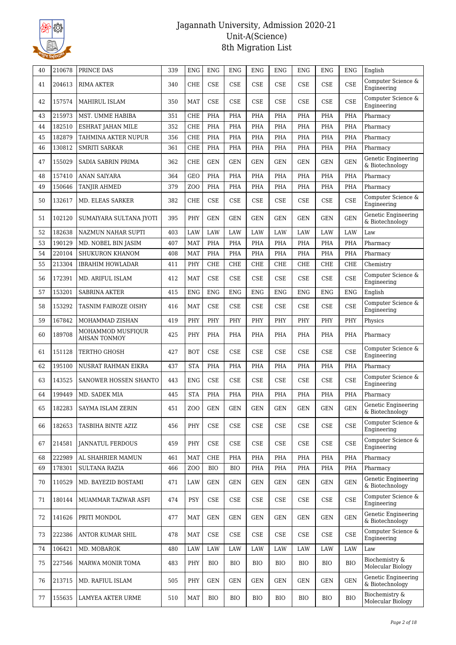

| 40 | 210678 | PRINCE DAS                               | 339 | <b>ENG</b>      | <b>ENG</b> | <b>ENG</b> | <b>ENG</b>           | <b>ENG</b> | <b>ENG</b> | <b>ENG</b>                  | <b>ENG</b> | English                                |
|----|--------|------------------------------------------|-----|-----------------|------------|------------|----------------------|------------|------------|-----------------------------|------------|----------------------------------------|
| 41 | 204613 | <b>RIMA AKTER</b>                        | 340 | <b>CHE</b>      | <b>CSE</b> | <b>CSE</b> | <b>CSE</b>           | <b>CSE</b> | <b>CSE</b> | <b>CSE</b>                  | <b>CSE</b> | Computer Science &<br>Engineering      |
| 42 | 157574 | MAHIRUL ISLAM                            | 350 | <b>MAT</b>      | <b>CSE</b> | <b>CSE</b> | <b>CSE</b>           | <b>CSE</b> | <b>CSE</b> | <b>CSE</b>                  | <b>CSE</b> | Computer Science &<br>Engineering      |
| 43 | 215973 | MST. UMME HABIBA                         | 351 | CHE             | PHA        | <b>PHA</b> | <b>PHA</b>           | <b>PHA</b> | <b>PHA</b> | PHA                         | PHA        | Pharmacy                               |
| 44 | 182510 | <b>ESHRAT JAHAN MILE</b>                 | 352 | <b>CHE</b>      | <b>PHA</b> | <b>PHA</b> | <b>PHA</b>           | <b>PHA</b> | <b>PHA</b> | PHA                         | PHA        | Pharmacy                               |
| 45 | 182879 | TAHMINA AKTER NUPUR                      | 356 | <b>CHE</b>      | <b>PHA</b> | PHA        | PHA                  | PHA        | PHA        | PHA                         | PHA        | Pharmacy                               |
| 46 | 130812 | <b>SMRITI SARKAR</b>                     | 361 | <b>CHE</b>      | PHA        | PHA        | PHA                  | <b>PHA</b> | <b>PHA</b> | PHA                         | <b>PHA</b> | Pharmacy                               |
| 47 | 155029 | SADIA SABRIN PRIMA                       | 362 | CHE             | <b>GEN</b> | <b>GEN</b> | <b>GEN</b>           | <b>GEN</b> | <b>GEN</b> | <b>GEN</b>                  | <b>GEN</b> | Genetic Engineering<br>& Biotechnology |
| 48 | 157410 | <b>ANAN SAIYARA</b>                      | 364 | <b>GEO</b>      | <b>PHA</b> | PHA        | <b>PHA</b>           | <b>PHA</b> | <b>PHA</b> | <b>PHA</b>                  | <b>PHA</b> | Pharmacy                               |
| 49 | 150646 | TANJIR AHMED                             | 379 | ZO <sub>O</sub> | <b>PHA</b> | <b>PHA</b> | PHA                  | PHA        | PHA        | PHA                         | PHA        | Pharmacy                               |
| 50 | 132617 | MD. ELEAS SARKER                         | 382 | <b>CHE</b>      | <b>CSE</b> | <b>CSE</b> | <b>CSE</b>           | CSE        | <b>CSE</b> | CSE                         | <b>CSE</b> | Computer Science &<br>Engineering      |
| 51 | 102120 | SUMAIYARA SULTANA JYOTI                  | 395 | PHY             | <b>GEN</b> | <b>GEN</b> | <b>GEN</b>           | <b>GEN</b> | <b>GEN</b> | <b>GEN</b>                  | <b>GEN</b> | Genetic Engineering<br>& Biotechnology |
| 52 | 182638 | NAZMUN NAHAR SUPTI                       | 403 | LAW             | <b>LAW</b> | LAW        | <b>LAW</b>           | LAW        | LAW        | LAW                         | LAW        | Law                                    |
| 53 | 190129 | MD. NOBEL BIN JASIM                      | 407 | <b>MAT</b>      | <b>PHA</b> | PHA        | PHA                  | PHA        | PHA        | PHA                         | PHA        | Pharmacy                               |
| 54 | 220104 | <b>SHUKURON KHANOM</b>                   | 408 | <b>MAT</b>      | PHA        | <b>PHA</b> | PHA                  | <b>PHA</b> | <b>PHA</b> | <b>PHA</b>                  | <b>PHA</b> | Pharmacy                               |
| 55 | 213304 | <b>IBRAHIM HOWLADAR</b>                  | 411 | PHY             | <b>CHE</b> | <b>CHE</b> | <b>CHE</b>           | <b>CHE</b> | <b>CHE</b> | <b>CHE</b>                  | <b>CHE</b> | Chemistry                              |
| 56 | 172391 | MD. ARIFUL ISLAM                         | 412 | <b>MAT</b>      | <b>CSE</b> | <b>CSE</b> | <b>CSE</b>           | <b>CSE</b> | <b>CSE</b> | <b>CSE</b>                  | <b>CSE</b> | Computer Science &<br>Engineering      |
| 57 | 153201 | <b>SABRINA AKTER</b>                     | 415 | <b>ENG</b>      | <b>ENG</b> | <b>ENG</b> | <b>ENG</b>           | <b>ENG</b> | <b>ENG</b> | <b>ENG</b>                  | <b>ENG</b> | English                                |
| 58 | 153292 | TASNIM FAIROZE OISHY                     | 416 | <b>MAT</b>      | <b>CSE</b> | <b>CSE</b> | <b>CSE</b>           | <b>CSE</b> | <b>CSE</b> | <b>CSE</b>                  | <b>CSE</b> | Computer Science &<br>Engineering      |
| 59 | 167842 | MOHAMMAD ZISHAN                          | 419 | PHY             | PHY        | PHY        | PHY                  | PHY        | PHY        | PHY                         | PHY        | Physics                                |
| 60 | 189708 | MOHAMMOD MUSFIQUR<br><b>AHSAN TONMOY</b> | 425 | PHY             | <b>PHA</b> | PHA        | PHA                  | PHA        | <b>PHA</b> | PHA                         | <b>PHA</b> | Pharmacy                               |
| 61 | 151128 | TERTHO GHOSH                             | 427 | <b>BOT</b>      | <b>CSE</b> | <b>CSE</b> | <b>CSE</b>           | <b>CSE</b> | <b>CSE</b> | <b>CSE</b>                  | <b>CSE</b> | Computer Science &<br>Engineering      |
| 62 | 195100 | NUSRAT RAHMAN EIKRA                      | 437 | <b>STA</b>      | PHA        | PHA        | <b>PHA</b>           | <b>PHA</b> | <b>PHA</b> | <b>PHA</b>                  | PHA        | Pharmacy                               |
| 63 | 143525 | SANOWER HOSSEN SHANTO                    | 443 | <b>ENG</b>      | <b>CSE</b> | <b>CSE</b> | <b>CSE</b>           | <b>CSE</b> | <b>CSE</b> | CSE                         | <b>CSE</b> | Computer Science &<br>Engineering      |
| 64 | 199449 | MD. SADEK MIA                            | 445 | <b>STA</b>      | <b>PHA</b> | PHA        | PHA                  | <b>PHA</b> | <b>PHA</b> | <b>PHA</b>                  | <b>PHA</b> | Pharmacy                               |
| 65 | 182283 | SAYMA ISLAM ZERIN                        | 451 | ZOO             | GEN        | GEN        | $\operatorname{GEN}$ | <b>GEN</b> | GEN        | GEN                         | <b>GEN</b> | Genetic Engineering<br>& Biotechnology |
| 66 | 182653 | TASBIHA BINTE AZIZ                       | 456 | PHY             | CSE        | <b>CSE</b> | CSE                  | <b>CSE</b> | <b>CSE</b> | CSE                         | <b>CSE</b> | Computer Science &<br>Engineering      |
| 67 | 214581 | JANNATUL FERDOUS                         | 459 | PHY             | CSE        | <b>CSE</b> | CSE                  | <b>CSE</b> | CSE        | CSE                         | <b>CSE</b> | Computer Science &<br>Engineering      |
| 68 | 222989 | AL SHAHRIER MAMUN                        | 461 | <b>MAT</b>      | <b>CHE</b> | <b>PHA</b> | PHA                  | PHA        | PHA        | PHA                         | PHA        | Pharmacy                               |
| 69 | 178301 | <b>SULTANA RAZIA</b>                     | 466 | ZO <sub>O</sub> | <b>BIO</b> | <b>BIO</b> | PHA                  | PHA        | <b>PHA</b> | PHA                         | PHA        | Pharmacy                               |
| 70 | 110529 | MD. BAYEZID BOSTAMI                      | 471 | LAW             | <b>GEN</b> | <b>GEN</b> | <b>GEN</b>           | GEN        | <b>GEN</b> | <b>GEN</b>                  | <b>GEN</b> | Genetic Engineering<br>& Biotechnology |
| 71 | 180144 | MUAMMAR TAZWAR ASFI                      | 474 | <b>PSY</b>      | CSE        | CSE        | CSE                  | CSE        | <b>CSE</b> | $\ensuremath{\mathsf{CSE}}$ | <b>CSE</b> | Computer Science &<br>Engineering      |
| 72 | 141626 | PRITI MONDOL                             | 477 | <b>MAT</b>      | <b>GEN</b> | <b>GEN</b> | <b>GEN</b>           | <b>GEN</b> | <b>GEN</b> | <b>GEN</b>                  | <b>GEN</b> | Genetic Engineering<br>& Biotechnology |
| 73 | 222386 | ANTOR KUMAR SHIL                         | 478 | <b>MAT</b>      | CSE        | CSE        | CSE                  | <b>CSE</b> | CSE        | CSE                         | <b>CSE</b> | Computer Science &<br>Engineering      |
| 74 | 106421 | MD. MOBAROK                              | 480 | LAW             | LAW        | LAW        | LAW                  | LAW        | LAW        | LAW                         | LAW        | Law                                    |
| 75 | 227546 | MARWA MONIR TOMA                         | 483 | PHY             | <b>BIO</b> | <b>BIO</b> | <b>BIO</b>           | <b>BIO</b> | <b>BIO</b> | <b>BIO</b>                  | <b>BIO</b> | Biochemistry &<br>Molecular Biology    |
| 76 | 213715 | MD. RAFIUL ISLAM                         | 505 | PHY             | <b>GEN</b> | <b>GEN</b> | <b>GEN</b>           | <b>GEN</b> | <b>GEN</b> | <b>GEN</b>                  | <b>GEN</b> | Genetic Engineering<br>& Biotechnology |
| 77 | 155635 | LAMYEA AKTER URME                        | 510 | <b>MAT</b>      | <b>BIO</b> | BIO        | <b>BIO</b>           | BIO        | <b>BIO</b> | <b>BIO</b>                  | <b>BIO</b> | Biochemistry &<br>Molecular Biology    |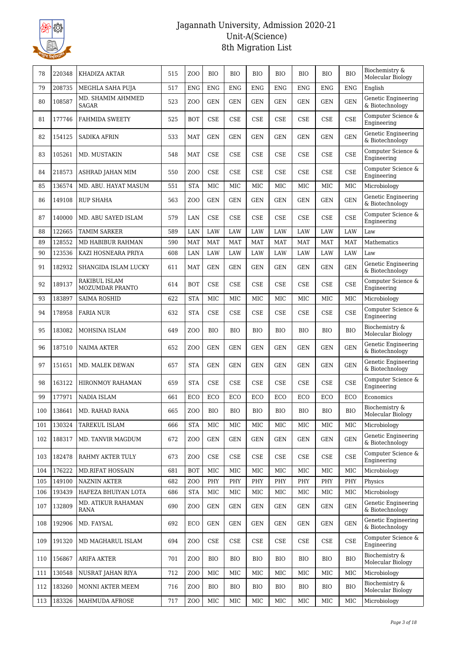

| 78  | 220348 | KHADIZA AKTAR                     | 515 | Z <sub>O</sub> O | <b>BIO</b>                  | <b>BIO</b> | <b>BIO</b> | <b>BIO</b> | <b>BIO</b> | <b>BIO</b>                  | <b>BIO</b> | Biochemistry &<br>Molecular Biology    |
|-----|--------|-----------------------------------|-----|------------------|-----------------------------|------------|------------|------------|------------|-----------------------------|------------|----------------------------------------|
| 79  | 208735 | MEGHLA SAHA PUJA                  | 517 | <b>ENG</b>       | <b>ENG</b>                  | <b>ENG</b> | <b>ENG</b> | <b>ENG</b> | <b>ENG</b> | <b>ENG</b>                  | <b>ENG</b> | English                                |
| 80  | 108587 | MD. SHAMIM AHMMED<br><b>SAGAR</b> | 523 | Z <sub>O</sub> O | <b>GEN</b>                  | <b>GEN</b> | <b>GEN</b> | <b>GEN</b> | <b>GEN</b> | <b>GEN</b>                  | <b>GEN</b> | Genetic Engineering<br>& Biotechnology |
| 81  | 177746 | <b>FAHMIDA SWEETY</b>             | 525 | <b>BOT</b>       | <b>CSE</b>                  | <b>CSE</b> | <b>CSE</b> | <b>CSE</b> | <b>CSE</b> | CSE                         | <b>CSE</b> | Computer Science &<br>Engineering      |
| 82  | 154125 | <b>SADIKA AFRIN</b>               | 533 | <b>MAT</b>       | <b>GEN</b>                  | <b>GEN</b> | <b>GEN</b> | <b>GEN</b> | <b>GEN</b> | <b>GEN</b>                  | <b>GEN</b> | Genetic Engineering<br>& Biotechnology |
| 83  | 105261 | MD. MUSTAKIN                      | 548 | <b>MAT</b>       | <b>CSE</b>                  | <b>CSE</b> | <b>CSE</b> | <b>CSE</b> | <b>CSE</b> | CSE                         | <b>CSE</b> | Computer Science &<br>Engineering      |
| 84  | 218573 | ASHRAD JAHAN MIM                  | 550 | Z <sub>O</sub> O | <b>CSE</b>                  | <b>CSE</b> | <b>CSE</b> | <b>CSE</b> | <b>CSE</b> | <b>CSE</b>                  | <b>CSE</b> | Computer Science &<br>Engineering      |
| 85  | 136574 | MD. ABU. HAYAT MASUM              | 551 | <b>STA</b>       | MIC                         | <b>MIC</b> | <b>MIC</b> | <b>MIC</b> | MIC        | MIC                         | MIC        | Microbiology                           |
| 86  | 149108 | <b>RUP SHAHA</b>                  | 563 | ZO <sub>O</sub>  | <b>GEN</b>                  | <b>GEN</b> | <b>GEN</b> | <b>GEN</b> | <b>GEN</b> | <b>GEN</b>                  | <b>GEN</b> | Genetic Engineering<br>& Biotechnology |
| 87  | 140000 | MD. ABU SAYED ISLAM               | 579 | LAN              | <b>CSE</b>                  | CSE        | CSE        | <b>CSE</b> | CSE        | CSE                         | <b>CSE</b> | Computer Science &<br>Engineering      |
| 88  | 122665 | <b>TAMIM SARKER</b>               | 589 | LAN              | <b>LAW</b>                  | LAW        | <b>LAW</b> | LAW        | LAW        | LAW                         | LAW        | Law                                    |
| 89  | 128552 | MD HABIBUR RAHMAN                 | 590 | <b>MAT</b>       | <b>MAT</b>                  | <b>MAT</b> | <b>MAT</b> | <b>MAT</b> | <b>MAT</b> | <b>MAT</b>                  | <b>MAT</b> | Mathematics                            |
| 90  | 123536 | KAZI HOSNEARA PRIYA               | 608 | LAN              | LAW                         | LAW        | LAW        | LAW        | LAW        | LAW                         | LAW        | Law                                    |
| 91  | 182932 | SHANGIDA ISLAM LUCKY              | 611 | <b>MAT</b>       | <b>GEN</b>                  | <b>GEN</b> | <b>GEN</b> | <b>GEN</b> | <b>GEN</b> | <b>GEN</b>                  | <b>GEN</b> | Genetic Engineering<br>& Biotechnology |
| 92  | 189137 | RAKIBUL ISLAM<br>MOZUMDAR PRANTO  | 614 | <b>BOT</b>       | <b>CSE</b>                  | <b>CSE</b> | <b>CSE</b> | <b>CSE</b> | <b>CSE</b> | CSE                         | <b>CSE</b> | Computer Science &<br>Engineering      |
| 93  | 183897 | <b>SAIMA ROSHID</b>               | 622 | <b>STA</b>       | MIC                         | <b>MIC</b> | MIC        | MIC        | MIC        | MIC                         | MIC        | Microbiology                           |
| 94  | 178958 | <b>FARIA NUR</b>                  | 632 | <b>STA</b>       | <b>CSE</b>                  | <b>CSE</b> | <b>CSE</b> | <b>CSE</b> | <b>CSE</b> | <b>CSE</b>                  | <b>CSE</b> | Computer Science &<br>Engineering      |
| 95  | 183082 | MOHSINA ISLAM                     | 649 | ZOO              | <b>BIO</b>                  | <b>BIO</b> | <b>BIO</b> | <b>BIO</b> | <b>BIO</b> | <b>BIO</b>                  | <b>BIO</b> | Biochemistry &<br>Molecular Biology    |
| 96  | 187510 | <b>NAIMA AKTER</b>                | 652 | ZO <sub>O</sub>  | <b>GEN</b>                  | <b>GEN</b> | <b>GEN</b> | <b>GEN</b> | <b>GEN</b> | <b>GEN</b>                  | <b>GEN</b> | Genetic Engineering<br>& Biotechnology |
| 97  | 151651 | MD. MALEK DEWAN                   | 657 | <b>STA</b>       | <b>GEN</b>                  | <b>GEN</b> | <b>GEN</b> | <b>GEN</b> | <b>GEN</b> | <b>GEN</b>                  | <b>GEN</b> | Genetic Engineering<br>& Biotechnology |
| 98  | 163122 | <b>HIRONMOY RAHAMAN</b>           | 659 | <b>STA</b>       | <b>CSE</b>                  | <b>CSE</b> | <b>CSE</b> | CSE        | <b>CSE</b> | <b>CSE</b>                  | <b>CSE</b> | Computer Science &<br>Engineering      |
| 99  | 177971 | NADIA ISLAM                       | 661 | ECO              | ECO                         | ECO        | ECO        | ECO        | ECO        | ECO                         | ECO        | Economics                              |
| 100 | 138641 | MD. RAHAD RANA                    | 665 | Z <sub>0</sub>   | <b>BIO</b>                  | <b>BIO</b> | <b>BIO</b> | <b>BIO</b> | <b>BIO</b> | <b>BIO</b>                  | <b>BIO</b> | Biochemistry &<br>Molecular Biology    |
| 101 | 130324 | TAREKUL ISLAM                     | 666 | <b>STA</b>       | MIC                         | <b>MIC</b> | MIC        | MIC        | MIC        | MIC                         | MIC        | Microbiology                           |
| 102 | 188317 | MD. TANVIR MAGDUM                 | 672 | Z <sub>0</sub>   | <b>GEN</b>                  | <b>GEN</b> | <b>GEN</b> | GEN        | <b>GEN</b> | <b>GEN</b>                  | <b>GEN</b> | Genetic Engineering<br>& Biotechnology |
| 103 | 182478 | RAHMY AKTER TULY                  | 673 | Z <sub>O</sub> O | CSE                         | CSE        | CSE        | <b>CSE</b> | CSE        | CSE                         | <b>CSE</b> | Computer Science &<br>Engineering      |
| 104 | 176222 | <b>MD.RIFAT HOSSAIN</b>           | 681 | <b>BOT</b>       | MIC                         | MIC        | MIC        | MIC        | MIC        | MIC                         | MIC        | Microbiology                           |
| 105 | 149100 | <b>NAZNIN AKTER</b>               | 682 | Z <sub>O</sub> O | PHY                         | PHY        | PHY        | PHY        | PHY        | PHY                         | PHY        | Physics                                |
| 106 | 193439 | HAFEZA BHUIYAN LOTA               | 686 | <b>STA</b>       | MIC                         | MIC        | MIC        | MIC        | MIC        | MIC                         | MIC        | Microbiology                           |
| 107 | 132809 | <b>MD. ATIKUR RAHAMAN</b><br>RANA | 690 | ZOO              | <b>GEN</b>                  | GEN        | <b>GEN</b> | <b>GEN</b> | GEN        | <b>GEN</b>                  | <b>GEN</b> | Genetic Engineering<br>& Biotechnology |
| 108 | 192906 | MD. FAYSAL                        | 692 | ECO              | <b>GEN</b>                  | <b>GEN</b> | <b>GEN</b> | <b>GEN</b> | <b>GEN</b> | <b>GEN</b>                  | <b>GEN</b> | Genetic Engineering<br>& Biotechnology |
| 109 | 191320 | MD MAGHARUL ISLAM                 | 694 | Z <sub>O</sub> O | $\ensuremath{\mathsf{CSE}}$ | CSE        | CSE        | <b>CSE</b> | <b>CSE</b> | $\ensuremath{\mathsf{CSE}}$ | <b>CSE</b> | Computer Science &<br>Engineering      |
| 110 | 156867 | <b>ARIFA AKTER</b>                | 701 | Z <sub>0</sub>   | <b>BIO</b>                  | <b>BIO</b> | <b>BIO</b> | <b>BIO</b> | <b>BIO</b> | <b>BIO</b>                  | <b>BIO</b> | Biochemistry &<br>Molecular Biology    |
| 111 | 130548 | NUSRAT JAHAN RIYA                 | 712 | Z <sub>O</sub> O | MIC                         | MIC        | MIC        | MIC        | MIC        | MIC                         | MIC        | Microbiology                           |
| 112 | 183260 | MONNI AKTER MEEM                  | 716 | Z <sub>O</sub> O | <b>BIO</b>                  | BIO        | <b>BIO</b> | <b>BIO</b> | <b>BIO</b> | <b>BIO</b>                  | <b>BIO</b> | Biochemistry &<br>Molecular Biology    |
| 113 | 183326 | MAHMUDA AFROSE                    | 717 | Z <sub>0</sub>   | <b>MIC</b>                  | MIC        | MIC        | MIC        | MIC        | MIC                         | MIC        | Microbiology                           |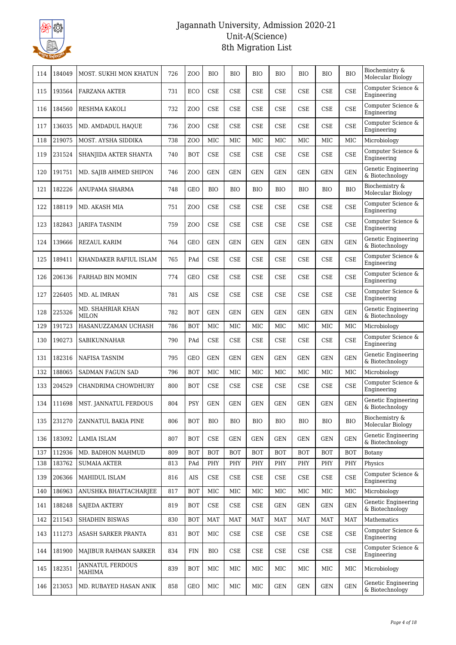

| 114 | 184049 | MOST. SUKHI MON KHATUN                   | 726 | Z <sub>O</sub> O | <b>BIO</b> | <b>BIO</b> | <b>BIO</b> | <b>BIO</b> | <b>BIO</b> | <b>BIO</b>           | <b>BIO</b> | Biochemistry &<br>Molecular Biology    |
|-----|--------|------------------------------------------|-----|------------------|------------|------------|------------|------------|------------|----------------------|------------|----------------------------------------|
| 115 | 193564 | <b>FARZANA AKTER</b>                     | 731 | ECO              | <b>CSE</b> | <b>CSE</b> | <b>CSE</b> | <b>CSE</b> | <b>CSE</b> | <b>CSE</b>           | <b>CSE</b> | Computer Science &<br>Engineering      |
| 116 | 184560 | RESHMA KAKOLI                            | 732 | Z <sub>0</sub>   | <b>CSE</b> | <b>CSE</b> | <b>CSE</b> | <b>CSE</b> | <b>CSE</b> | CSE                  | <b>CSE</b> | Computer Science &<br>Engineering      |
| 117 | 136035 | MD. AMDADUL HAQUE                        | 736 | ZO <sub>O</sub>  | <b>CSE</b> | <b>CSE</b> | CSE        | <b>CSE</b> | <b>CSE</b> | <b>CSE</b>           | <b>CSE</b> | Computer Science &<br>Engineering      |
| 118 | 219075 | MOST. AYSHA SIDDIKA                      | 738 | Z <sub>O</sub> O | MIC        | MIC        | <b>MIC</b> | <b>MIC</b> | <b>MIC</b> | <b>MIC</b>           | MIC        | Microbiology                           |
| 119 | 231524 | SHANJIDA AKTER SHANTA                    | 740 | <b>BOT</b>       | <b>CSE</b> | <b>CSE</b> | <b>CSE</b> | <b>CSE</b> | <b>CSE</b> | <b>CSE</b>           | <b>CSE</b> | Computer Science &<br>Engineering      |
| 120 | 191751 | MD. SAJIB AHMED SHIPON                   | 746 | Z <sub>0</sub>   | <b>GEN</b> | <b>GEN</b> | <b>GEN</b> | <b>GEN</b> | <b>GEN</b> | <b>GEN</b>           | <b>GEN</b> | Genetic Engineering<br>& Biotechnology |
| 121 | 182226 | ANUPAMA SHARMA                           | 748 | GEO              | <b>BIO</b> | <b>BIO</b> | <b>BIO</b> | <b>BIO</b> | <b>BIO</b> | <b>BIO</b>           | <b>BIO</b> | Biochemistry &<br>Molecular Biology    |
| 122 | 188119 | MD. AKASH MIA                            | 751 | ZO <sub>O</sub>  | <b>CSE</b> | <b>CSE</b> | <b>CSE</b> | <b>CSE</b> | <b>CSE</b> | <b>CSE</b>           | <b>CSE</b> | Computer Science &<br>Engineering      |
| 123 | 182843 | <b>JARIFA TASNIM</b>                     | 759 | Z <sub>O</sub> O | <b>CSE</b> | <b>CSE</b> | <b>CSE</b> | <b>CSE</b> | <b>CSE</b> | <b>CSE</b>           | <b>CSE</b> | Computer Science &<br>Engineering      |
| 124 | 139666 | <b>REZAUL KARIM</b>                      | 764 | <b>GEO</b>       | <b>GEN</b> | <b>GEN</b> | <b>GEN</b> | <b>GEN</b> | <b>GEN</b> | <b>GEN</b>           | <b>GEN</b> | Genetic Engineering<br>& Biotechnology |
| 125 | 189411 | KHANDAKER RAFIUL ISLAM                   | 765 | PAd              | <b>CSE</b> | <b>CSE</b> | <b>CSE</b> | <b>CSE</b> | <b>CSE</b> | <b>CSE</b>           | <b>CSE</b> | Computer Science &<br>Engineering      |
| 126 | 206136 | FARHAD BIN MOMIN                         | 774 | <b>GEO</b>       | <b>CSE</b> | <b>CSE</b> | <b>CSE</b> | CSE        | <b>CSE</b> | <b>CSE</b>           | <b>CSE</b> | Computer Science &<br>Engineering      |
| 127 | 226405 | MD. AL IMRAN                             | 781 | AIS              | <b>CSE</b> | <b>CSE</b> | <b>CSE</b> | <b>CSE</b> | <b>CSE</b> | <b>CSE</b>           | <b>CSE</b> | Computer Science &<br>Engineering      |
| 128 | 225326 | MD. SHAHRIAR KHAN<br><b>MILON</b>        | 782 | <b>BOT</b>       | <b>GEN</b> | <b>GEN</b> | <b>GEN</b> | <b>GEN</b> | <b>GEN</b> | <b>GEN</b>           | <b>GEN</b> | Genetic Engineering<br>& Biotechnology |
| 129 | 191723 | HASANUZZAMAN UCHASH                      | 786 | <b>BOT</b>       | MIC        | <b>MIC</b> | MIC        | <b>MIC</b> | <b>MIC</b> | <b>MIC</b>           | MIC        | Microbiology                           |
| 130 | 190273 | SABIKUNNAHAR                             | 790 | PAd              | CSE        | <b>CSE</b> | <b>CSE</b> | <b>CSE</b> | <b>CSE</b> | <b>CSE</b>           | <b>CSE</b> | Computer Science &<br>Engineering      |
| 131 | 182316 | NAFISA TASNIM                            | 795 | GEO              | <b>GEN</b> | <b>GEN</b> | <b>GEN</b> | <b>GEN</b> | <b>GEN</b> | <b>GEN</b>           | <b>GEN</b> | Genetic Engineering<br>& Biotechnology |
| 132 | 188065 | <b>SADMAN FAGUN SAD</b>                  | 796 | <b>BOT</b>       | MIC        | MIC        | MIC        | <b>MIC</b> | <b>MIC</b> | <b>MIC</b>           | MIC        | Microbiology                           |
| 133 | 204529 | CHANDRIMA CHOWDHURY                      | 800 | BOT              | CSE        | <b>CSE</b> | <b>CSE</b> | <b>CSE</b> | <b>CSE</b> | <b>CSE</b>           | <b>CSE</b> | Computer Science &<br>Engineering      |
| 134 | 111698 | MST. JANNATUL FERDOUS                    | 804 | <b>PSY</b>       | <b>GEN</b> | <b>GEN</b> | <b>GEN</b> | <b>GEN</b> | <b>GEN</b> | <b>GEN</b>           | <b>GEN</b> | Genetic Engineering<br>& Biotechnology |
| 135 | 231270 | ZANNATUL BAKIA PINE                      | 806 | <b>BOT</b>       | <b>BIO</b> | <b>BIO</b> | BIO        | <b>BIO</b> | <b>BIO</b> | <b>BIO</b>           | <b>BIO</b> | Biochemistry &<br>Molecular Biology    |
| 136 | 183092 | LAMIA ISLAM                              | 807 | <b>BOT</b>       | CSE        | <b>GEN</b> | <b>GEN</b> | GEN        | <b>GEN</b> | <b>GEN</b>           | <b>GEN</b> | Genetic Engineering<br>& Biotechnology |
| 137 | 112936 | MD. BADHON MAHMUD                        | 809 | <b>BOT</b>       | <b>BOT</b> | <b>BOT</b> | <b>BOT</b> | <b>BOT</b> | <b>BOT</b> | <b>BOT</b>           | <b>BOT</b> | Botany                                 |
| 138 | 183762 | <b>SUMAIA AKTER</b>                      | 813 | PAd              | PHY        | PHY        | PHY        | PHY        | PHY        | PHY                  | PHY        | Physics                                |
| 139 | 206366 | MAHIDUL ISLAM                            | 816 | AIS              | <b>CSE</b> | CSE        | CSE        | CSE        | <b>CSE</b> | CSE                  | <b>CSE</b> | Computer Science &<br>Engineering      |
| 140 | 186963 | ANUSHKA BHATTACHARJEE                    | 817 | <b>BOT</b>       | MIC        | MIC        | MIC        | MIC        | MIC        | MIC                  | MIC        | Microbiology                           |
| 141 | 188248 | SAJEDA AKTERY                            | 819 | BOT              | CSE        | CSE        | CSE        | GEN        | <b>GEN</b> | <b>GEN</b>           | <b>GEN</b> | Genetic Engineering<br>& Biotechnology |
| 142 | 211543 | SHADHIN BISWAS                           | 830 | <b>BOT</b>       | <b>MAT</b> | <b>MAT</b> | <b>MAT</b> | MAT        | MAT        | MAT                  | MAT        | Mathematics                            |
| 143 | 111273 | ASASH SARKER PRANTA                      | 831 | BOT              | MIC        | <b>CSE</b> | CSE        | CSE        | CSE        | CSE                  | CSE        | Computer Science &<br>Engineering      |
| 144 | 181900 | MAJIBUR RAHMAN SARKER                    | 834 | FIN              | <b>BIO</b> | <b>CSE</b> | CSE        | CSE        | <b>CSE</b> | CSE                  | <b>CSE</b> | Computer Science &<br>Engineering      |
| 145 | 182351 | <b>JANNATUL FERDOUS</b><br><b>MAHIMA</b> | 839 | BOT              | MIC        | MIC        | MIC        | MIC        | MIC        | MIC                  | MIC        | Microbiology                           |
| 146 | 213053 | MD. RUBAYED HASAN ANIK                   | 858 | GEO              | MIC        | MIC        | $\rm MIC$  | GEN        | <b>GEN</b> | $\operatorname{GEN}$ | <b>GEN</b> | Genetic Engineering<br>& Biotechnology |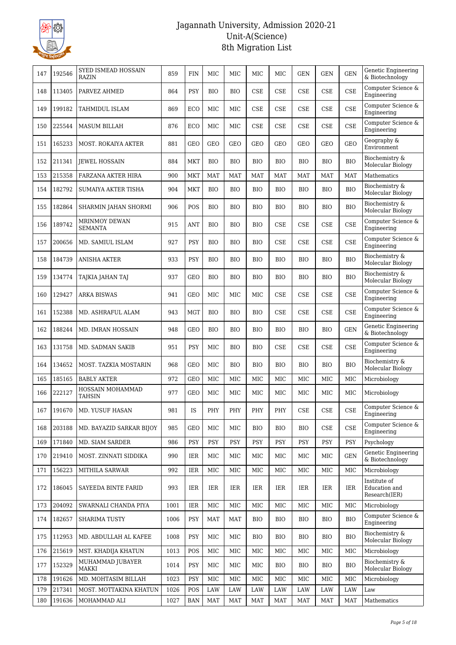

| 147 | 192546 | SYED ISMEAD HOSSAIN<br><b>RAZIN</b>    | 859  | <b>FIN</b> | МIС        | MIC        | MIC        | <b>MIC</b> | <b>GEN</b>                  | <b>GEN</b>                  | <b>GEN</b> | Genetic Engineering<br>& Biotechnology         |
|-----|--------|----------------------------------------|------|------------|------------|------------|------------|------------|-----------------------------|-----------------------------|------------|------------------------------------------------|
| 148 | 113405 | PARVEZ AHMED                           | 864  | <b>PSY</b> | <b>BIO</b> | <b>BIO</b> | <b>CSE</b> | <b>CSE</b> | <b>CSE</b>                  | CSE                         | <b>CSE</b> | Computer Science &<br>Engineering              |
| 149 | 199182 | TAHMIDUL ISLAM                         | 869  | ECO        | МIС        | MIC        | <b>CSE</b> | <b>CSE</b> | <b>CSE</b>                  | CSE                         | <b>CSE</b> | Computer Science &<br>Engineering              |
| 150 | 225544 | <b>MASUM BILLAH</b>                    | 876  | ECO        | МIС        | MIC        | <b>CSE</b> | <b>CSE</b> | <b>CSE</b>                  | <b>CSE</b>                  | <b>CSE</b> | Computer Science &<br>Engineering              |
| 151 | 165233 | <b>MOST. ROKAIYA AKTER</b>             | 881  | GEO        | <b>GEO</b> | <b>GEO</b> | <b>GEO</b> | <b>GEO</b> | <b>GEO</b>                  | <b>GEO</b>                  | <b>GEO</b> | Geography &<br>Environment                     |
| 152 | 211341 | JEWEL HOSSAIN                          | 884  | MKT        | <b>BIO</b> | BIO        | <b>BIO</b> | <b>BIO</b> | <b>BIO</b>                  | <b>BIO</b>                  | <b>BIO</b> | Biochemistry &<br>Molecular Biology            |
| 153 | 215358 | FARZANA AKTER HIRA                     | 900  | MKT        | <b>MAT</b> | <b>MAT</b> | <b>MAT</b> | <b>MAT</b> | <b>MAT</b>                  | <b>MAT</b>                  | <b>MAT</b> | Mathematics                                    |
| 154 | 182792 | SUMAIYA AKTER TISHA                    | 904  | MKT        | <b>BIO</b> | <b>BIO</b> | <b>BIO</b> | <b>BIO</b> | <b>BIO</b>                  | <b>BIO</b>                  | <b>BIO</b> | Biochemistry &<br>Molecular Biology            |
| 155 | 182864 | SHARMIN JAHAN SHORMI                   | 906  | POS        | <b>BIO</b> | BIO        | <b>BIO</b> | <b>BIO</b> | <b>BIO</b>                  | <b>BIO</b>                  | <b>BIO</b> | Biochemistry &<br>Molecular Biology            |
| 156 | 189742 | <b>MRINMOY DEWAN</b><br><b>SEMANTA</b> | 915  | ANT        | <b>BIO</b> | <b>BIO</b> | <b>BIO</b> | <b>CSE</b> | <b>CSE</b>                  | CSE                         | <b>CSE</b> | Computer Science &<br>Engineering              |
| 157 | 200656 | MD. SAMIUL ISLAM                       | 927  | <b>PSY</b> | <b>BIO</b> | <b>BIO</b> | <b>BIO</b> | <b>CSE</b> | <b>CSE</b>                  | <b>CSE</b>                  | <b>CSE</b> | Computer Science &<br>Engineering              |
| 158 | 184739 | <b>ANISHA AKTER</b>                    | 933  | PSY        | <b>BIO</b> | <b>BIO</b> | <b>BIO</b> | <b>BIO</b> | <b>BIO</b>                  | <b>BIO</b>                  | <b>BIO</b> | Biochemistry &<br>Molecular Biology            |
| 159 | 134774 | TAJKIA JAHAN TAJ                       | 937  | GEO        | <b>BIO</b> | <b>BIO</b> | <b>BIO</b> | <b>BIO</b> | <b>BIO</b>                  | <b>BIO</b>                  | <b>BIO</b> | Biochemistry &<br>Molecular Biology            |
| 160 | 129427 | <b>ARKA BISWAS</b>                     | 941  | <b>GEO</b> | МIС        | MIC        | MIC        | <b>CSE</b> | <b>CSE</b>                  | <b>CSE</b>                  | <b>CSE</b> | Computer Science &<br>Engineering              |
| 161 | 152388 | MD. ASHRAFUL ALAM                      | 943  | <b>MGT</b> | <b>BIO</b> | <b>BIO</b> | <b>BIO</b> | <b>CSE</b> | <b>CSE</b>                  | CSE                         | <b>CSE</b> | Computer Science &<br>Engineering              |
| 162 | 188244 | MD. IMRAN HOSSAIN                      | 948  | <b>GEO</b> | <b>BIO</b> | <b>BIO</b> | <b>BIO</b> | <b>BIO</b> | <b>BIO</b>                  | <b>BIO</b>                  | <b>GEN</b> | Genetic Engineering<br>& Biotechnology         |
| 163 | 131758 | MD. SADMAN SAKIB                       | 951  | PSY        | МIС        | <b>BIO</b> | <b>BIO</b> | <b>CSE</b> | <b>CSE</b>                  | <b>CSE</b>                  | <b>CSE</b> | Computer Science &<br>Engineering              |
| 164 | 134652 | MOST. TAZKIA MOSTARIN                  | 968  | GEO        | МIС        | <b>BIO</b> | <b>BIO</b> | BIO        | <b>BIO</b>                  | <b>BIO</b>                  | <b>BIO</b> | Biochemistry &<br>Molecular Biology            |
| 165 | 185165 | <b>BABLY AKTER</b>                     | 972  | <b>GEO</b> | MIC        | <b>MIC</b> | MIC        | MIC        | MIC                         | MIC                         | MIC        | Microbiology                                   |
| 166 | 222127 | HOSSAIN MOHAMMAD<br><b>TAHSIN</b>      | 977  | <b>GEO</b> | MIC        | <b>MIC</b> | <b>MIC</b> | <b>MIC</b> | MIC                         | MIC                         | MIC        | Microbiology                                   |
| 167 | 191670 | MD. YUSUF HASAN                        | 981  | IS         | PHY        | PHY        | PHY        | PHY        | $\ensuremath{\mathsf{CSE}}$ | $\ensuremath{\mathsf{CSE}}$ | CSE        | Computer Science $\&$<br>Engineering           |
| 168 | 203188 | MD. BAYAZID SARKAR BIJOY               | 985  | GEO        | MIC        | MIC        | <b>BIO</b> | <b>BIO</b> | <b>BIO</b>                  | CSE                         | <b>CSE</b> | Computer Science &<br>Engineering              |
| 169 | 171840 | MD. SIAM SARDER                        | 986  | <b>PSY</b> | <b>PSY</b> | <b>PSY</b> | <b>PSY</b> | <b>PSY</b> | <b>PSY</b>                  | <b>PSY</b>                  | <b>PSY</b> | Psychology                                     |
| 170 | 219410 | MOST. ZINNATI SIDDIKA                  | 990  | IER        | MIC        | MIC        | MIC        | MIC        | MIC                         | MIC                         | <b>GEN</b> | Genetic Engineering<br>& Biotechnology         |
| 171 | 156223 | MITHILA SARWAR                         | 992  | IER        | МIС        | MIC        | MIC        | MIC        | MIC                         | MIC                         | MIC        | Microbiology                                   |
| 172 | 186045 | SAYEEDA BINTE FARID                    | 993  | IER        | IER        | IER        | IER        | IER        | IER                         | IER                         | <b>IER</b> | Institute of<br>Education and<br>Research(IER) |
| 173 | 204092 | SWARNALI CHANDA PIYA                   | 1001 | IER        | MIC        | MIC        | MIC        | MIC        | MIC                         | MIC                         | MIC        | Microbiology                                   |
| 174 | 182657 | <b>SHARIMA TUSTY</b>                   | 1006 | <b>PSY</b> | <b>MAT</b> | <b>MAT</b> | <b>BIO</b> | <b>BIO</b> | <b>BIO</b>                  | <b>BIO</b>                  | <b>BIO</b> | Computer Science &<br>Engineering              |
| 175 | 112953 | MD. ABDULLAH AL KAFEE                  | 1008 | <b>PSY</b> | MIC        | MIC        | <b>BIO</b> | <b>BIO</b> | <b>BIO</b>                  | <b>BIO</b>                  | <b>BIO</b> | Biochemistry &<br>Molecular Biology            |
| 176 | 215619 | MST. KHADIJA KHATUN                    | 1013 | POS        | MIC        | MIC        | MIC        | MIC        | MIC                         | MIC                         | MIC        | Microbiology                                   |
| 177 | 152329 | MUHAMMAD JUBAYER<br>MAKKI              | 1014 | <b>PSY</b> | MIC        | MIC        | MIC        | <b>BIO</b> | <b>BIO</b>                  | <b>BIO</b>                  | <b>BIO</b> | Biochemistry &<br>Molecular Biology            |
| 178 | 191626 | MD. MOHTASIM BILLAH                    | 1023 | PSY        | MIC        | MIC        | MIC        | MIC        | MIC                         | MIC                         | MIC        | Microbiology                                   |
| 179 | 217341 | MOST. MOTTAKINA KHATUN                 | 1026 | POS        | LAW        | LAW        | LAW        | LAW        | LAW                         | LAW                         | LAW        | Law                                            |
| 180 | 191636 | MOHAMMAD ALI                           | 1027 | <b>BAN</b> | <b>MAT</b> | MAT        | MAT        | MAT        | <b>MAT</b>                  | <b>MAT</b>                  | MAT        | Mathematics                                    |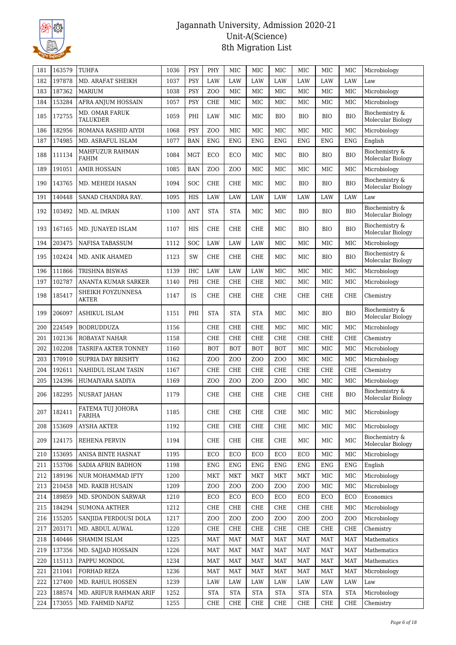

| 181 | 163579 | TUHFA                             | 1036 | PSY        | PHY              | <b>MIC</b>       | MIC              | MIC              | <b>MIC</b>       | MIC            | MIC              | Microbiology                        |
|-----|--------|-----------------------------------|------|------------|------------------|------------------|------------------|------------------|------------------|----------------|------------------|-------------------------------------|
| 182 | 197878 | MD. ARAFAT SHEIKH                 | 1037 | <b>PSY</b> | <b>LAW</b>       | LAW              | LAW              | LAW              | LAW              | LAW            | LAW              | Law                                 |
| 183 | 187362 | MARIUM                            | 1038 | <b>PSY</b> | Z <sub>O</sub> O | MIC              | <b>MIC</b>       | MIC              | MIC              | MIC            | MIC              | Microbiology                        |
| 184 | 153284 | AFRA ANJUM HOSSAIN                | 1057 | <b>PSY</b> | <b>CHE</b>       | MIC              | MIC              | MIC              | MIC              | MIC            | MIC              | Microbiology                        |
| 185 | 172755 | <b>MD. OMAR FARUK</b><br>TALUKDER | 1059 | PHI        | LAW              | MIC              | MIC              | <b>BIO</b>       | <b>BIO</b>       | <b>BIO</b>     | <b>BIO</b>       | Biochemistry &<br>Molecular Biology |
| 186 | 182956 | ROMANA RASHID AIYDI               | 1068 | <b>PSY</b> | Z <sub>00</sub>  | <b>MIC</b>       | MIC              | <b>MIC</b>       | MIC              | <b>MIC</b>     | <b>MIC</b>       | Microbiology                        |
| 187 | 174985 | MD. ASRAFUL ISLAM                 | 1077 | <b>BAN</b> | <b>ENG</b>       | <b>ENG</b>       | <b>ENG</b>       | <b>ENG</b>       | <b>ENG</b>       | <b>ENG</b>     | <b>ENG</b>       | English                             |
| 188 | 111134 | MAHFUZUR RAHMAN<br><b>FAHIM</b>   | 1084 | MGT        | ECO              | ECO              | MIC              | MIC              | <b>BIO</b>       | <b>BIO</b>     | <b>BIO</b>       | Biochemistry &<br>Molecular Biology |
| 189 | 191051 | <b>AMIR HOSSAIN</b>               | 1085 | <b>BAN</b> | Z <sub>O</sub> O | ZOO              | MIC              | <b>MIC</b>       | MIC              | <b>MIC</b>     | MIC              | Microbiology                        |
| 190 | 143765 | MD. MEHEDI HASAN                  | 1094 | <b>SOC</b> | <b>CHE</b>       | CHE              | MIC              | <b>MIC</b>       | <b>BIO</b>       | <b>BIO</b>     | <b>BIO</b>       | Biochemistry &<br>Molecular Biology |
| 191 | 140448 | SANAD CHANDRA RAY.                | 1095 | <b>HIS</b> | LAW              | LAW              | LAW              | LAW              | LAW              | LAW            | LAW              | Law                                 |
| 192 | 103492 | MD. AL IMRAN                      | 1100 | <b>ANT</b> | STA              | <b>STA</b>       | MIC              | MIC              | <b>BIO</b>       | <b>BIO</b>     | <b>BIO</b>       | Biochemistry &<br>Molecular Biology |
| 193 | 167165 | MD. JUNAYED ISLAM                 | 1107 | <b>HIS</b> | <b>CHE</b>       | <b>CHE</b>       | <b>CHE</b>       | <b>MIC</b>       | <b>BIO</b>       | <b>BIO</b>     | <b>BIO</b>       | Biochemistry &<br>Molecular Biology |
| 194 | 203475 | NAFISA TABASSUM                   | 1112 | SOC        | LAW              | LAW              | <b>LAW</b>       | MIC              | MIC              | MIC            | MIC              | Microbiology                        |
| 195 | 102424 | MD. ANIK AHAMED                   | 1123 | SW         | <b>CHE</b>       | CHE              | CHE              | MIC              | MIC              | <b>BIO</b>     | <b>BIO</b>       | Biochemistry &<br>Molecular Biology |
| 196 | 111866 | TRISHNA BISWAS                    | 1139 | <b>IHC</b> | LAW              | LAW              | LAW              | MIC              | MIC              | MIC            | MIC              | Microbiology                        |
| 197 | 102787 | ANANTA KUMAR SARKER               | 1140 | PHI        | <b>CHE</b>       | <b>CHE</b>       | <b>CHE</b>       | MIC              | MIC              | <b>MIC</b>     | MIC              | Microbiology                        |
| 198 | 185417 | SHEIKH FOYZUNNESA<br>AKTER        | 1147 | IS         | <b>CHE</b>       | CHE              | <b>CHE</b>       | CHE              | <b>CHE</b>       | <b>CHE</b>     | <b>CHE</b>       | Chemistry                           |
| 199 | 206097 | ASHIKUL ISLAM                     | 1151 | PHI        | <b>STA</b>       | <b>STA</b>       | <b>STA</b>       | MIC              | MIC              | <b>BIO</b>     | <b>BIO</b>       | Biochemistry &<br>Molecular Biology |
| 200 | 224549 | <b>BODRUDDUZA</b>                 | 1156 |            | <b>CHE</b>       | <b>CHE</b>       | CHE              | MIC              | MIC              | <b>MIC</b>     | MIC              | Microbiology                        |
| 201 | 102136 | ROBAYAT NAHAR                     | 1158 |            | <b>CHE</b>       | <b>CHE</b>       | <b>CHE</b>       | CHE              | <b>CHE</b>       | CHE            | <b>CHE</b>       | Chemistry                           |
| 202 | 102208 | TASRIFA AKTER TONNEY              | 1160 |            | <b>BOT</b>       | <b>BOT</b>       | <b>BOT</b>       | <b>BOT</b>       | MIC              | MIC            | MIC              | Microbiology                        |
| 203 | 170910 | <b>SUPRIA DAY BRISHTY</b>         | 1162 |            | Z <sub>O</sub> O | Z <sub>O</sub> O | ZO <sub>O</sub>  | Z <sub>O</sub> O | MIC              | MIC            | MIC              | Microbiology                        |
| 204 | 192611 | NAHIDUL ISLAM TASIN               | 1167 |            | <b>CHE</b>       | <b>CHE</b>       | <b>CHE</b>       | <b>CHE</b>       | <b>CHE</b>       | CHE            | <b>CHE</b>       | Chemistry                           |
| 205 | 124396 | <b>HUMAIYARA SADIYA</b>           | 1169 |            | Z <sub>O</sub> O | ZO <sub>O</sub>  | ZO <sub>O</sub>  | ZO <sub>O</sub>  | MIC              | <b>MIC</b>     | MIC              | Microbiology                        |
| 206 | 182295 | <b>NUSRAT JAHAN</b>               | 1179 |            | <b>CHE</b>       | <b>CHE</b>       | <b>CHE</b>       | <b>CHE</b>       | <b>CHE</b>       | <b>CHE</b>     | <b>BIO</b>       | Biochemistry &<br>Molecular Biology |
| 207 | 182411 | FATEMA TUJ JOHORA<br>FARIHA       | 1185 |            | CHE              | CHE              | CHE              | CHE              | MIC              | MIC            | MIC              | Microbiology                        |
| 208 | 153609 | <b>AYSHA AKTER</b>                | 1192 |            | CHE              | CHE              | CHE              | CHE              | MIC              | MIC            | MIC              | Microbiology                        |
| 209 | 124175 | REHENA PERVIN                     | 1194 |            | CHE              | CHE              | CHE              | CHE              | MIC              | MIC            | MIC              | Biochemistry &<br>Molecular Biology |
| 210 | 153695 | ANISA BINTE HASNAT                | 1195 |            | ECO              | ECO              | ECO              | ECO              | ECO              | MIC            | MIC              | Microbiology                        |
| 211 | 153706 | SADIA AFRIN BADHON                | 1198 |            | <b>ENG</b>       | ENG              | <b>ENG</b>       | <b>ENG</b>       | <b>ENG</b>       | <b>ENG</b>     | ENG              | English                             |
| 212 | 189196 | NUR MOHAMMAD IFTY                 | 1200 |            | MKT              | MKT              | MKT              | MKT              | MKT              | MIC            | MIC              | Microbiology                        |
| 213 | 210458 | MD. RAKIB HUSAIN                  | 1209 |            | Z <sub>O</sub> O | Z <sub>O</sub> O | Z <sub>O</sub> O | ZO <sub>O</sub>  | ZO <sub>O</sub>  | MIC            | MIC              | Microbiology                        |
| 214 | 189859 | MD. SPONDON SARWAR                | 1210 |            | ECO              | ECO              | ECO              | ECO              | ECO              | ECO            | ECO              | Economics                           |
| 215 | 184294 | <b>SUMONA AKTHER</b>              | 1212 |            | CHE              | CHE              | CHE              | CHE              | CHE              | CHE            | MIC              | Microbiology                        |
| 216 | 155205 | SANJIDA FERDOUSI DOLA             | 1217 |            | Z <sub>O</sub> O | ZOO              | Z <sub>0</sub>   | Z <sub>0</sub>   | Z <sub>O</sub> O | Z <sub>0</sub> | Z <sub>O</sub> O | Microbiology                        |
| 217 | 203171 | MD. ABDUL AUWAL                   | 1220 |            | CHE              | CHE              | CHE              | CHE              | CHE              | CHE            | <b>CHE</b>       | Chemistry                           |
| 218 | 140446 | SHAMIM ISLAM                      | 1225 |            | <b>MAT</b>       | <b>MAT</b>       | <b>MAT</b>       | <b>MAT</b>       | <b>MAT</b>       | <b>MAT</b>     | <b>MAT</b>       | Mathematics                         |
| 219 | 137356 | MD. SAJJAD HOSSAIN                | 1226 |            | <b>MAT</b>       | MAT              | <b>MAT</b>       | MAT              | <b>MAT</b>       | <b>MAT</b>     | <b>MAT</b>       | Mathematics                         |
| 220 | 115113 | PAPPU MONDOL                      | 1234 |            | MAT              | MAT              | MAT              | <b>MAT</b>       | <b>MAT</b>       | <b>MAT</b>     | MAT              | Mathematics                         |
| 221 | 211041 | FORHAD REZA                       | 1236 |            | <b>MAT</b>       | MAT              | <b>MAT</b>       | <b>MAT</b>       | <b>MAT</b>       | <b>MAT</b>     | <b>MAT</b>       | Microbiology                        |
| 222 | 127400 | MD. RAHUL HOSSEN                  | 1239 |            | LAW              | LAW              | LAW              | LAW              | LAW              | LAW            | LAW              | Law                                 |
| 223 | 188574 | MD. ARIFUR RAHMAN ARIF            | 1252 |            | <b>STA</b>       | <b>STA</b>       | <b>STA</b>       | <b>STA</b>       | <b>STA</b>       | <b>STA</b>     | <b>STA</b>       | Microbiology                        |
| 224 | 173055 | MD. FAHMID NAFIZ                  | 1255 |            | CHE              | CHE              | CHE              | CHE              | CHE              | CHE            | CHE              | Chemistry                           |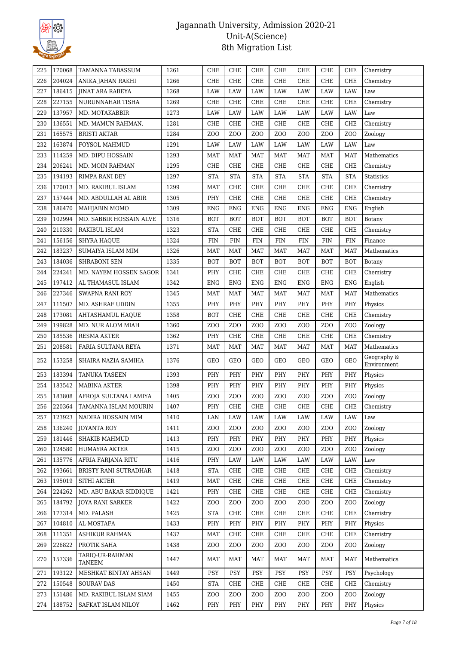

| 225 | 170068 | TAMANNA TABASSUM          | 1261 | <b>CHE</b>                         | <b>CHE</b>       | <b>CHE</b>       | CHE              | <b>CHE</b>       | CHE              | <b>CHE</b>       | Chemistry                  |
|-----|--------|---------------------------|------|------------------------------------|------------------|------------------|------------------|------------------|------------------|------------------|----------------------------|
| 226 | 204024 | ANIKA JAHAN RAKHI         | 1266 | CHE                                | <b>CHE</b>       | <b>CHE</b>       | <b>CHE</b>       | CHE              | CHE              | CHE              | Chemistry                  |
| 227 | 186415 | <b>IINAT ARA RABEYA</b>   | 1268 | LAW                                | LAW              | LAW              | LAW              | LAW              | LAW              | LAW              | Law                        |
| 228 | 227155 | NURUNNAHAR TISHA          | 1269 | CHE                                | <b>CHE</b>       | <b>CHE</b>       | <b>CHE</b>       | <b>CHE</b>       | CHE              | <b>CHE</b>       | Chemistry                  |
| 229 | 137957 | MD. MOTAKABBIR            | 1273 | LAW                                | LAW              | LAW              | LAW              | LAW              | LAW              | LAW              | Law                        |
| 230 | 136551 | MD. MAMUN RAHMAN.         | 1281 | CHE                                | <b>CHE</b>       | <b>CHE</b>       | <b>CHE</b>       | <b>CHE</b>       | CHE              | <b>CHE</b>       | Chemistry                  |
| 231 | 165575 | <b>BRISTI AKTAR</b>       | 1284 | Z <sub>0</sub>                     | Z <sub>O</sub> O | Z <sub>O</sub> O | Z <sub>O</sub> O | Z <sub>O</sub> O | Z <sub>O</sub> O | Z <sub>O</sub> O | Zoology                    |
| 232 | 163874 | FOYSOL MAHMUD             | 1291 | LAW                                | LAW              | LAW              | LAW              | LAW              | LAW              | LAW              | Law                        |
| 233 | 114259 | MD. DIPU HOSSAIN          | 1293 | <b>MAT</b>                         | <b>MAT</b>       | <b>MAT</b>       | <b>MAT</b>       | <b>MAT</b>       | <b>MAT</b>       | MAT              | Mathematics                |
| 234 | 206241 | MD. MOIN RAHMAN           | 1295 | CHE                                | <b>CHE</b>       | <b>CHE</b>       | CHE              | <b>CHE</b>       | CHE              | <b>CHE</b>       | Chemistry                  |
| 235 | 194193 | RIMPA RANI DEY            | 1297 | <b>STA</b>                         | <b>STA</b>       | <b>STA</b>       | <b>STA</b>       | <b>STA</b>       | <b>STA</b>       | <b>STA</b>       | <b>Statistics</b>          |
| 236 | 170013 | MD. RAKIBUL ISLAM         | 1299 | <b>MAT</b>                         | <b>CHE</b>       | CHE              | <b>CHE</b>       | CHE              | CHE              | CHE              | Chemistry                  |
| 237 | 157444 | MD. ABDULLAH AL ABIR      | 1305 | PHY                                | <b>CHE</b>       | CHE              | CHE              | CHE              | CHE              | <b>CHE</b>       | Chemistry                  |
| 238 | 186470 | MAHJABIN MOMO             | 1309 | <b>ENG</b>                         | <b>ENG</b>       | ENG              | <b>ENG</b>       | <b>ENG</b>       | <b>ENG</b>       | <b>ENG</b>       | English                    |
| 239 | 102994 | MD. SABBIR HOSSAIN ALVE   | 1316 | <b>BOT</b>                         | <b>BOT</b>       | <b>BOT</b>       | <b>BOT</b>       | <b>BOT</b>       | <b>BOT</b>       | <b>BOT</b>       | Botany                     |
| 240 | 210330 | RAKIBUL ISLAM             | 1323 | <b>STA</b>                         | <b>CHE</b>       | CHE              | CHE              | <b>CHE</b>       | CHE              | <b>CHE</b>       | Chemistry                  |
| 241 | 156156 | <b>SHYRA HAQUE</b>        | 1324 | FIN                                | <b>FIN</b>       | <b>FIN</b>       | FIN              | <b>FIN</b>       | FIN              | <b>FIN</b>       | Finance                    |
| 242 | 183237 | SUMAIYA ISLAM MIM         | 1326 | <b>MAT</b>                         | <b>MAT</b>       | MAT              | <b>MAT</b>       | <b>MAT</b>       | <b>MAT</b>       | <b>MAT</b>       | Mathematics                |
| 243 | 184036 | SHRABONI SEN              | 1335 | <b>BOT</b>                         | <b>BOT</b>       | <b>BOT</b>       | <b>BOT</b>       | <b>BOT</b>       | <b>BOT</b>       | <b>BOT</b>       | Botany                     |
| 244 | 224241 | MD. NAYEM HOSSEN SAGOR    | 1341 | PHY                                | <b>CHE</b>       | <b>CHE</b>       | <b>CHE</b>       | <b>CHE</b>       | CHE              | <b>CHE</b>       | Chemistry                  |
| 245 | 197412 | AL THAMASUL ISLAM         | 1342 | <b>ENG</b>                         | <b>ENG</b>       | <b>ENG</b>       | <b>ENG</b>       | <b>ENG</b>       | <b>ENG</b>       | <b>ENG</b>       | English                    |
| 246 | 227346 | SWAPNA RANI ROY           | 1345 | MAT                                | MAT              | <b>MAT</b>       | <b>MAT</b>       | MAT              | MAT              | MAT              | Mathematics                |
| 247 | 111507 | MD. ASHRAF UDDIN          | 1355 | PHY                                | PHY              | PHY              | PHY              | PHY              | PHY              | PHY              | Physics                    |
| 248 | 173081 | AHTASHAMUL HAQUE          | 1358 | <b>BOT</b>                         | <b>CHE</b>       | <b>CHE</b>       | <b>CHE</b>       | CHE              | CHE              | CHE              | Chemistry                  |
| 249 | 199828 | MD. NUR ALOM MIAH         | 1360 | Z <sub>0</sub>                     | Z <sub>O</sub> O | Z <sub>O</sub> O | ZO <sub>O</sub>  | Z <sub>0</sub>   | ZO <sub>O</sub>  | Z <sub>O</sub> O | Zoology                    |
| 250 | 185536 | RESMA AKTER               | 1362 | PHY                                | <b>CHE</b>       | <b>CHE</b>       | CHE              | <b>CHE</b>       | CHE              | <b>CHE</b>       | Chemistry                  |
| 251 | 208581 | FARIA SULTANA REYA        | 1371 | MAT                                | <b>MAT</b>       | MAT              | <b>MAT</b>       | <b>MAT</b>       | <b>MAT</b>       | <b>MAT</b>       | Mathematics                |
| 252 | 153258 | SHAIRA NAZIA SAMIHA       | 1376 | GEO                                | <b>GEO</b>       | GEO              | GEO              | GEO              | GEO              | <b>GEO</b>       | Geography &<br>Environment |
| 253 | 183394 | <b>TANUKA TASEEN</b>      | 1393 | PHY                                | PHY              | PHY              | PHY              | PHY              | PHY              | PHY              | Physics                    |
| 254 | 183542 | <b>MABINA AKTER</b>       | 1398 | PHY                                | PHY              | PHY              | PHY              | PHY              | PHY              | PHY              | Physics                    |
| 255 | 183808 | AFROJA SULTANA LAMIYA     | 1405 | Z <sub>O</sub> O                   | Z <sub>O</sub> O | Z <sub>O</sub> O | ZO <sub>O</sub>  | Z <sub>O</sub> O | Z <sub>0</sub>   | Z <sub>0</sub>   | Zoology                    |
| 256 | 220364 | TAMANNA ISLAM MOURIN      | 1407 | $\ensuremath{\mathsf{PHY}}\xspace$ | ${\rm CHE}$      | ${\rm CHE}$      | ${\rm CHE}$      | ${\rm CHE}$      | ${\rm CHE}$      | ${\rm CHE}$      | Chemistry                  |
| 257 | 123923 | NADIRA HOSSAIN MIM        | 1410 | LAN                                | LAW              | LAW              | LAW              | LAW              | LAW              | LAW              | Law                        |
| 258 | 136240 | JOYANTA ROY               | 1411 | Z <sub>O</sub> O                   | Z <sub>O</sub> O | Z <sub>O</sub> O | Z <sub>O</sub> O | Z <sub>0</sub>   | Z <sub>O</sub> O | Z <sub>O</sub> O | Zoology                    |
| 259 | 181446 | SHAKIB MAHMUD             | 1413 | PHY                                | PHY              | PHY              | PHY              | PHY              | PHY              | PHY              | Physics                    |
| 260 | 124580 | HUMAYRA AKTER             | 1415 | Z <sub>O</sub> O                   | Z <sub>O</sub> O | ZO <sub>O</sub>  | ZOO              | Z <sub>0</sub>   | Z <sub>0</sub>   | Z <sub>0</sub>   | Zoology                    |
| 261 | 135776 | AFRIA FARJANA RITU        | 1416 | PHY                                | LAW              | LAW              | LAW              | LAW              | LAW              | LAW              | Law                        |
| 262 | 193661 | BRISTY RANI SUTRADHAR     | 1418 | <b>STA</b>                         | CHE              | CHE              | CHE              | CHE              | CHE              | CHE              | Chemistry                  |
| 263 | 195019 | SITHI AKTER               | 1419 | <b>MAT</b>                         | CHE              | CHE              | CHE              | CHE              | CHE              | CHE              | Chemistry                  |
| 264 | 224262 | MD. ABU BAKAR SIDDIQUE    | 1421 | PHY                                | <b>CHE</b>       | CHE              | CHE              | CHE              | CHE              | <b>CHE</b>       | Chemistry                  |
| 265 | 184792 | <b>JOYA RANI SARKER</b>   | 1422 | Z <sub>0</sub>                     | Z <sub>O</sub> O | Z <sub>O</sub> O | ZO <sub>O</sub>  | Z <sub>0</sub>   | Z <sub>0</sub>   | Z <sub>0</sub>   | Zoology                    |
| 266 | 177314 | MD. PALASH                | 1425 | <b>STA</b>                         | CHE              | CHE              | CHE              | CHE              | CHE              | CHE              | Chemistry                  |
| 267 | 104810 | AL-MOSTAFA                | 1433 | PHY                                | PHY              | PHY              | PHY              | PHY              | PHY              | PHY              | Physics                    |
| 268 | 111351 | ASHIKUR RAHMAN            | 1437 | <b>MAT</b>                         | CHE              | CHE              | CHE              | CHE              | CHE              | CHE              | Chemistry                  |
| 269 | 226822 | PROTIK SAHA               | 1438 | Z <sub>0</sub>                     | Z <sub>O</sub> O | ZOO              | Z <sub>0</sub>   | Z <sub>0</sub>   | Z <sub>0</sub>   | Z <sub>0</sub>   | Zoology                    |
| 270 | 157336 | TARIQ-UR-RAHMAN<br>TANEEM | 1447 | MAT                                | MAT              | MAT              | MAT              | MAT              | MAT              | MAT              | Mathematics                |
| 271 | 193122 | MESHKAT BINTAY AHSAN      | 1449 | PSY                                | <b>PSY</b>       | PSY              | <b>PSY</b>       | <b>PSY</b>       | <b>PSY</b>       | <b>PSY</b>       | Psychology                 |
| 272 | 150548 | <b>SOURAV DAS</b>         | 1450 | <b>STA</b>                         | CHE              | CHE              | CHE              | CHE              | CHE              | CHE              | Chemistry                  |
| 273 | 151486 | MD. RAKIBUL ISLAM SIAM    | 1455 | Z <sub>O</sub> O                   | Z <sub>O</sub> O | ZO <sub>O</sub>  | Z <sub>0</sub>   | Z <sub>0</sub>   | Z <sub>0</sub>   | Z <sub>O</sub> O | Zoology                    |
| 274 | 188752 | SAFKAT ISLAM NILOY        | 1462 | PHY                                | PHY              | PHY              | PHY              | PHY              | PHY              | PHY              | Physics                    |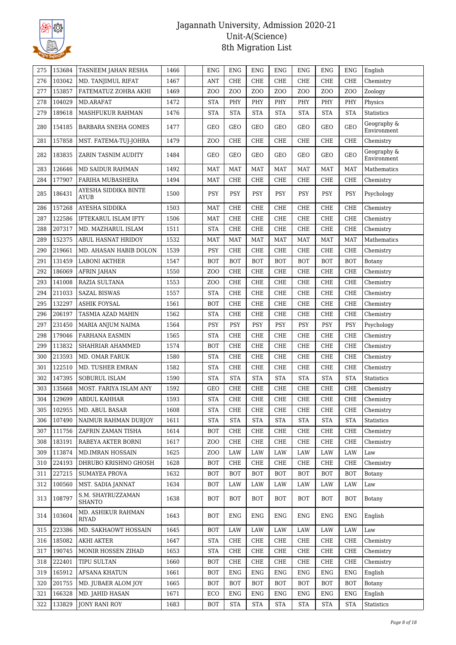

| 275 | 153684 | TASNEEM JAHAN RESHA                | 1466 | <b>ENG</b>       | <b>ENG</b>       | <b>ENG</b>       | <b>ENG</b>       | <b>ENG</b>       | <b>ENG</b>     | <b>ENG</b>       | English                    |
|-----|--------|------------------------------------|------|------------------|------------------|------------------|------------------|------------------|----------------|------------------|----------------------------|
| 276 | 103042 | MD. TANJIMUL RIFAT                 | 1467 | <b>ANT</b>       | <b>CHE</b>       | <b>CHE</b>       | <b>CHE</b>       | CHE              | CHE            | CHE              | Chemistry                  |
| 277 | 153857 | FATEMATUZ ZOHRA AKHI               | 1469 | Z <sub>0</sub>   | Z <sub>O</sub> O | Z <sub>O</sub> O | Z <sub>O</sub> O | Z <sub>O</sub> O | Z <sub>0</sub> | Z <sub>O</sub> O | Zoology                    |
| 278 | 104029 | MD.ARAFAT                          | 1472 | STA              | PHY              | PHY              | PHY              | PHY              | PHY            | PHY              | Physics                    |
| 279 | 189618 | MASHFUKUR RAHMAN                   | 1476 | <b>STA</b>       | <b>STA</b>       | <b>STA</b>       | <b>STA</b>       | <b>STA</b>       | <b>STA</b>     | <b>STA</b>       | <b>Statistics</b>          |
| 280 | 154185 | BARBARA SNEHA GOMES                | 1477 | <b>GEO</b>       | <b>GEO</b>       | GEO              | <b>GEO</b>       | GEO              | GEO            | GEO              | Geography &<br>Environment |
| 281 | 157858 | MST. FATEMA-TUJ-JOHRA              | 1479 | Z <sub>0</sub>   | <b>CHE</b>       | CHE              | <b>CHE</b>       | CHE              | CHE            | CHE              | Chemistry                  |
| 282 | 183835 | ZARIN TASNIM AUDITY                | 1484 | GEO              | <b>GEO</b>       | GEO              | GEO              | GEO              | GEO            | <b>GEO</b>       | Geography &<br>Environment |
| 283 | 126646 | <b>MD SAIDUR RAHMAN</b>            | 1492 | <b>MAT</b>       | <b>MAT</b>       | MAT              | <b>MAT</b>       | <b>MAT</b>       | <b>MAT</b>     | <b>MAT</b>       | Mathematics                |
| 284 | 177907 | FARIHA MUBASHERA                   | 1494 | <b>MAT</b>       | <b>CHE</b>       | CHE              | CHE              | CHE              | CHE            | <b>CHE</b>       | Chemistry                  |
| 285 | 186431 | AYESHA SIDDIKA BINTE<br>AYUB       | 1500 | <b>PSY</b>       | <b>PSY</b>       | <b>PSY</b>       | <b>PSY</b>       | PSY              | PSY            | <b>PSY</b>       | Psychology                 |
| 286 | 157268 | AYESHA SIDDIKA                     | 1503 | <b>MAT</b>       | <b>CHE</b>       | <b>CHE</b>       | <b>CHE</b>       | CHE              | CHE            | <b>CHE</b>       | Chemistry                  |
| 287 | 122586 | IFTEKARUL ISLAM IFTY               | 1506 | <b>MAT</b>       | <b>CHE</b>       | <b>CHE</b>       | <b>CHE</b>       | CHE              | CHE            | CHE              | Chemistry                  |
| 288 | 207317 | MD. MAZHARUL ISLAM                 | 1511 | <b>STA</b>       | CHE              | <b>CHE</b>       | <b>CHE</b>       | CHE              | CHE            | CHE              | Chemistry                  |
| 289 | 152375 | ABUL HASNAT HRIDOY                 | 1532 | <b>MAT</b>       | <b>MAT</b>       | <b>MAT</b>       | <b>MAT</b>       | <b>MAT</b>       | <b>MAT</b>     | <b>MAT</b>       | Mathematics                |
| 290 | 219661 | MD. AHASAN HABIB DOLON             | 1539 | <b>PSY</b>       | <b>CHE</b>       | <b>CHE</b>       | <b>CHE</b>       | CHE              | CHE            | CHE              | Chemistry                  |
| 291 | 131459 | <b>LABONI AKTHER</b>               | 1547 | <b>BOT</b>       | <b>BOT</b>       | <b>BOT</b>       | <b>BOT</b>       | <b>BOT</b>       | <b>BOT</b>     | <b>BOT</b>       | Botany                     |
| 292 | 186069 | <b>AFRIN JAHAN</b>                 | 1550 | Z <sub>0</sub>   | <b>CHE</b>       | <b>CHE</b>       | <b>CHE</b>       | <b>CHE</b>       | CHE            | <b>CHE</b>       | Chemistry                  |
| 293 | 141008 | RAZIA SULTANA                      | 1553 | Z <sub>0</sub>   | <b>CHE</b>       | CHE              | <b>CHE</b>       | CHE              | CHE            | <b>CHE</b>       | Chemistry                  |
| 294 | 211033 | <b>SAZAL BISWAS</b>                | 1557 | <b>STA</b>       | <b>CHE</b>       | CHE              | <b>CHE</b>       | CHE              | CHE            | CHE              | Chemistry                  |
| 295 | 132297 | <b>ASHIK FOYSAL</b>                | 1561 | <b>BOT</b>       | <b>CHE</b>       | CHE              | CHE              | CHE              | CHE            | <b>CHE</b>       | Chemistry                  |
| 296 | 206197 | TASMIA AZAD MAHIN                  | 1562 | <b>STA</b>       | <b>CHE</b>       | CHE              | <b>CHE</b>       | CHE              | CHE            | <b>CHE</b>       | Chemistry                  |
| 297 | 231450 | MARIA ANJUM NAIMA                  | 1564 | <b>PSY</b>       | <b>PSY</b>       | PSY              | <b>PSY</b>       | <b>PSY</b>       | <b>PSY</b>     | <b>PSY</b>       | Psychology                 |
| 298 | 179046 | <b>FARHANA EASMIN</b>              | 1565 | <b>STA</b>       | <b>CHE</b>       | CHE              | CHE              | CHE              | CHE            | <b>CHE</b>       | Chemistry                  |
| 299 | 113832 | SHAHRIAR AHAMMED                   | 1574 | <b>BOT</b>       | <b>CHE</b>       | CHE              | <b>CHE</b>       | CHE              | CHE            | <b>CHE</b>       | Chemistry                  |
| 300 | 213593 | MD. OMAR FARUK                     | 1580 | <b>STA</b>       | <b>CHE</b>       | CHE              | <b>CHE</b>       | CHE              | CHE            | CHE              | Chemistry                  |
| 301 | 122510 | MD. TUSHER EMRAN                   | 1582 | STA              | CHE              | <b>CHE</b>       | CHE              | <b>CHE</b>       | CHE            | CHE              | Chemistry                  |
| 302 | 147395 | SOBURUL ISLAM                      | 1590 | <b>STA</b>       | <b>STA</b>       | <b>STA</b>       | <b>STA</b>       | <b>STA</b>       | <b>STA</b>     | <b>STA</b>       | <b>Statistics</b>          |
| 303 | 135668 | MOST. FARIYA ISLAM ANY             | 1592 | GEO              | <b>CHE</b>       | ${\rm CHE}$      | <b>CHE</b>       | CHE              | CHE            | CHE              | Chemistry                  |
| 304 | 129699 | <b>ABDUL KAHHAR</b>                | 1593 | <b>STA</b>       | <b>CHE</b>       | CHE              | <b>CHE</b>       | CHE              | CHE            | <b>CHE</b>       | Chemistry                  |
| 305 | 102955 | MD. ABUL BASAR                     | 1608 | STA              | CHE              | CHE              | CHE              | CHE              | CHE            | CHE              | Chemistry                  |
| 306 | 107490 | NAIMUR RAHMAN DURJOY               | 1611 | <b>STA</b>       | <b>STA</b>       | <b>STA</b>       | <b>STA</b>       | <b>STA</b>       | <b>STA</b>     | <b>STA</b>       | Statistics                 |
| 307 | 111756 | ZAFRIN ZAMAN TISHA                 | 1614 | <b>BOT</b>       | CHE              | CHE              | CHE              | CHE              | CHE            | CHE              | Chemistry                  |
| 308 | 183191 | RABEYA AKTER BORNI                 | 1617 | Z <sub>O</sub> O | <b>CHE</b>       | CHE              | CHE              | CHE              | CHE            | CHE              | Chemistry                  |
| 309 | 113874 | <b>MD.IMRAN HOSSAIN</b>            | 1625 | Z <sub>0</sub>   | LAW              | LAW              | <b>LAW</b>       | LAW              | LAW            | LAW              | Law                        |
| 310 | 224193 | DHRUBO KRISHNO GHOSH               | 1628 | <b>BOT</b>       | CHE              | CHE              | CHE              | CHE              | CHE            | CHE              | Chemistry                  |
| 311 | 227215 | <b>SUMAYEA PROVA</b>               | 1632 | <b>BOT</b>       | <b>BOT</b>       | <b>BOT</b>       | <b>BOT</b>       | <b>BOT</b>       | <b>BOT</b>     | <b>BOT</b>       | Botany                     |
| 312 | 100560 | MST. SADIA JANNAT                  | 1634 | <b>BOT</b>       | LAW              | LAW              | <b>LAW</b>       | LAW              | LAW            | LAW              | Law                        |
| 313 | 108797 | S.M. SHAYRUZZAMAN<br><b>SHANTO</b> | 1638 | <b>BOT</b>       | <b>BOT</b>       | BOT              | <b>BOT</b>       | <b>BOT</b>       | <b>BOT</b>     | BOT              | Botany                     |
| 314 | 103604 | MD. ASHIKUR RAHMAN<br>RIYAD        | 1643 | <b>BOT</b>       | ENG              | ENG              | ENG              | ENG              | ENG            | ENG              | English                    |
| 315 | 223386 | MD. SAKHAOWT HOSSAIN               | 1645 | <b>BOT</b>       | LAW              | LAW              | LAW              | LAW              | LAW            | LAW              | Law                        |
| 316 | 185082 | <b>AKHI AKTER</b>                  | 1647 | <b>STA</b>       | CHE              | CHE              | CHE              | CHE              | CHE            | CHE              | Chemistry                  |
| 317 | 190745 | MONIR HOSSEN ZIHAD                 | 1653 | <b>STA</b>       | CHE              | CHE              | CHE              | CHE              | CHE            | CHE              | Chemistry                  |
| 318 | 222401 | TIPU SULTAN                        | 1660 | <b>BOT</b>       | CHE              | CHE              | CHE              | CHE              | CHE            | CHE              | Chemistry                  |
| 319 | 165912 | <b>AFSANA KHATUN</b>               | 1661 | <b>BOT</b>       | <b>ENG</b>       | <b>ENG</b>       | <b>ENG</b>       | <b>ENG</b>       | <b>ENG</b>     | <b>ENG</b>       | English                    |
| 320 | 201755 | MD. JUBAER ALOM JOY                | 1665 | BOT              | <b>BOT</b>       | BOT              | <b>BOT</b>       | <b>BOT</b>       | BOT            | BOT              | Botany                     |
| 321 | 166328 | MD. JAHID HASAN                    | 1671 | ECO              | ENG              | ENG              | <b>ENG</b>       | ENG              | <b>ENG</b>     | ENG              | English                    |
| 322 | 133829 | <b>JONY RANI ROY</b>               | 1683 | <b>BOT</b>       | <b>STA</b>       | <b>STA</b>       | <b>STA</b>       | <b>STA</b>       | <b>STA</b>     | <b>STA</b>       | Statistics                 |
|     |        |                                    |      |                  |                  |                  |                  |                  |                |                  |                            |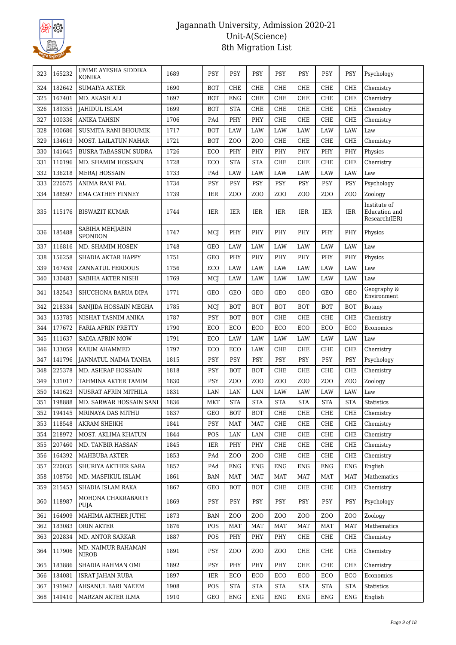

| 323 | 165232 | UMME AYESHA SIDDIKA<br>KONIKA     | 1689 | <b>PSY</b> | <b>PSY</b>       | PSY              | <b>PSY</b>       | <b>PSY</b>       | <b>PSY</b>       | <b>PSY</b>       | Psychology                                     |
|-----|--------|-----------------------------------|------|------------|------------------|------------------|------------------|------------------|------------------|------------------|------------------------------------------------|
| 324 | 182642 | <b>SUMAIYA AKTER</b>              | 1690 | <b>BOT</b> | <b>CHE</b>       | <b>CHE</b>       | <b>CHE</b>       | <b>CHE</b>       | CHE              | <b>CHE</b>       | Chemistry                                      |
| 325 | 167401 | MD. AKASH ALI                     | 1697 | <b>BOT</b> | <b>ENG</b>       | CHE              | <b>CHE</b>       | <b>CHE</b>       | CHE              | <b>CHE</b>       | Chemistry                                      |
| 326 | 189355 | <b>JAHIDUL ISLAM</b>              | 1699 | <b>BOT</b> | <b>STA</b>       | CHE              | <b>CHE</b>       | <b>CHE</b>       | <b>CHE</b>       | <b>CHE</b>       | Chemistry                                      |
| 327 | 100336 | ANIKA TAHSIN                      | 1706 | PAd        | PHY              | PHY              | <b>CHE</b>       | <b>CHE</b>       | <b>CHE</b>       | <b>CHE</b>       | Chemistry                                      |
| 328 | 100686 | SUSMITA RANI BHOUMIK              | 1717 | <b>BOT</b> | LAW              | <b>LAW</b>       | LAW              | LAW              | LAW              | LAW              | Law                                            |
| 329 | 134619 | MOST. LAILATUN NAHAR              | 1721 | <b>BOT</b> | Z <sub>O</sub> O | ZO <sub>O</sub>  | CHE              | <b>CHE</b>       | CHE              | <b>CHE</b>       | Chemistry                                      |
| 330 | 141645 | <b>BUSRA TABASSUM SUDRA</b>       | 1726 | ECO        | PHY              | PHY              | PHY              | PHY              | PHY              | PHY              | Physics                                        |
| 331 | 110196 | MD. SHAMIM HOSSAIN                | 1728 | ECO        | <b>STA</b>       | <b>STA</b>       | <b>CHE</b>       | <b>CHE</b>       | CHE              | <b>CHE</b>       | Chemistry                                      |
| 332 | 136218 | MERAJ HOSSAIN                     | 1733 | PAd        | LAW              | <b>LAW</b>       | LAW              | LAW              | LAW              | LAW              | Law                                            |
| 333 | 220575 | ANIMA RANI PAL                    | 1734 | <b>PSY</b> | <b>PSY</b>       | <b>PSY</b>       | <b>PSY</b>       | <b>PSY</b>       | <b>PSY</b>       | <b>PSY</b>       | Psychology                                     |
| 334 | 188597 | EMA CATHEY FINNEY                 | 1739 | IER        | Z <sub>O</sub> O | Z <sub>O</sub> O | Z <sub>O</sub> O | Z <sub>O</sub> O | Z <sub>O</sub> O | Z <sub>O</sub> O | Zoology                                        |
| 335 | 115176 | <b>BISWAZIT KUMAR</b>             | 1744 | IER        | IER              | IER              | IER              | IER              | IER              | <b>IER</b>       | Institute of<br>Education and<br>Research(IER) |
| 336 | 185488 | SABIHA MEHJABIN<br><b>SPONDON</b> | 1747 | MCJ        | PHY              | PHY              | PHY              | PHY              | PHY              | PHY              | Physics                                        |
| 337 | 116816 | MD. SHAMIM HOSEN                  | 1748 | <b>GEO</b> | LAW              | LAW              | LAW              | LAW              | LAW              | LAW              | Law                                            |
| 338 | 156258 | SHADIA AKTAR HAPPY                | 1751 | <b>GEO</b> | PHY              | PHY              | PHY              | PHY              | PHY              | PHY              | Physics                                        |
| 339 | 167459 | ZANNATUL FERDOUS                  | 1756 | ECO        | LAW              | LAW              | LAW              | LAW              | LAW              | LAW              | Law                                            |
| 340 | 130483 | SABIHA AKTER NISHI                | 1769 | MCJ        | LAW              | LAW              | LAW              | LAW              | LAW              | LAW              | Law                                            |
| 341 | 182543 | SHUCHONA BARUA DIPA               | 1771 | <b>GEO</b> | <b>GEO</b>       | GEO              | <b>GEO</b>       | GEO              | <b>GEO</b>       | <b>GEO</b>       | Geography &<br>Environment                     |
| 342 | 218334 | SANJIDA HOSSAIN MEGHA             | 1785 | MCJ        | <b>BOT</b>       | <b>BOT</b>       | <b>BOT</b>       | <b>BOT</b>       | <b>BOT</b>       | <b>BOT</b>       | Botany                                         |
| 343 | 153785 | NISHAT TASNIM ANIKA               | 1787 | <b>PSY</b> | <b>BOT</b>       | <b>BOT</b>       | <b>CHE</b>       | <b>CHE</b>       | CHE              | <b>CHE</b>       | Chemistry                                      |
| 344 | 177672 | FARIA AFRIN PRETTY                | 1790 | ECO        | ECO              | ECO              | ECO              | ECO              | ECO              | ECO              | Economics                                      |
| 345 | 111637 | <b>SADIA AFRIN MOW</b>            | 1791 | ECO        | LAW              | LAW              | LAW              | LAW              | LAW              | LAW              | Law                                            |
| 346 | 133059 | KAIUM AHAMMED                     | 1797 | ECO        | ECO              | LAW              | <b>CHE</b>       | <b>CHE</b>       | <b>CHE</b>       | <b>CHE</b>       | Chemistry                                      |
| 347 | 141796 | JANNATUL NAIMA TANHA              | 1815 | <b>PSY</b> | <b>PSY</b>       | <b>PSY</b>       | PSY              | <b>PSY</b>       | <b>PSY</b>       | PSY              | Psychology                                     |
| 348 | 225378 | MD. ASHRAF HOSSAIN                | 1818 | <b>PSY</b> | <b>BOT</b>       | <b>BOT</b>       | <b>CHE</b>       | <b>CHE</b>       | <b>CHE</b>       | <b>CHE</b>       | Chemistry                                      |
| 349 | 131017 | TAHMINA AKTER TAMIM               | 1830 | <b>PSY</b> | Z <sub>O</sub> O | ZO <sub>O</sub>  | ZO <sub>O</sub>  | ZO <sub>O</sub>  | Z <sub>O</sub> O | ZO <sub>O</sub>  | Zoology                                        |
| 350 | 141623 | NUSRAT AFRIN MITHILA              | 1831 | LAN        | LAN              | LAN              | LAW              | LAW              | LAW              | LAW              | Law                                            |
| 351 | 198888 | MD. SARWAR HOSSAIN SANI           | 1836 | <b>MKT</b> | <b>STA</b>       | <b>STA</b>       | <b>STA</b>       | <b>STA</b>       | <b>STA</b>       | <b>STA</b>       | <b>Statistics</b>                              |
| 352 | 194145 | MRINAYA DAS MITHU                 | 1837 | GEO        | <b>BOT</b>       | <b>BOT</b>       | ${\rm CHE}$      | CHE              | CHE              | CHE              | Chemistry                                      |
| 353 | 118548 | <b>AKRAM SHEIKH</b>               | 1841 | PSY        | <b>MAT</b>       | <b>MAT</b>       | CHE              | <b>CHE</b>       | CHE              | CHE              | Chemistry                                      |
| 354 | 218972 | MOST. AKLIMA KHATUN               | 1844 | POS        | LAN              | LAN              | CHE              | CHE              | CHE              | <b>CHE</b>       | Chemistry                                      |
| 355 | 207460 | MD. TANBIR HASSAN                 | 1845 | <b>IER</b> | PHY              | PHY              | ${\rm CHE}$      | CHE              | CHE              | CHE              | Chemistry                                      |
| 356 | 164392 | MAHBUBA AKTER                     | 1853 | PAd        | Z <sub>O</sub> O | Z <sub>O</sub> O | <b>CHE</b>       | <b>CHE</b>       | CHE              | CHE              | Chemistry                                      |
| 357 | 220035 | SHURIYA AKTHER SARA               | 1857 | PAd        | ENG              | ENG              | <b>ENG</b>       | <b>ENG</b>       | <b>ENG</b>       | <b>ENG</b>       | English                                        |
| 358 | 108750 | MD. MASFIKUL ISLAM                | 1861 | BAN        | <b>MAT</b>       | <b>MAT</b>       | MAT              | <b>MAT</b>       | <b>MAT</b>       | <b>MAT</b>       | Mathematics                                    |
| 359 | 215453 | SHADIA ISLAM RAKA                 | 1867 | <b>GEO</b> | <b>BOT</b>       | <b>BOT</b>       | CHE              | CHE              | CHE              | <b>CHE</b>       | Chemistry                                      |
| 360 | 118987 | MOHONA CHAKRABARTY<br>PUJA        | 1869 | PSY        | PSY              | PSY              | <b>PSY</b>       | <b>PSY</b>       | PSY              | <b>PSY</b>       | Psychology                                     |
| 361 | 164909 | MAHIMA AKTHER JUTHI               | 1873 | <b>BAN</b> | ZOO              | Z <sub>0</sub>   | Z <sub>O</sub> O | ZOO              | Z <sub>0</sub>   | Z <sub>O</sub> O | Zoology                                        |
| 362 | 183083 | ORIN AKTER                        | 1876 | POS        | MAT              | <b>MAT</b>       | <b>MAT</b>       | MAT              | <b>MAT</b>       | MAT              | Mathematics                                    |
| 363 | 202834 | MD. ANTOR SARKAR                  | 1887 | POS        | PHY              | PHY              | PHY              | CHE              | CHE              | <b>CHE</b>       | Chemistry                                      |
| 364 | 117906 | MD. NAIMUR RAHAMAN<br>NIROB       | 1891 | PSY        | ZOO              | Z <sub>O</sub> O | ZOO              | CHE              | CHE              | CHE              | Chemistry                                      |
| 365 | 183886 | SHADIA RAHMAN OMI                 | 1892 | <b>PSY</b> | PHY              | PHY              | PHY              | CHE              | CHE              | <b>CHE</b>       | Chemistry                                      |
| 366 | 184081 | <b>ISRAT JAHAN RUBA</b>           | 1897 | IER.       | ECO              | ECO              | ECO              | ECO              | ECO              | ECO              | Economics                                      |
| 367 | 191942 | AHSANUL BARI NAEEM                | 1908 | POS        | <b>STA</b>       | <b>STA</b>       | <b>STA</b>       | <b>STA</b>       | <b>STA</b>       | <b>STA</b>       | <b>Statistics</b>                              |
| 368 | 149410 | MARZAN AKTER ILMA                 | 1910 | <b>GEO</b> | <b>ENG</b>       | <b>ENG</b>       | ${\rm ENG}$      | <b>ENG</b>       | <b>ENG</b>       | <b>ENG</b>       | English                                        |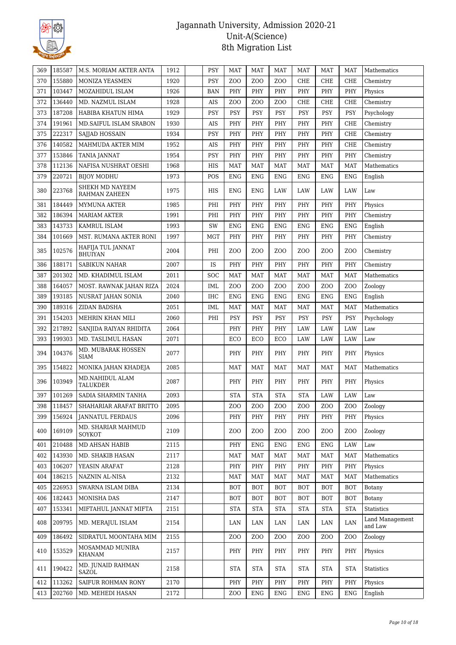

| 369 | 185587 | M.S. MORIAM AKTER ANTA                  | 1912 | PSY        | <b>MAT</b>       | <b>MAT</b>       | <b>MAT</b>       | <b>MAT</b>       | <b>MAT</b>      | <b>MAT</b>       | Mathematics                |
|-----|--------|-----------------------------------------|------|------------|------------------|------------------|------------------|------------------|-----------------|------------------|----------------------------|
| 370 | 155880 | MONIZA YEASMEN                          | 1920 | PSY        | Z <sub>O</sub> O | Z <sub>O</sub> O | Z <sub>O</sub> O | CHE              | CHE             | <b>CHE</b>       | Chemistry                  |
| 371 | 103447 | MOZAHIDUL ISLAM                         | 1926 | <b>BAN</b> | PHY              | PHY              | PHY              | PHY              | PHY             | PHY              | Physics                    |
| 372 | 136440 | MD. NAZMUL ISLAM                        | 1928 | AIS        | Z <sub>O</sub> O | Z <sub>O</sub> O | ZOO              | <b>CHE</b>       | CHE             | <b>CHE</b>       | Chemistry                  |
| 373 | 187208 | HABIBA KHATUN HIMA                      | 1929 | PSY        | PSY              | PSY              | PSY              | <b>PSY</b>       | PSY             | <b>PSY</b>       | Psychology                 |
| 374 | 191961 | MD.SAIFUL ISLAM SRABON                  | 1930 | AIS        | PHY              | PHY              | PHY              | PHY              | PHY             | CHE              | Chemistry                  |
| 375 | 222317 | SAJJAD HOSSAIN                          | 1934 | PSY        | PHY              | PHY              | PHY              | PHY              | PHY             | <b>CHE</b>       | Chemistry                  |
| 376 | 140582 | MAHMUDA AKTER MIM                       | 1952 | AIS        | PHY              | PHY              | PHY              | PHY              | PHY             | CHE              | Chemistry                  |
| 377 | 153846 | <b>TANIA JANNAT</b>                     | 1954 | PSY        | PHY              | PHY              | PHY              | PHY              | PHY             | PHY              | Chemistry                  |
| 378 | 112136 | NAFISA NUSHRAT OESHI                    | 1968 | HIS        | MAT              | <b>MAT</b>       | <b>MAT</b>       | <b>MAT</b>       | MAT             | MAT              | Mathematics                |
| 379 | 220721 | <b>BIJOY MODHU</b>                      | 1973 | POS        | <b>ENG</b>       | <b>ENG</b>       | <b>ENG</b>       | <b>ENG</b>       | <b>ENG</b>      | <b>ENG</b>       | English                    |
| 380 | 223768 | SHEKH MD NAYEEM<br><b>RAHMAN ZAHEEN</b> | 1975 | HIS        | <b>ENG</b>       | <b>ENG</b>       | LAW              | LAW              | LAW             | LAW              | Law                        |
| 381 | 184449 | <b>MYMUNA AKTER</b>                     | 1985 | PHI        | PHY              | PHY              | PHY              | PHY              | PHY             | PHY              | Physics                    |
| 382 | 186394 | <b>MARIAM AKTER</b>                     | 1991 | PHI        | PHY              | PHY              | PHY              | PHY              | PHY             | PHY              | Chemistry                  |
| 383 | 143733 | <b>KAMRUL ISLAM</b>                     | 1993 | SW         | <b>ENG</b>       | <b>ENG</b>       | <b>ENG</b>       | <b>ENG</b>       | <b>ENG</b>      | <b>ENG</b>       | English                    |
| 384 | 101669 | MST. RUMANA AKTER RONI                  | 1997 | <b>MGT</b> | PHY              | PHY              | PHY              | PHY              | PHY             | PHY              | Chemistry                  |
| 385 | 102576 | HAFIJA TUL JANNAT<br><b>BHUIYAN</b>     | 2004 | PHI        | Z <sub>O</sub> O | Z <sub>O</sub> O | Z <sub>0</sub>   | Z <sub>0</sub>   | Z <sub>0</sub>  | Z <sub>0</sub>   | Chemistry                  |
| 386 | 188171 | <b>SABIKUN NAHAR</b>                    | 2007 | IS         | PHY              | PHY              | PHY              | PHY              | PHY             | PHY              | Chemistry                  |
| 387 | 201302 | MD. KHADIMUL ISLAM                      | 2011 | <b>SOC</b> | <b>MAT</b>       | <b>MAT</b>       | <b>MAT</b>       | <b>MAT</b>       | <b>MAT</b>      | <b>MAT</b>       | Mathematics                |
| 388 | 164057 | MOST. RAWNAK JAHAN RIZA                 | 2024 | <b>IML</b> | Z <sub>O</sub> O | Z <sub>O</sub> O | ZOO              | Z <sub>O</sub> O | Z <sub>0</sub>  | Z <sub>O</sub> O | Zoology                    |
| 389 | 193185 | NUSRAT JAHAN SONIA                      | 2040 | IHC        | <b>ENG</b>       | ENG              | <b>ENG</b>       | <b>ENG</b>       | <b>ENG</b>      | <b>ENG</b>       | English                    |
| 390 | 189316 | ZIDAN BADSHA                            | 2051 | <b>IML</b> | <b>MAT</b>       | MAT              | <b>MAT</b>       | <b>MAT</b>       | <b>MAT</b>      | <b>MAT</b>       | Mathematics                |
| 391 | 154203 | MEHRIN KHAN MILI                        | 2060 | PHI        | <b>PSY</b>       | <b>PSY</b>       | <b>PSY</b>       | <b>PSY</b>       | <b>PSY</b>      | <b>PSY</b>       | Psychology                 |
| 392 | 217892 | SANJIDA RAIYAN RHIDITA                  | 2064 |            | PHY              | PHY              | PHY              | LAW              | LAW             | LAW              | Law                        |
| 393 | 199303 | MD. TASLIMUL HASAN                      | 2071 |            | ECO              | ECO              | ECO              | LAW              | LAW             | LAW              | Law                        |
| 394 | 104376 | MD. MUBARAK HOSSEN<br>SIAM              | 2077 |            | PHY              | PHY              | PHY              | PHY              | PHY             | <b>PHY</b>       | Physics                    |
| 395 | 154822 | MONIKA JAHAN KHADEJA                    | 2085 |            | <b>MAT</b>       | MAT              | <b>MAT</b>       | <b>MAT</b>       | <b>MAT</b>      | <b>MAT</b>       | Mathematics                |
| 396 | 103949 | MD.NAHIDUL ALAM<br><b>TALUKDER</b>      | 2087 |            | PHY              | PHY              | PHY              | PHY              | PHY             | PHY              | Physics                    |
| 397 | 101269 | SADIA SHARMIN TANHA                     | 2093 |            | <b>STA</b>       | <b>STA</b>       | <b>STA</b>       | <b>STA</b>       | LAW             | LAW              | Law                        |
| 398 | 118457 | SHAHARIAR ARAFAT BRITTO                 | 2095 |            | ZOO              | ZO <sub>O</sub>  | Z <sub>0</sub>   | Z <sub>0</sub>   | Z <sub>0</sub>  | ZOO              | Zoology                    |
| 399 | 156924 | <b>JANNATUL FERDAUS</b>                 | 2096 |            | PHY              | PHY              | PHY              | PHY              | PHY             | <b>PHY</b>       | Physics                    |
| 400 | 169109 | MD. SHARIAR MAHMUD<br>SOYKOT            | 2109 |            | Z <sub>O</sub> O | ZO <sub>O</sub>  | ZO <sub>O</sub>  | Z <sub>0</sub>   | ZO <sub>O</sub> | Z <sub>0</sub>   | Zoology                    |
| 401 | 210488 | MD AHSAN HABIB                          | 2115 |            | PHY              | <b>ENG</b>       | <b>ENG</b>       | <b>ENG</b>       | <b>ENG</b>      | LAW              | Law                        |
| 402 | 143930 | MD. SHAKIB HASAN                        | 2117 |            | MAT              | <b>MAT</b>       | <b>MAT</b>       | <b>MAT</b>       | <b>MAT</b>      | MAT              | Mathematics                |
| 403 | 106207 | YEASIN ARAFAT                           | 2128 |            | PHY              | PHY              | PHY              | PHY              | PHY             | PHY              | Physics                    |
| 404 | 186215 | NAZNIN AL-NISA                          | 2132 |            | <b>MAT</b>       | MAT              | <b>MAT</b>       | <b>MAT</b>       | MAT             | <b>MAT</b>       | Mathematics                |
| 405 | 226953 | SWARNA ISLAM DIBA                       | 2134 |            | <b>BOT</b>       | <b>BOT</b>       | <b>BOT</b>       | <b>BOT</b>       | <b>BOT</b>      | <b>BOT</b>       | Botany                     |
| 406 | 182443 | MONISHA DAS                             | 2147 |            | <b>BOT</b>       | <b>BOT</b>       | <b>BOT</b>       | <b>BOT</b>       | <b>BOT</b>      | <b>BOT</b>       | Botany                     |
| 407 | 153341 | MIFTAHUL JANNAT MIFTA                   | 2151 |            | <b>STA</b>       | <b>STA</b>       | <b>STA</b>       | <b>STA</b>       | <b>STA</b>      | <b>STA</b>       | <b>Statistics</b>          |
| 408 | 209795 | MD. MERAJUL ISLAM                       | 2154 |            | LAN              | LAN              | LAN              | LAN              | LAN             | LAN              | Land Management<br>and Law |
| 409 | 186492 | SIDRATUL MOONTAHA MIM                   | 2155 |            | ZOO              | ZOO              | ZOO              | Z <sub>0</sub>   | Z <sub>0</sub>  | ZO <sub>O</sub>  | Zoology                    |
| 410 | 153529 | MOSAMMAD MUNIRA<br>KHANAM               | 2157 |            | PHY              | PHY              | PHY              | PHY              | PHY             | PHY              | Physics                    |
| 411 | 190422 | MD. JUNAID RAHMAN<br>SAZOL              | 2158 |            | <b>STA</b>       | <b>STA</b>       | <b>STA</b>       | <b>STA</b>       | <b>STA</b>      | <b>STA</b>       | <b>Statistics</b>          |
| 412 | 113262 | SAIFUR ROHMAN RONY                      | 2170 |            | PHY              | PHY              | PHY              | PHY              | PHY             | PHY              | Physics                    |
| 413 | 202760 | MD. MEHEDI HASAN                        | 2172 |            | ZOO              | <b>ENG</b>       | ENG              | ENG              | ENG             | ENG              | English                    |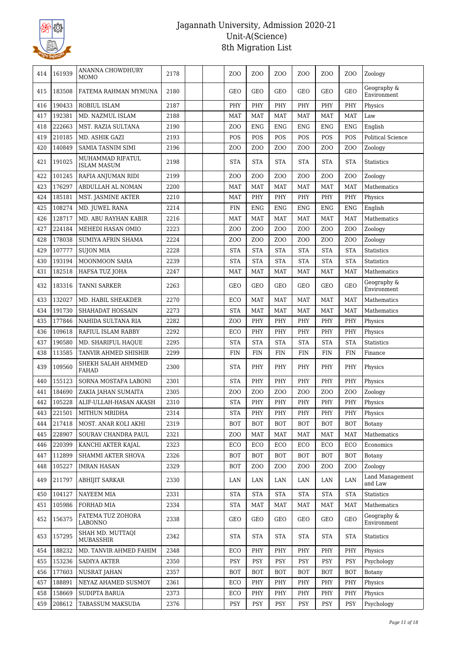

| 414 | 161939 | ANANNA CHOWDHURY<br>MOMO               | 2178 | Z <sub>O</sub> O | ZOO              | Z <sub>0</sub>   | Z <sub>O</sub> O | Z <sub>0</sub>  | ZOO              | Zoology                    |
|-----|--------|----------------------------------------|------|------------------|------------------|------------------|------------------|-----------------|------------------|----------------------------|
| 415 | 183508 | FATEMA RAHMAN MYMUNA                   | 2180 | <b>GEO</b>       | GEO              | <b>GEO</b>       | <b>GEO</b>       | <b>GEO</b>      | <b>GEO</b>       | Geography &<br>Environment |
| 416 | 190433 | <b>ROBIUL ISLAM</b>                    | 2187 | PHY              | PHY              | PHY              | PHY              | PHY             | PHY              | Physics                    |
| 417 | 192381 | MD. NAZMUL ISLAM                       | 2188 | <b>MAT</b>       | <b>MAT</b>       | <b>MAT</b>       | <b>MAT</b>       | <b>MAT</b>      | <b>MAT</b>       | Law                        |
| 418 | 222663 | MST. RAZIA SULTANA                     | 2190 | Z <sub>O</sub> O | <b>ENG</b>       | <b>ENG</b>       | <b>ENG</b>       | <b>ENG</b>      | <b>ENG</b>       | English                    |
| 419 | 210185 | MD. ASHIK GAZI                         | 2193 | POS              | POS              | POS              | POS              | POS             | POS              | <b>Political Science</b>   |
| 420 | 140849 | <b>SAMIA TASNIM SIMI</b>               | 2196 | Z <sub>O</sub> O | Z <sub>O</sub> O | Z <sub>O</sub> O | Z <sub>0</sub>   | Z <sub>0</sub>  | Z <sub>0</sub>   | Zoology                    |
| 421 | 191025 | MUHAMMAD RIFATUL<br><b>ISLAM MASUM</b> | 2198 | <b>STA</b>       | <b>STA</b>       | <b>STA</b>       | <b>STA</b>       | <b>STA</b>      | <b>STA</b>       | <b>Statistics</b>          |
| 422 | 101245 | RAFIA ANJUMAN RIDI                     | 2199 | Z <sub>O</sub> O | ZO <sub>O</sub>  | Z <sub>O</sub> O | Z <sub>O</sub> O | Z <sub>0</sub>  | Z <sub>O</sub> O | Zoology                    |
| 423 | 176297 | ABDULLAH AL NOMAN                      | 2200 | <b>MAT</b>       | <b>MAT</b>       | <b>MAT</b>       | <b>MAT</b>       | <b>MAT</b>      | <b>MAT</b>       | Mathematics                |
| 424 | 185181 | MST. JASMINE AKTER                     | 2210 | <b>MAT</b>       | PHY              | PHY              | PHY              | PHY             | PHY              | Physics                    |
| 425 | 108274 | MD. JUWEL RANA                         | 2214 | <b>FIN</b>       | <b>ENG</b>       | <b>ENG</b>       | <b>ENG</b>       | <b>ENG</b>      | <b>ENG</b>       | English                    |
| 426 | 128717 | MD. ABU RAYHAN KABIR                   | 2216 | <b>MAT</b>       | <b>MAT</b>       | <b>MAT</b>       | <b>MAT</b>       | <b>MAT</b>      | <b>MAT</b>       | Mathematics                |
| 427 | 224184 | MEHEDI HASAN OMIO                      | 2223 | ZO <sub>O</sub>  | ZO <sub>O</sub>  | Z <sub>O</sub> O | ZO <sub>O</sub>  | ZO <sub>O</sub> | ZO <sub>O</sub>  | Zoology                    |
| 428 | 178038 | <b>SUMIYA AFRIN SHAMA</b>              | 2224 | Z <sub>O</sub> O | Z <sub>O</sub> O | Z <sub>O</sub> O | Z <sub>O</sub> O | Z <sub>0</sub>  | Z <sub>O</sub> O | Zoology                    |
| 429 | 107777 | <b>SUJON MIA</b>                       | 2228 | <b>STA</b>       | <b>STA</b>       | <b>STA</b>       | <b>STA</b>       | <b>STA</b>      | <b>STA</b>       | <b>Statistics</b>          |
| 430 | 193194 | MOONMOON SAHA                          | 2239 | <b>STA</b>       | <b>STA</b>       | <b>STA</b>       | <b>STA</b>       | <b>STA</b>      | <b>STA</b>       | <b>Statistics</b>          |
| 431 | 182518 | HAFSA TUZ JOHA                         | 2247 | <b>MAT</b>       | <b>MAT</b>       | <b>MAT</b>       | <b>MAT</b>       | <b>MAT</b>      | <b>MAT</b>       | Mathematics                |
| 432 | 183316 | TANNI SARKER                           | 2263 | GEO              | GEO              | GEO              | GEO              | GEO             | GEO              | Geography &<br>Environment |
| 433 | 132027 | MD. HABIL SHEAKDER                     | 2270 | ECO              | <b>MAT</b>       | <b>MAT</b>       | <b>MAT</b>       | <b>MAT</b>      | <b>MAT</b>       | Mathematics                |
| 434 | 191730 | SHAHADAT HOSSAIN                       | 2273 | <b>STA</b>       | <b>MAT</b>       | <b>MAT</b>       | <b>MAT</b>       | <b>MAT</b>      | <b>MAT</b>       | Mathematics                |
| 435 | 177846 | NAHIDA SULTANA RIA                     | 2282 | ZO <sub>O</sub>  | PHY              | PHY              | PHY              | PHY             | PHY              | Physics                    |
| 436 | 109618 | RAFIUL ISLAM RABBY                     | 2292 | ECO              | PHY              | PHY              | PHY              | PHY             | PHY              | Physics                    |
| 437 | 190580 | MD. SHARIFUL HAQUE                     | 2295 | <b>STA</b>       | <b>STA</b>       | <b>STA</b>       | <b>STA</b>       | <b>STA</b>      | <b>STA</b>       | <b>Statistics</b>          |
| 438 | 113585 | TANVIR AHMED SHISHIR                   | 2299 | FIN              | <b>FIN</b>       | <b>FIN</b>       | FIN              | <b>FIN</b>      | <b>FIN</b>       | Finance                    |
| 439 | 109560 | SHEKH SALAH AHMMED<br><b>FAHAD</b>     | 2300 | <b>STA</b>       | PHY              | PHY              | PHY              | PHY             | PHY              | Physics                    |
| 440 | 155123 | SORNA MOSTAFA LABONI                   | 2301 | <b>STA</b>       | PHY              | PHY              | PHY              | PHY             | PHY              | Physics                    |
| 441 | 184690 | ZAKIA JAHAN SUMAITA                    | 2305 | Z <sub>O</sub> O | Z <sub>O</sub> O | Z <sub>O</sub> O | Z <sub>0</sub>   | Z <sub>0</sub>  | Z <sub>O</sub> O | Zoology                    |
| 442 | 105228 | ALIF-ULLAH-HASAN AKASH                 | 2310 | <b>STA</b>       | PHY              | PHY              | PHY              | PHY             | PHY              | Physics                    |
| 443 | 221501 | MITHUN MRIDHA                          | 2314 | <b>STA</b>       | PHY              | PHY              | PHY              | PHY             | PHY              | Physics                    |
| 444 | 217418 | MOST. ANAR KOLI AKHI                   | 2319 | <b>BOT</b>       | <b>BOT</b>       | <b>BOT</b>       | <b>BOT</b>       | <b>BOT</b>      | <b>BOT</b>       | Botany                     |
| 445 | 228907 | SOURAV CHANDRA PAUL                    | 2321 | Z <sub>O</sub> O | <b>MAT</b>       | MAT              | <b>MAT</b>       | MAT             | MAT              | Mathematics                |
| 446 | 220399 | KANCHI AKTER KAJAL                     | 2323 | ECO              | ECO              | ECO              | ECO              | ECO             | ECO              | Economics                  |
| 447 | 112899 | SHAMMI AKTER SHOVA                     | 2326 | <b>BOT</b>       | <b>BOT</b>       | <b>BOT</b>       | <b>BOT</b>       | <b>BOT</b>      | <b>BOT</b>       | Botany                     |
| 448 | 105227 | <b>IMRAN HASAN</b>                     | 2329 | <b>BOT</b>       | Z <sub>O</sub> O | Z <sub>0</sub>   | Z <sub>0</sub>   | Z <sub>0</sub>  | Z <sub>0</sub>   | Zoology                    |
| 449 | 211797 | ABHIJIT SARKAR                         | 2330 | LAN              | LAN              | LAN              | LAN              | LAN             | LAN              | Land Management<br>and Law |
| 450 | 104127 | NAYEEM MIA                             | 2331 | <b>STA</b>       | <b>STA</b>       | <b>STA</b>       | <b>STA</b>       | <b>STA</b>      | <b>STA</b>       | Statistics                 |
| 451 | 105986 | FORHAD MIA                             | 2334 | <b>STA</b>       | MAT              | <b>MAT</b>       | <b>MAT</b>       | MAT             | <b>MAT</b>       | Mathematics                |
| 452 | 156375 | FATEMA TUZ ZOHORA<br>LABONNO           | 2338 | GEO              | GEO              | GEO              | GEO              | GEO             | GEO              | Geography &<br>Environment |
| 453 | 157295 | SHAH MD. MUTTAQI<br><b>MUBASSHIR</b>   | 2342 | <b>STA</b>       | <b>STA</b>       | <b>STA</b>       | <b>STA</b>       | <b>STA</b>      | <b>STA</b>       | Statistics                 |
| 454 | 188232 | MD. TANVIR AHMED FAHIM                 | 2348 | ECO              | PHY              | PHY              | PHY              | PHY             | PHY              | Physics                    |
| 455 | 153236 | SADIYA AKTER                           | 2350 | PSY              | PSY              | PSY              | PSY              | <b>PSY</b>      | PSY              | Psychology                 |
| 456 | 177603 | <b>NUSRAT JAHAN</b>                    | 2357 | <b>BOT</b>       | <b>BOT</b>       | <b>BOT</b>       | <b>BOT</b>       | <b>BOT</b>      | BOT              | Botany                     |
| 457 | 188891 | NEYAZ AHAMED SUSMOY                    | 2361 | ECO              | PHY              | PHY              | PHY              | PHY             | PHY              | Physics                    |
| 458 | 158669 | SUDIPTA BARUA                          | 2373 | ECO              | PHY              | PHY              | PHY              | PHY             | PHY              | Physics                    |
| 459 | 208612 | TABASSUM MAKSUDA                       | 2376 | <b>PSY</b>       | PSY              | PSY              | PSY              | PSY             | <b>PSY</b>       | Psychology                 |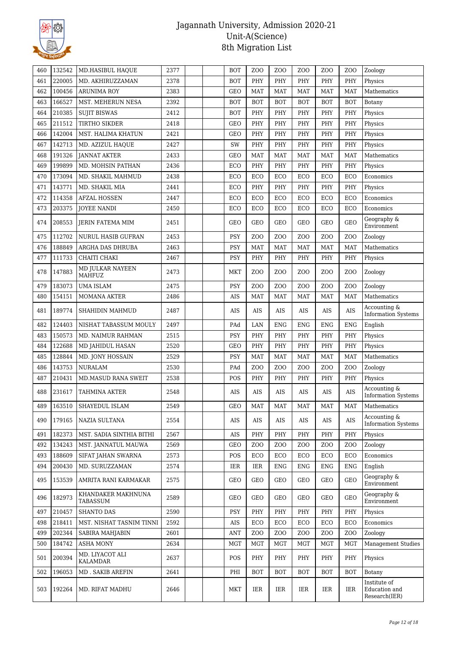

| 460 | 132542 | MD.HASIBUL HAQUE                  | 2377 | <b>BOT</b> | Z <sub>O</sub> O     | Z <sub>O</sub> O | Z <sub>O</sub> O | Z <sub>O</sub> O | Z <sub>O</sub> O | Zoology                                        |
|-----|--------|-----------------------------------|------|------------|----------------------|------------------|------------------|------------------|------------------|------------------------------------------------|
| 461 | 220005 | MD. AKHIRUZZAMAN                  | 2378 | <b>BOT</b> | PHY                  | PHY              | PHY              | PHY              | PHY              | Physics                                        |
| 462 | 100456 | <b>ARUNIMA ROY</b>                | 2383 | <b>GEO</b> | <b>MAT</b>           | <b>MAT</b>       | <b>MAT</b>       | <b>MAT</b>       | <b>MAT</b>       | Mathematics                                    |
| 463 | 166527 | MST. MEHERUN NESA                 | 2392 | <b>BOT</b> | <b>BOT</b>           | <b>BOT</b>       | <b>BOT</b>       | <b>BOT</b>       | <b>BOT</b>       | Botany                                         |
| 464 | 210385 | <b>SUJIT BISWAS</b>               | 2412 | <b>BOT</b> | PHY                  | PHY              | PHY              | PHY              | PHY              | Physics                                        |
| 465 | 211512 | TIRTHO SIKDER                     | 2418 | <b>GEO</b> | PHY                  | PHY              | PHY              | PHY              | PHY              | Physics                                        |
| 466 | 142004 | MST. HALIMA KHATUN                | 2421 | <b>GEO</b> | PHY                  | PHY              | PHY              | PHY              | PHY              | Physics                                        |
| 467 | 142713 | MD. AZIZUL HAQUE                  | 2427 | SW         | PHY                  | PHY              | PHY              | PHY              | PHY              | Physics                                        |
| 468 | 191326 | <b>JANNAT AKTER</b>               | 2433 | <b>GEO</b> | <b>MAT</b>           | <b>MAT</b>       | <b>MAT</b>       | <b>MAT</b>       | <b>MAT</b>       | Mathematics                                    |
| 469 | 199899 | MD. MOHSIN PATHAN                 | 2436 | ECO        | PHY                  | PHY              | PHY              | PHY              | PHY              | Physics                                        |
| 470 | 173094 | MD. SHAKIL MAHMUD                 | 2438 | ECO        | ECO                  | ECO              | ECO              | ECO              | ECO              | Economics                                      |
| 471 | 143771 | MD. SHAKIL MIA                    | 2441 | ECO        | PHY                  | PHY              | PHY              | PHY              | PHY              | Physics                                        |
| 472 | 114358 | <b>AFZAL HOSSEN</b>               | 2447 | ECO        | ECO                  | ECO              | ECO              | ECO              | ECO              | Economics                                      |
| 473 | 203375 | <b>JOYEE NANDI</b>                | 2450 | ECO        | ECO                  | ECO              | ECO              | ECO              | ECO              | Economics                                      |
| 474 | 208553 | <b>JERIN FATEMA MIM</b>           | 2451 | <b>GEO</b> | <b>GEO</b>           | <b>GEO</b>       | GEO              | <b>GEO</b>       | <b>GEO</b>       | Geography &<br>Environment                     |
| 475 | 112702 | NURUL HASIB GUFRAN                | 2453 | PSY        | ZO <sub>O</sub>      | Z <sub>00</sub>  | ZO <sub>O</sub>  | Z <sub>O</sub> O | ZO <sub>O</sub>  | Zoology                                        |
| 476 | 188849 | ARGHA DAS DHRUBA                  | 2463 | <b>PSY</b> | <b>MAT</b>           | <b>MAT</b>       | <b>MAT</b>       | <b>MAT</b>       | <b>MAT</b>       | Mathematics                                    |
| 477 | 111733 | CHAITI CHAKI                      | 2467 | <b>PSY</b> | PHY                  | PHY              | PHY              | PHY              | PHY              | Physics                                        |
| 478 | 147883 | MD JULKAR NAYEEN<br><b>MAHFUZ</b> | 2473 | MKT        | Z <sub>O</sub> O     | Z <sub>O</sub> O | Z <sub>O</sub> O | Z <sub>O</sub> O | Z <sub>O</sub> O | Zoology                                        |
| 479 | 183073 | <b>UMA ISLAM</b>                  | 2475 | PSY        | ZO <sub>O</sub>      | ZO <sub>O</sub>  | Z <sub>O</sub> O | Z <sub>O</sub> O | Z <sub>O</sub> O | Zoology                                        |
| 480 | 154151 | MOMANA AKTER                      | 2486 | <b>AIS</b> | <b>MAT</b>           | <b>MAT</b>       | <b>MAT</b>       | <b>MAT</b>       | MAT              | Mathematics                                    |
| 481 | 189774 | SHAHIDIN MAHMUD                   | 2487 | <b>AIS</b> | AIS                  | AIS              | AIS              | AIS              | <b>AIS</b>       | Accounting &<br><b>Information Systems</b>     |
| 482 | 124403 | NISHAT TABASSUM MOULY             | 2497 | PAd        | LAN                  | <b>ENG</b>       | <b>ENG</b>       | <b>ENG</b>       | <b>ENG</b>       | English                                        |
| 483 | 150573 | MD. NAIMUR RAHMAN                 | 2515 | PSY        | PHY                  | PHY              | PHY              | PHY              | PHY              | Physics                                        |
| 484 | 122688 | MD JAHIDUL HASAN                  | 2520 | <b>GEO</b> | PHY                  | PHY              | PHY              | PHY              | PHY              | Physics                                        |
| 485 | 128844 | MD. JONY HOSSAIN                  | 2529 | <b>PSY</b> | <b>MAT</b>           | <b>MAT</b>       | <b>MAT</b>       | <b>MAT</b>       | <b>MAT</b>       | Mathematics                                    |
| 486 | 143753 | <b>NURALAM</b>                    | 2530 | PAd        | Z <sub>O</sub> O     | ZO <sub>O</sub>  | Z <sub>O</sub> O | Z <sub>O</sub> O | Z <sub>O</sub> O | Zoology                                        |
| 487 | 210431 | MD.MASUD RANA SWEIT               | 2538 | POS        | PHY                  | PHY              | PHY              | PHY              | PHY              | Physics                                        |
| 488 | 231617 | TAHMINA AKTER                     | 2548 | AIS        | AIS                  | AIS              | AIS              | AIS              | AIS              | Accounting &<br><b>Information Systems</b>     |
| 489 | 163510 | <b>SHAYEDUL ISLAM</b>             | 2549 | GEO        | $\operatorname{MAT}$ | MAT              | MAT              | MAT              | MAT              | Mathematics                                    |
| 490 | 179165 | NAZIA SULTANA                     | 2554 | AIS        | AIS                  | AIS              | AIS              | AIS              | AIS              | Accounting &<br><b>Information Systems</b>     |
| 491 | 182373 | MST. SADIA SINTHIA BITHI          | 2567 | AIS        | PHY                  | PHY              | PHY              | PHY              | PHY              | Physics                                        |
| 492 | 134243 | MST. JANNATUL MAUWA               | 2569 | <b>GEO</b> | Z <sub>0</sub>       | ZO <sub>O</sub>  | Z <sub>O</sub> O | Z <sub>O</sub> O | Z <sub>O</sub> O | Zoology                                        |
| 493 | 188609 | SIFAT JAHAN SWARNA                | 2573 | POS        | ECO                  | ECO              | ECO              | ECO              | ECO              | Economics                                      |
| 494 | 200430 | MD. SURUZZAMAN                    | 2574 | <b>IER</b> | IER                  | <b>ENG</b>       | <b>ENG</b>       | <b>ENG</b>       | <b>ENG</b>       | English                                        |
| 495 | 153539 | AMRITA RANI KARMAKAR              | 2575 | <b>GEO</b> | GEO                  | GEO              | <b>GEO</b>       | <b>GEO</b>       | <b>GEO</b>       | Geography &<br>Environment                     |
| 496 | 182973 | KHANDAKER MAKHNUNA<br>TABASSUM    | 2589 | GEO        | GEO                  | GEO              | GEO              | <b>GEO</b>       | <b>GEO</b>       | Geography &<br>Environment                     |
| 497 | 210457 | <b>SHANTO DAS</b>                 | 2590 | <b>PSY</b> | PHY                  | PHY              | PHY              | PHY              | PHY              | Physics                                        |
| 498 | 218411 | MST. NISHAT TASNIM TINNI          | 2592 | AIS        | ECO                  | ECO              | ECO              | ECO              | ECO              | Economics                                      |
| 499 | 202344 | SABIRA MAHJABIN                   | 2601 | ANT        | Z <sub>O</sub> O     | Z <sub>0</sub>   | Z <sub>O</sub> O | Z <sub>O</sub> O | Z <sub>O</sub> O | Zoology                                        |
| 500 | 184742 | <b>ASHA MONY</b>                  | 2634 | <b>MGT</b> | <b>MGT</b>           | <b>MGT</b>       | <b>MGT</b>       | <b>MGT</b>       | MGT              | <b>Management Studies</b>                      |
| 501 | 200394 | MD. LIYACOT ALI<br>KALAMDAR       | 2637 | POS        | PHY                  | PHY              | PHY              | PHY              | PHY              | Physics                                        |
| 502 | 196053 | MD . SAKIB AREFIN                 | 2641 | PHI        | BOT                  | <b>BOT</b>       | <b>BOT</b>       | <b>BOT</b>       | <b>BOT</b>       | Botany                                         |
| 503 | 192264 | MD. RIFAT MADHU                   | 2646 | MKT        | IER                  | IER              | <b>IER</b>       | <b>IER</b>       | IER              | Institute of<br>Education and<br>Research(IER) |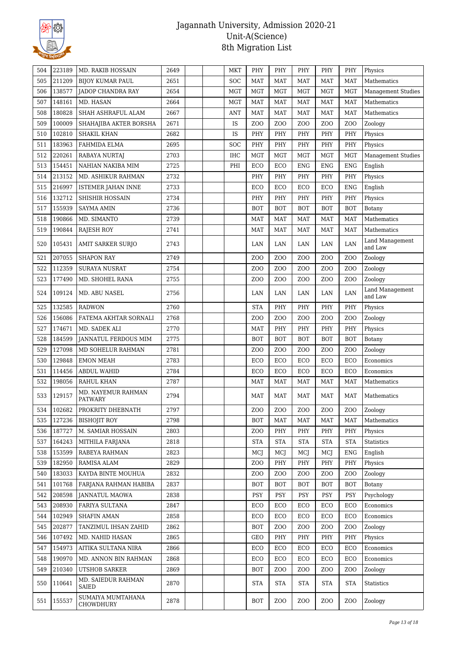

| 504 | 223189 | <b>MD. RAKIB HOSSAIN</b>             | 2649 | MKT        | PHY              | PHY              | PHY              | PHY              | PHY              | Physics                    |
|-----|--------|--------------------------------------|------|------------|------------------|------------------|------------------|------------------|------------------|----------------------------|
| 505 | 211209 | <b>BIJOY KUMAR PAUL</b>              | 2651 | SOC        | <b>MAT</b>       | <b>MAT</b>       | <b>MAT</b>       | <b>MAT</b>       | <b>MAT</b>       | Mathematics                |
| 506 | 138577 | <b>IADOP CHANDRA RAY</b>             | 2654 | MGT        | <b>MGT</b>       | <b>MGT</b>       | <b>MGT</b>       | <b>MGT</b>       | <b>MGT</b>       | <b>Management Studies</b>  |
| 507 | 148161 | MD. HASAN                            | 2664 | <b>MGT</b> | <b>MAT</b>       | <b>MAT</b>       | <b>MAT</b>       | <b>MAT</b>       | <b>MAT</b>       | Mathematics                |
| 508 | 180828 | SHAH ASHRAFUL ALAM                   | 2667 | ANT        | <b>MAT</b>       | <b>MAT</b>       | <b>MAT</b>       | <b>MAT</b>       | <b>MAT</b>       | Mathematics                |
| 509 | 100009 | SHAHAJIBA AKTER BORSHA               | 2671 | IS         | ZO <sub>O</sub>  | ZO <sub>O</sub>  | ZO <sub>O</sub>  | Z <sub>O</sub> O | ZO <sub>O</sub>  | Zoology                    |
| 510 | 102810 | <b>SHAKIL KHAN</b>                   | 2682 | IS         | PHY              | PHY              | PHY              | PHY              | PHY              | Physics                    |
| 511 | 183963 | FAHMIDA ELMA                         | 2695 | SOC        | PHY              | PHY              | PHY              | PHY              | PHY              | Physics                    |
| 512 | 220261 | RABAYA NURTAJ                        | 2703 | IHC        | <b>MGT</b>       | <b>MGT</b>       | <b>MGT</b>       | <b>MGT</b>       | MGT              | <b>Management Studies</b>  |
| 513 | 154451 | NAHIAN NAKIBA MIM                    | 2725 | PHI        | ECO              | ECO              | <b>ENG</b>       | <b>ENG</b>       | <b>ENG</b>       | English                    |
| 514 | 213152 | MD. ASHIKUR RAHMAN                   | 2732 |            | PHY              | PHY              | PHY              | PHY              | PHY              | Physics                    |
| 515 | 216997 | <b>ISTEMER JAHAN INNE</b>            | 2733 |            | ECO              | ECO              | ECO              | ECO              | <b>ENG</b>       | English                    |
| 516 | 132712 | SHISHIR HOSSAIN                      | 2734 |            | PHY              | PHY              | PHY              | PHY              | PHY              | Physics                    |
| 517 | 155939 | <b>SAYMA AMIN</b>                    | 2736 |            | <b>BOT</b>       | <b>BOT</b>       | <b>BOT</b>       | <b>BOT</b>       | <b>BOT</b>       | Botany                     |
| 518 | 190866 | MD. SIMANTO                          | 2739 |            | <b>MAT</b>       | <b>MAT</b>       | <b>MAT</b>       | <b>MAT</b>       | <b>MAT</b>       | Mathematics                |
| 519 | 190844 | <b>RAJESH ROY</b>                    | 2741 |            | MAT              | MAT              | <b>MAT</b>       | MAT              | MAT              | Mathematics                |
| 520 | 105431 | <b>AMIT SARKER SURJO</b>             | 2743 |            | LAN              | LAN              | LAN              | LAN              | LAN              | Land Management<br>and Law |
| 521 | 207055 | <b>SHAPON RAY</b>                    | 2749 |            | ZO <sub>O</sub>  | ZO <sub>O</sub>  | Z <sub>O</sub> O | Z <sub>O</sub> O | Z <sub>O</sub> O | Zoology                    |
| 522 | 112359 | <b>SURAYA NUSRAT</b>                 | 2754 |            | ZO <sub>O</sub>  | Z <sub>O</sub> O | ZO <sub>O</sub>  | Z <sub>O</sub> O | ZO <sub>O</sub>  | Zoology                    |
| 523 | 177490 | MD. SHOHEL RANA                      | 2755 |            | Z <sub>O</sub> O | ZO <sub>O</sub>  | Z <sub>O</sub> O | Z <sub>O</sub> O | Z <sub>O</sub> O | Zoology                    |
| 524 | 109124 | MD. ABU NASEL                        | 2756 |            | LAN              | LAN              | LAN              | LAN              | LAN              | Land Management<br>and Law |
| 525 | 132585 | <b>RADWON</b>                        | 2760 |            | <b>STA</b>       | PHY              | PHY              | PHY              | PHY              | Physics                    |
| 526 | 156086 | FATEMA AKHTAR SORNALI                | 2768 |            | Z <sub>O</sub> O | ZO <sub>O</sub>  | Z <sub>O</sub> O | Z <sub>0</sub>   | Z <sub>O</sub> O | Zoology                    |
| 527 | 174671 | MD. SADEK ALI                        | 2770 |            | <b>MAT</b>       | PHY              | PHY              | PHY              | PHY              | Physics                    |
| 528 | 184599 | JANNATUL FERDOUS MIM                 | 2775 |            | <b>BOT</b>       | <b>BOT</b>       | <b>BOT</b>       | <b>BOT</b>       | <b>BOT</b>       | Botany                     |
| 529 | 127098 | MD SOHELUR RAHMAN                    | 2781 |            | Z <sub>O</sub> O | ZO <sub>O</sub>  | Z <sub>O</sub> O | Z <sub>O</sub> O | Z <sub>O</sub> O | Zoology                    |
| 530 | 129848 | <b>EMON MEAH</b>                     | 2783 |            | ECO              | ECO              | ECO              | ECO              | ECO              | Economics                  |
| 531 | 114456 | <b>ABDUL WAHID</b>                   | 2784 |            | ECO              | ECO              | ECO              | ECO              | ECO              | Economics                  |
| 532 | 198056 | <b>RAHUL KHAN</b>                    | 2787 |            | <b>MAT</b>       | <b>MAT</b>       | <b>MAT</b>       | <b>MAT</b>       | MAT              | Mathematics                |
| 533 | 129157 | MD. NAYEMUR RAHMAN<br><b>PATWARY</b> | 2794 |            | <b>MAT</b>       | <b>MAT</b>       | <b>MAT</b>       | <b>MAT</b>       | <b>MAT</b>       | Mathematics                |
| 534 | 102682 | PROKRITY DHEBNATH                    | 2797 |            | Z <sub>0</sub>   | Z <sub>0</sub>   | Z <sub>O</sub> O | Z <sub>0</sub>   | ZOO              | Zoology                    |
| 535 | 127236 | <b>BISHOJIT ROY</b>                  | 2798 |            | <b>BOT</b>       | MAT              | <b>MAT</b>       | MAT              | MAT              | Mathematics                |
| 536 | 187727 | M. SAMIAR HOSSAIN                    | 2803 |            | Z <sub>O</sub> O | PHY              | PHY              | PHY              | PHY              | Physics                    |
| 537 | 164243 | MITHILA FARJANA                      | 2818 |            | <b>STA</b>       | <b>STA</b>       | <b>STA</b>       | <b>STA</b>       | <b>STA</b>       | Statistics                 |
| 538 | 153599 | RABEYA RAHMAN                        | 2823 |            | MCJ              | MCJ              | MCJ              | MCI              | <b>ENG</b>       | English                    |
| 539 | 182950 | RAMISA ALAM                          | 2829 |            | Z <sub>O</sub> O | PHY              | PHY              | PHY              | PHY              | Physics                    |
| 540 | 183033 | KAYDA BINTE MOUHUA                   | 2832 |            | Z <sub>O</sub> O | Z <sub>0</sub>   | Z <sub>O</sub> O | Z <sub>0</sub>   | Z <sub>O</sub> O | Zoology                    |
| 541 | 101768 | FARJANA RAHMAN HABIBA                | 2837 |            | BOT              | <b>BOT</b>       | <b>BOT</b>       | <b>BOT</b>       | <b>BOT</b>       | Botany                     |
| 542 | 208598 | <b>JANNATUL MAOWA</b>                | 2838 |            | PSY              | <b>PSY</b>       | PSY              | PSY              | <b>PSY</b>       | Psychology                 |
| 543 | 208930 | FARIYA SULTANA                       | 2847 |            | ECO              | ECO              | ECO              | ECO              | ECO              | Economics                  |
| 544 | 102949 | <b>SHAFIN AMAN</b>                   | 2858 |            | ECO              | ECO              | ECO              | ECO              | ECO              | Economics                  |
| 545 | 202877 | TANZIMUL IHSAN ZAHID                 | 2862 |            | BOT              | Z <sub>O</sub> O | Z <sub>O</sub> O | Z <sub>O</sub> O | Z <sub>O</sub> O | Zoology                    |
| 546 | 107492 | MD. NAHID HASAN                      | 2865 |            | GEO              | PHY              | PHY              | PHY              | PHY              | Physics                    |
| 547 | 154973 | AITIKA SULTANA NIRA                  | 2866 |            | ECO              | ECO              | ECO              | ECO              | ECO              | Economics                  |
| 548 | 190970 | MD. ANNON BIN RAHMAN                 | 2868 |            | ECO              | ECO              | ECO              | ECO              | ECO              | Economics                  |
| 549 | 210340 | <b>UTSHOB SARKER</b>                 | 2869 |            | <b>BOT</b>       | Z <sub>O</sub> O | Z <sub>O</sub> O | Z <sub>0</sub>   | Z <sub>O</sub> O | Zoology                    |
| 550 | 110641 | MD. SAIEDUR RAHMAN<br>SAIED          | 2870 |            | <b>STA</b>       | <b>STA</b>       | <b>STA</b>       | <b>STA</b>       | <b>STA</b>       | <b>Statistics</b>          |
| 551 | 155537 | SUMAIYA MUMTAHANA<br>CHOWDHURY       | 2878 |            | <b>BOT</b>       | ZOO              | Z <sub>0</sub>   | Z <sub>0</sub>   | Z <sub>0</sub>   | Zoology                    |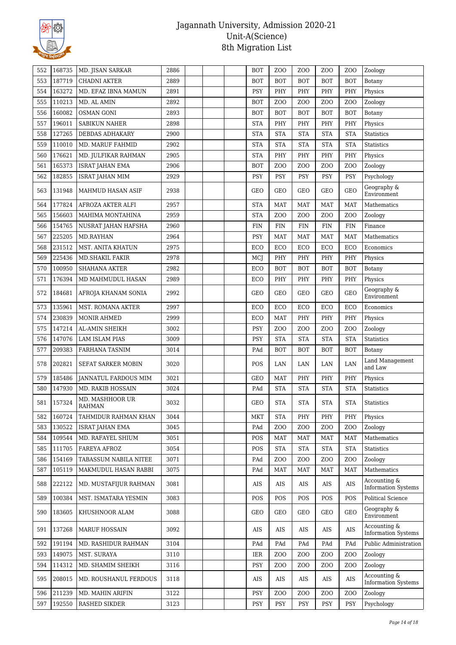

| 553<br>187719<br><b>BOT</b><br><b>CHADNI AKTER</b><br>2889<br><b>BOT</b><br><b>BOT</b><br><b>BOT</b><br><b>BOT</b><br>Botany<br>554<br>163272<br>MD. EFAZ IBNA MAMUN<br>2891<br><b>PSY</b><br>PHY<br>PHY<br>PHY<br>PHY<br>Physics<br>110213<br>2892<br>ZO <sub>O</sub><br>Z <sub>O</sub> O<br>555<br>MD. AL AMIN<br><b>BOT</b><br>Z <sub>O</sub> O<br>Z <sub>O</sub> O<br>Zoology<br>556<br>160082<br><b>OSMAN GONI</b><br>2893<br><b>BOT</b><br><b>BOT</b><br><b>BOT</b><br><b>BOT</b><br><b>BOT</b><br>Botany<br>196011<br>PHY<br>PHY<br>557<br><b>SABIKUN NAHER</b><br>2898<br><b>STA</b><br>PHY<br>PHY<br>Physics<br>127265<br><b>STA</b><br>558<br>DEBDAS ADHAKARY<br>2900<br><b>STA</b><br><b>STA</b><br><b>STA</b><br><b>STA</b><br><b>Statistics</b><br>559<br>110010<br>MD. MARUF FAHMID<br>2902<br><b>STA</b><br><b>STA</b><br><b>STA</b><br><b>STA</b><br><b>STA</b><br>Statistics<br>176621<br>2905<br>PHY<br>PHY<br>PHY<br>PHY<br>560<br><b>STA</b><br>Physics<br>MD. JULFIKAR RAHMAN<br>165373<br>ZO <sub>O</sub><br><b>ISRAT JAHAN EMA</b><br>2906<br><b>BOT</b><br>Z <sub>O</sub> O<br>Z <sub>O</sub> O<br>Z <sub>O</sub> O<br>561<br>Zoology<br>562<br>182855<br><b>ISRAT JAHAN MIM</b><br>2929<br><b>PSY</b><br><b>PSY</b><br><b>PSY</b><br><b>PSY</b><br><b>PSY</b><br>Psychology<br>Geography &<br><b>GEO</b><br>563<br>131948<br>2938<br>GEO<br>GEO<br>GEO<br><b>GEO</b><br>MAHMUD HASAN ASIF<br>Environment<br>177824<br>2957<br>564<br>AFROZA AKTER ALFI<br><b>STA</b><br><b>MAT</b><br><b>MAT</b><br><b>MAT</b><br><b>MAT</b><br>Mathematics<br>156603<br>2959<br><b>STA</b><br>ZO <sub>O</sub><br>Z <sub>O</sub> O<br>565<br>MAHIMA MONTAHINA<br>Z <sub>O</sub> O<br>Z <sub>O</sub> O<br>Zoology<br>154765<br>566<br>2960<br><b>FIN</b><br><b>FIN</b><br><b>FIN</b><br><b>FIN</b><br><b>FIN</b><br>NUSRAT JAHAN HAFSHA<br>Finance<br>567<br>225205<br>2964<br><b>PSY</b><br>MD.RAYHAN<br><b>MAT</b><br><b>MAT</b><br><b>MAT</b><br><b>MAT</b><br>Mathematics<br>231512<br>ECO<br>568<br>MST. ANITA KHATUN<br>2975<br>ECO<br>ECO<br>ECO<br>ECO<br>Economics<br>225436<br>569<br>MD.SHAKIL FAKIR<br>2978<br>MCJ<br>PHY<br>PHY<br>PHY<br>PHY<br>Physics<br>570<br>100950<br>2982<br><b>BOT</b><br><b>BOT</b><br><b>BOT</b><br><b>SHAHANA AKTER</b><br>ECO<br><b>BOT</b><br>Botany<br>176394<br>2989<br>PHY<br>PHY<br>PHY<br>PHY<br>571<br>MD MAHMUDUL HASAN<br>ECO<br>Physics<br>Geography &<br>184681<br>2992<br>GEO<br>GEO<br>GEO<br><b>GEO</b><br><b>GEO</b><br>572<br>AFROJA KHANAM SONIA<br>Environment<br>135961<br>2997<br>ECO<br>ECO<br>573<br>MST. ROMANA AKTER<br>ECO<br>ECO<br>ECO<br>Economics<br>230839<br>574<br><b>MONIR AHMED</b><br>2999<br>ECO<br><b>MAT</b><br>PHY<br>PHY<br>PHY<br>Physics<br>575<br>147214<br>3002<br>PSY<br>Z <sub>0</sub><br>ZO <sub>O</sub><br>Z <sub>0</sub><br>AL-AMIN SHEIKH<br>Z <sub>O</sub> O<br>Zoology<br>147076<br><b>STA</b><br><b>STA</b><br><b>STA</b><br>576<br><b>LAM ISLAM PIAS</b><br>3009<br><b>PSY</b><br><b>STA</b><br><b>Statistics</b><br>577<br>209383<br>FARHANA TASNIM<br>3014<br>PAd<br><b>BOT</b><br><b>BOT</b><br><b>BOT</b><br><b>BOT</b><br>Botany<br>Land Management<br>578<br>202821<br>SEFAT SARKER MOBIN<br>3020<br>POS<br>LAN<br>LAN<br>LAN<br>LAN<br>and Law<br>185486<br>3021<br>PHY<br>PHY<br>579<br><b>JANNATUL FARDOUS MIM</b><br><b>GEO</b><br><b>MAT</b><br>PHY<br>Physics<br>147930<br>MD. RAKIB HOSSAIN<br>3024<br><b>STA</b><br><b>STA</b><br><b>STA</b><br><b>STA</b><br>580<br>PAd<br><b>Statistics</b><br>MD. MASHHOOR UR<br>157324<br>3032<br>GEO<br><b>STA</b><br><b>STA</b><br><b>STA</b><br><b>STA</b><br><b>Statistics</b><br>581<br><b>RAHMAN</b><br><b>MKT</b><br>582<br>160724<br>TAHMIDUR RAHMAN KHAN<br>3044<br><b>STA</b><br>PHY<br>PHY<br>PHY<br>Physics<br>130522<br>ZO <sub>O</sub><br>Z <sub>O</sub> O<br>583<br><b>ISRAT JAHAN EMA</b><br>3045<br>PAd<br>Z <sub>O</sub> O<br>Z <sub>O</sub> O<br>Zoology<br>109544<br>Mathematics<br>584<br>MD. RAFAYEL SHIUM<br>3051<br>POS<br><b>MAT</b><br><b>MAT</b><br>MAT<br>MAT<br>111705<br><b>STA</b><br><b>STA</b><br>585<br>FAREYA AFROZ<br>3054<br><b>POS</b><br><b>STA</b><br><b>STA</b><br><b>Statistics</b><br>154169<br>TABASSUM NABILA NITEE<br>3071<br>ZO <sub>O</sub><br>ZO <sub>O</sub><br>Z <sub>O</sub> O<br>586<br>PAd<br>Z <sub>O</sub> O<br>Zoology<br>105119<br>Mathematics<br>587<br>MAKMUDUL HASAN RABBI<br>3075<br>PAd<br><b>MAT</b><br><b>MAT</b><br><b>MAT</b><br>MAT<br>Accounting &<br>222122<br>MD. MUSTAFIJUR RAHMAN<br>3081<br>AIS<br>588<br>AIS<br>AIS<br>AIS<br>AIS<br><b>Information Systems</b><br>100384<br><b>Political Science</b><br>589<br>MST. ISMATARA YESMIN<br>3083<br>POS<br>POS<br>POS<br>POS<br>POS<br>Geography &<br>3088<br><b>GEO</b><br>590<br>183605<br>KHUSHNOOR ALAM<br>GEO<br>GEO<br>GEO<br><b>GEO</b><br>Environment<br>Accounting &<br>591<br>137268<br><b>MARUF HOSSAIN</b><br>3092<br>AIS<br>AIS<br>AIS<br>AIS<br>AIS<br><b>Information Systems</b><br>191194<br>592<br>MD. RASHIDUR RAHMAN<br>3104<br>PAd<br>PAd<br>PAd<br>PAd<br>PAd<br>149075<br>593<br>MST. SURAYA<br>3110<br>IER<br>Z <sub>0</sub><br>Z <sub>O</sub> O<br>Z <sub>0</sub><br>Z <sub>O</sub> O<br>Zoology<br>114312<br>ZO <sub>O</sub><br>Zoology<br>594<br>MD. SHAMIM SHEIKH<br>3116<br>PSY<br>Z <sub>O</sub> O<br>Z <sub>O</sub> O<br>Z <sub>O</sub> O<br>Accounting &<br>595<br>208015<br>MD. ROUSHANUL FERDOUS<br>3118<br>AIS<br>AIS<br>AIS<br>AIS<br>AIS<br><b>Information Systems</b><br>211239<br>596<br>MD. MAHIN ARIFIN<br>3122<br>PSY<br>Z <sub>0</sub><br>Z <sub>O</sub> O<br>Z <sub>O</sub> O<br>Z <sub>O</sub> O<br>Zoology<br>Psychology<br>597<br>192550<br>RASHED SIKDER<br>3123<br>PSY<br><b>PSY</b><br><b>PSY</b><br><b>PSY</b><br><b>PSY</b> | 552 | 168735 | MD. JISAN SARKAR | 2886 |  | <b>BOT</b> | Z <sub>O</sub> O | Z <sub>O</sub> O | Z <sub>O</sub> O | Z <sub>O</sub> O | Zoology               |
|-----------------------------------------------------------------------------------------------------------------------------------------------------------------------------------------------------------------------------------------------------------------------------------------------------------------------------------------------------------------------------------------------------------------------------------------------------------------------------------------------------------------------------------------------------------------------------------------------------------------------------------------------------------------------------------------------------------------------------------------------------------------------------------------------------------------------------------------------------------------------------------------------------------------------------------------------------------------------------------------------------------------------------------------------------------------------------------------------------------------------------------------------------------------------------------------------------------------------------------------------------------------------------------------------------------------------------------------------------------------------------------------------------------------------------------------------------------------------------------------------------------------------------------------------------------------------------------------------------------------------------------------------------------------------------------------------------------------------------------------------------------------------------------------------------------------------------------------------------------------------------------------------------------------------------------------------------------------------------------------------------------------------------------------------------------------------------------------------------------------------------------------------------------------------------------------------------------------------------------------------------------------------------------------------------------------------------------------------------------------------------------------------------------------------------------------------------------------------------------------------------------------------------------------------------------------------------------------------------------------------------------------------------------------------------------------------------------------------------------------------------------------------------------------------------------------------------------------------------------------------------------------------------------------------------------------------------------------------------------------------------------------------------------------------------------------------------------------------------------------------------------------------------------------------------------------------------------------------------------------------------------------------------------------------------------------------------------------------------------------------------------------------------------------------------------------------------------------------------------------------------------------------------------------------------------------------------------------------------------------------------------------------------------------------------------------------------------------------------------------------------------------------------------------------------------------------------------------------------------------------------------------------------------------------------------------------------------------------------------------------------------------------------------------------------------------------------------------------------------------------------------------------------------------------------------------------------------------------------------------------------------------------------------------------------------------------------------------------------------------------------------------------------------------------------------------------------------------------------------------------------------------------------------------------------------------------------------------------------------------------------------------------------------------------------------------------------------------------------------------------------------------------------------------------------------------------------------------------------------------------------------------------------------------------------------------------------------------------------------------------------------------------------------------------------------------------------------------------------------------------------------------------------------------------------------------------------------------------------------------------------------------------------------------------------------------------------------------------------------------------------------------------------------------------------------------------------------------------------------------------------------------------------------------------------------------------------------------------------------------------------------------------------------------------------------------------------------------------------------------------------------------|-----|--------|------------------|------|--|------------|------------------|------------------|------------------|------------------|-----------------------|
|                                                                                                                                                                                                                                                                                                                                                                                                                                                                                                                                                                                                                                                                                                                                                                                                                                                                                                                                                                                                                                                                                                                                                                                                                                                                                                                                                                                                                                                                                                                                                                                                                                                                                                                                                                                                                                                                                                                                                                                                                                                                                                                                                                                                                                                                                                                                                                                                                                                                                                                                                                                                                                                                                                                                                                                                                                                                                                                                                                                                                                                                                                                                                                                                                                                                                                                                                                                                                                                                                                                                                                                                                                                                                                                                                                                                                                                                                                                                                                                                                                                                                                                                                                                                                                                                                                                                                                                                                                                                                                                                                                                                                                                                                                                                                                                                                                                                                                                                                                                                                                                                                                                                                                                                                                                                                                                                                                                                                                                                                                                                                                                                                                                                                                                                                                 |     |        |                  |      |  |            |                  |                  |                  |                  |                       |
|                                                                                                                                                                                                                                                                                                                                                                                                                                                                                                                                                                                                                                                                                                                                                                                                                                                                                                                                                                                                                                                                                                                                                                                                                                                                                                                                                                                                                                                                                                                                                                                                                                                                                                                                                                                                                                                                                                                                                                                                                                                                                                                                                                                                                                                                                                                                                                                                                                                                                                                                                                                                                                                                                                                                                                                                                                                                                                                                                                                                                                                                                                                                                                                                                                                                                                                                                                                                                                                                                                                                                                                                                                                                                                                                                                                                                                                                                                                                                                                                                                                                                                                                                                                                                                                                                                                                                                                                                                                                                                                                                                                                                                                                                                                                                                                                                                                                                                                                                                                                                                                                                                                                                                                                                                                                                                                                                                                                                                                                                                                                                                                                                                                                                                                                                                 |     |        |                  |      |  |            |                  |                  |                  |                  |                       |
|                                                                                                                                                                                                                                                                                                                                                                                                                                                                                                                                                                                                                                                                                                                                                                                                                                                                                                                                                                                                                                                                                                                                                                                                                                                                                                                                                                                                                                                                                                                                                                                                                                                                                                                                                                                                                                                                                                                                                                                                                                                                                                                                                                                                                                                                                                                                                                                                                                                                                                                                                                                                                                                                                                                                                                                                                                                                                                                                                                                                                                                                                                                                                                                                                                                                                                                                                                                                                                                                                                                                                                                                                                                                                                                                                                                                                                                                                                                                                                                                                                                                                                                                                                                                                                                                                                                                                                                                                                                                                                                                                                                                                                                                                                                                                                                                                                                                                                                                                                                                                                                                                                                                                                                                                                                                                                                                                                                                                                                                                                                                                                                                                                                                                                                                                                 |     |        |                  |      |  |            |                  |                  |                  |                  |                       |
|                                                                                                                                                                                                                                                                                                                                                                                                                                                                                                                                                                                                                                                                                                                                                                                                                                                                                                                                                                                                                                                                                                                                                                                                                                                                                                                                                                                                                                                                                                                                                                                                                                                                                                                                                                                                                                                                                                                                                                                                                                                                                                                                                                                                                                                                                                                                                                                                                                                                                                                                                                                                                                                                                                                                                                                                                                                                                                                                                                                                                                                                                                                                                                                                                                                                                                                                                                                                                                                                                                                                                                                                                                                                                                                                                                                                                                                                                                                                                                                                                                                                                                                                                                                                                                                                                                                                                                                                                                                                                                                                                                                                                                                                                                                                                                                                                                                                                                                                                                                                                                                                                                                                                                                                                                                                                                                                                                                                                                                                                                                                                                                                                                                                                                                                                                 |     |        |                  |      |  |            |                  |                  |                  |                  |                       |
|                                                                                                                                                                                                                                                                                                                                                                                                                                                                                                                                                                                                                                                                                                                                                                                                                                                                                                                                                                                                                                                                                                                                                                                                                                                                                                                                                                                                                                                                                                                                                                                                                                                                                                                                                                                                                                                                                                                                                                                                                                                                                                                                                                                                                                                                                                                                                                                                                                                                                                                                                                                                                                                                                                                                                                                                                                                                                                                                                                                                                                                                                                                                                                                                                                                                                                                                                                                                                                                                                                                                                                                                                                                                                                                                                                                                                                                                                                                                                                                                                                                                                                                                                                                                                                                                                                                                                                                                                                                                                                                                                                                                                                                                                                                                                                                                                                                                                                                                                                                                                                                                                                                                                                                                                                                                                                                                                                                                                                                                                                                                                                                                                                                                                                                                                                 |     |        |                  |      |  |            |                  |                  |                  |                  |                       |
|                                                                                                                                                                                                                                                                                                                                                                                                                                                                                                                                                                                                                                                                                                                                                                                                                                                                                                                                                                                                                                                                                                                                                                                                                                                                                                                                                                                                                                                                                                                                                                                                                                                                                                                                                                                                                                                                                                                                                                                                                                                                                                                                                                                                                                                                                                                                                                                                                                                                                                                                                                                                                                                                                                                                                                                                                                                                                                                                                                                                                                                                                                                                                                                                                                                                                                                                                                                                                                                                                                                                                                                                                                                                                                                                                                                                                                                                                                                                                                                                                                                                                                                                                                                                                                                                                                                                                                                                                                                                                                                                                                                                                                                                                                                                                                                                                                                                                                                                                                                                                                                                                                                                                                                                                                                                                                                                                                                                                                                                                                                                                                                                                                                                                                                                                                 |     |        |                  |      |  |            |                  |                  |                  |                  |                       |
|                                                                                                                                                                                                                                                                                                                                                                                                                                                                                                                                                                                                                                                                                                                                                                                                                                                                                                                                                                                                                                                                                                                                                                                                                                                                                                                                                                                                                                                                                                                                                                                                                                                                                                                                                                                                                                                                                                                                                                                                                                                                                                                                                                                                                                                                                                                                                                                                                                                                                                                                                                                                                                                                                                                                                                                                                                                                                                                                                                                                                                                                                                                                                                                                                                                                                                                                                                                                                                                                                                                                                                                                                                                                                                                                                                                                                                                                                                                                                                                                                                                                                                                                                                                                                                                                                                                                                                                                                                                                                                                                                                                                                                                                                                                                                                                                                                                                                                                                                                                                                                                                                                                                                                                                                                                                                                                                                                                                                                                                                                                                                                                                                                                                                                                                                                 |     |        |                  |      |  |            |                  |                  |                  |                  |                       |
|                                                                                                                                                                                                                                                                                                                                                                                                                                                                                                                                                                                                                                                                                                                                                                                                                                                                                                                                                                                                                                                                                                                                                                                                                                                                                                                                                                                                                                                                                                                                                                                                                                                                                                                                                                                                                                                                                                                                                                                                                                                                                                                                                                                                                                                                                                                                                                                                                                                                                                                                                                                                                                                                                                                                                                                                                                                                                                                                                                                                                                                                                                                                                                                                                                                                                                                                                                                                                                                                                                                                                                                                                                                                                                                                                                                                                                                                                                                                                                                                                                                                                                                                                                                                                                                                                                                                                                                                                                                                                                                                                                                                                                                                                                                                                                                                                                                                                                                                                                                                                                                                                                                                                                                                                                                                                                                                                                                                                                                                                                                                                                                                                                                                                                                                                                 |     |        |                  |      |  |            |                  |                  |                  |                  |                       |
|                                                                                                                                                                                                                                                                                                                                                                                                                                                                                                                                                                                                                                                                                                                                                                                                                                                                                                                                                                                                                                                                                                                                                                                                                                                                                                                                                                                                                                                                                                                                                                                                                                                                                                                                                                                                                                                                                                                                                                                                                                                                                                                                                                                                                                                                                                                                                                                                                                                                                                                                                                                                                                                                                                                                                                                                                                                                                                                                                                                                                                                                                                                                                                                                                                                                                                                                                                                                                                                                                                                                                                                                                                                                                                                                                                                                                                                                                                                                                                                                                                                                                                                                                                                                                                                                                                                                                                                                                                                                                                                                                                                                                                                                                                                                                                                                                                                                                                                                                                                                                                                                                                                                                                                                                                                                                                                                                                                                                                                                                                                                                                                                                                                                                                                                                                 |     |        |                  |      |  |            |                  |                  |                  |                  |                       |
|                                                                                                                                                                                                                                                                                                                                                                                                                                                                                                                                                                                                                                                                                                                                                                                                                                                                                                                                                                                                                                                                                                                                                                                                                                                                                                                                                                                                                                                                                                                                                                                                                                                                                                                                                                                                                                                                                                                                                                                                                                                                                                                                                                                                                                                                                                                                                                                                                                                                                                                                                                                                                                                                                                                                                                                                                                                                                                                                                                                                                                                                                                                                                                                                                                                                                                                                                                                                                                                                                                                                                                                                                                                                                                                                                                                                                                                                                                                                                                                                                                                                                                                                                                                                                                                                                                                                                                                                                                                                                                                                                                                                                                                                                                                                                                                                                                                                                                                                                                                                                                                                                                                                                                                                                                                                                                                                                                                                                                                                                                                                                                                                                                                                                                                                                                 |     |        |                  |      |  |            |                  |                  |                  |                  |                       |
|                                                                                                                                                                                                                                                                                                                                                                                                                                                                                                                                                                                                                                                                                                                                                                                                                                                                                                                                                                                                                                                                                                                                                                                                                                                                                                                                                                                                                                                                                                                                                                                                                                                                                                                                                                                                                                                                                                                                                                                                                                                                                                                                                                                                                                                                                                                                                                                                                                                                                                                                                                                                                                                                                                                                                                                                                                                                                                                                                                                                                                                                                                                                                                                                                                                                                                                                                                                                                                                                                                                                                                                                                                                                                                                                                                                                                                                                                                                                                                                                                                                                                                                                                                                                                                                                                                                                                                                                                                                                                                                                                                                                                                                                                                                                                                                                                                                                                                                                                                                                                                                                                                                                                                                                                                                                                                                                                                                                                                                                                                                                                                                                                                                                                                                                                                 |     |        |                  |      |  |            |                  |                  |                  |                  |                       |
|                                                                                                                                                                                                                                                                                                                                                                                                                                                                                                                                                                                                                                                                                                                                                                                                                                                                                                                                                                                                                                                                                                                                                                                                                                                                                                                                                                                                                                                                                                                                                                                                                                                                                                                                                                                                                                                                                                                                                                                                                                                                                                                                                                                                                                                                                                                                                                                                                                                                                                                                                                                                                                                                                                                                                                                                                                                                                                                                                                                                                                                                                                                                                                                                                                                                                                                                                                                                                                                                                                                                                                                                                                                                                                                                                                                                                                                                                                                                                                                                                                                                                                                                                                                                                                                                                                                                                                                                                                                                                                                                                                                                                                                                                                                                                                                                                                                                                                                                                                                                                                                                                                                                                                                                                                                                                                                                                                                                                                                                                                                                                                                                                                                                                                                                                                 |     |        |                  |      |  |            |                  |                  |                  |                  |                       |
|                                                                                                                                                                                                                                                                                                                                                                                                                                                                                                                                                                                                                                                                                                                                                                                                                                                                                                                                                                                                                                                                                                                                                                                                                                                                                                                                                                                                                                                                                                                                                                                                                                                                                                                                                                                                                                                                                                                                                                                                                                                                                                                                                                                                                                                                                                                                                                                                                                                                                                                                                                                                                                                                                                                                                                                                                                                                                                                                                                                                                                                                                                                                                                                                                                                                                                                                                                                                                                                                                                                                                                                                                                                                                                                                                                                                                                                                                                                                                                                                                                                                                                                                                                                                                                                                                                                                                                                                                                                                                                                                                                                                                                                                                                                                                                                                                                                                                                                                                                                                                                                                                                                                                                                                                                                                                                                                                                                                                                                                                                                                                                                                                                                                                                                                                                 |     |        |                  |      |  |            |                  |                  |                  |                  |                       |
|                                                                                                                                                                                                                                                                                                                                                                                                                                                                                                                                                                                                                                                                                                                                                                                                                                                                                                                                                                                                                                                                                                                                                                                                                                                                                                                                                                                                                                                                                                                                                                                                                                                                                                                                                                                                                                                                                                                                                                                                                                                                                                                                                                                                                                                                                                                                                                                                                                                                                                                                                                                                                                                                                                                                                                                                                                                                                                                                                                                                                                                                                                                                                                                                                                                                                                                                                                                                                                                                                                                                                                                                                                                                                                                                                                                                                                                                                                                                                                                                                                                                                                                                                                                                                                                                                                                                                                                                                                                                                                                                                                                                                                                                                                                                                                                                                                                                                                                                                                                                                                                                                                                                                                                                                                                                                                                                                                                                                                                                                                                                                                                                                                                                                                                                                                 |     |        |                  |      |  |            |                  |                  |                  |                  |                       |
|                                                                                                                                                                                                                                                                                                                                                                                                                                                                                                                                                                                                                                                                                                                                                                                                                                                                                                                                                                                                                                                                                                                                                                                                                                                                                                                                                                                                                                                                                                                                                                                                                                                                                                                                                                                                                                                                                                                                                                                                                                                                                                                                                                                                                                                                                                                                                                                                                                                                                                                                                                                                                                                                                                                                                                                                                                                                                                                                                                                                                                                                                                                                                                                                                                                                                                                                                                                                                                                                                                                                                                                                                                                                                                                                                                                                                                                                                                                                                                                                                                                                                                                                                                                                                                                                                                                                                                                                                                                                                                                                                                                                                                                                                                                                                                                                                                                                                                                                                                                                                                                                                                                                                                                                                                                                                                                                                                                                                                                                                                                                                                                                                                                                                                                                                                 |     |        |                  |      |  |            |                  |                  |                  |                  |                       |
|                                                                                                                                                                                                                                                                                                                                                                                                                                                                                                                                                                                                                                                                                                                                                                                                                                                                                                                                                                                                                                                                                                                                                                                                                                                                                                                                                                                                                                                                                                                                                                                                                                                                                                                                                                                                                                                                                                                                                                                                                                                                                                                                                                                                                                                                                                                                                                                                                                                                                                                                                                                                                                                                                                                                                                                                                                                                                                                                                                                                                                                                                                                                                                                                                                                                                                                                                                                                                                                                                                                                                                                                                                                                                                                                                                                                                                                                                                                                                                                                                                                                                                                                                                                                                                                                                                                                                                                                                                                                                                                                                                                                                                                                                                                                                                                                                                                                                                                                                                                                                                                                                                                                                                                                                                                                                                                                                                                                                                                                                                                                                                                                                                                                                                                                                                 |     |        |                  |      |  |            |                  |                  |                  |                  |                       |
|                                                                                                                                                                                                                                                                                                                                                                                                                                                                                                                                                                                                                                                                                                                                                                                                                                                                                                                                                                                                                                                                                                                                                                                                                                                                                                                                                                                                                                                                                                                                                                                                                                                                                                                                                                                                                                                                                                                                                                                                                                                                                                                                                                                                                                                                                                                                                                                                                                                                                                                                                                                                                                                                                                                                                                                                                                                                                                                                                                                                                                                                                                                                                                                                                                                                                                                                                                                                                                                                                                                                                                                                                                                                                                                                                                                                                                                                                                                                                                                                                                                                                                                                                                                                                                                                                                                                                                                                                                                                                                                                                                                                                                                                                                                                                                                                                                                                                                                                                                                                                                                                                                                                                                                                                                                                                                                                                                                                                                                                                                                                                                                                                                                                                                                                                                 |     |        |                  |      |  |            |                  |                  |                  |                  |                       |
|                                                                                                                                                                                                                                                                                                                                                                                                                                                                                                                                                                                                                                                                                                                                                                                                                                                                                                                                                                                                                                                                                                                                                                                                                                                                                                                                                                                                                                                                                                                                                                                                                                                                                                                                                                                                                                                                                                                                                                                                                                                                                                                                                                                                                                                                                                                                                                                                                                                                                                                                                                                                                                                                                                                                                                                                                                                                                                                                                                                                                                                                                                                                                                                                                                                                                                                                                                                                                                                                                                                                                                                                                                                                                                                                                                                                                                                                                                                                                                                                                                                                                                                                                                                                                                                                                                                                                                                                                                                                                                                                                                                                                                                                                                                                                                                                                                                                                                                                                                                                                                                                                                                                                                                                                                                                                                                                                                                                                                                                                                                                                                                                                                                                                                                                                                 |     |        |                  |      |  |            |                  |                  |                  |                  |                       |
|                                                                                                                                                                                                                                                                                                                                                                                                                                                                                                                                                                                                                                                                                                                                                                                                                                                                                                                                                                                                                                                                                                                                                                                                                                                                                                                                                                                                                                                                                                                                                                                                                                                                                                                                                                                                                                                                                                                                                                                                                                                                                                                                                                                                                                                                                                                                                                                                                                                                                                                                                                                                                                                                                                                                                                                                                                                                                                                                                                                                                                                                                                                                                                                                                                                                                                                                                                                                                                                                                                                                                                                                                                                                                                                                                                                                                                                                                                                                                                                                                                                                                                                                                                                                                                                                                                                                                                                                                                                                                                                                                                                                                                                                                                                                                                                                                                                                                                                                                                                                                                                                                                                                                                                                                                                                                                                                                                                                                                                                                                                                                                                                                                                                                                                                                                 |     |        |                  |      |  |            |                  |                  |                  |                  |                       |
|                                                                                                                                                                                                                                                                                                                                                                                                                                                                                                                                                                                                                                                                                                                                                                                                                                                                                                                                                                                                                                                                                                                                                                                                                                                                                                                                                                                                                                                                                                                                                                                                                                                                                                                                                                                                                                                                                                                                                                                                                                                                                                                                                                                                                                                                                                                                                                                                                                                                                                                                                                                                                                                                                                                                                                                                                                                                                                                                                                                                                                                                                                                                                                                                                                                                                                                                                                                                                                                                                                                                                                                                                                                                                                                                                                                                                                                                                                                                                                                                                                                                                                                                                                                                                                                                                                                                                                                                                                                                                                                                                                                                                                                                                                                                                                                                                                                                                                                                                                                                                                                                                                                                                                                                                                                                                                                                                                                                                                                                                                                                                                                                                                                                                                                                                                 |     |        |                  |      |  |            |                  |                  |                  |                  |                       |
|                                                                                                                                                                                                                                                                                                                                                                                                                                                                                                                                                                                                                                                                                                                                                                                                                                                                                                                                                                                                                                                                                                                                                                                                                                                                                                                                                                                                                                                                                                                                                                                                                                                                                                                                                                                                                                                                                                                                                                                                                                                                                                                                                                                                                                                                                                                                                                                                                                                                                                                                                                                                                                                                                                                                                                                                                                                                                                                                                                                                                                                                                                                                                                                                                                                                                                                                                                                                                                                                                                                                                                                                                                                                                                                                                                                                                                                                                                                                                                                                                                                                                                                                                                                                                                                                                                                                                                                                                                                                                                                                                                                                                                                                                                                                                                                                                                                                                                                                                                                                                                                                                                                                                                                                                                                                                                                                                                                                                                                                                                                                                                                                                                                                                                                                                                 |     |        |                  |      |  |            |                  |                  |                  |                  |                       |
|                                                                                                                                                                                                                                                                                                                                                                                                                                                                                                                                                                                                                                                                                                                                                                                                                                                                                                                                                                                                                                                                                                                                                                                                                                                                                                                                                                                                                                                                                                                                                                                                                                                                                                                                                                                                                                                                                                                                                                                                                                                                                                                                                                                                                                                                                                                                                                                                                                                                                                                                                                                                                                                                                                                                                                                                                                                                                                                                                                                                                                                                                                                                                                                                                                                                                                                                                                                                                                                                                                                                                                                                                                                                                                                                                                                                                                                                                                                                                                                                                                                                                                                                                                                                                                                                                                                                                                                                                                                                                                                                                                                                                                                                                                                                                                                                                                                                                                                                                                                                                                                                                                                                                                                                                                                                                                                                                                                                                                                                                                                                                                                                                                                                                                                                                                 |     |        |                  |      |  |            |                  |                  |                  |                  |                       |
|                                                                                                                                                                                                                                                                                                                                                                                                                                                                                                                                                                                                                                                                                                                                                                                                                                                                                                                                                                                                                                                                                                                                                                                                                                                                                                                                                                                                                                                                                                                                                                                                                                                                                                                                                                                                                                                                                                                                                                                                                                                                                                                                                                                                                                                                                                                                                                                                                                                                                                                                                                                                                                                                                                                                                                                                                                                                                                                                                                                                                                                                                                                                                                                                                                                                                                                                                                                                                                                                                                                                                                                                                                                                                                                                                                                                                                                                                                                                                                                                                                                                                                                                                                                                                                                                                                                                                                                                                                                                                                                                                                                                                                                                                                                                                                                                                                                                                                                                                                                                                                                                                                                                                                                                                                                                                                                                                                                                                                                                                                                                                                                                                                                                                                                                                                 |     |        |                  |      |  |            |                  |                  |                  |                  |                       |
|                                                                                                                                                                                                                                                                                                                                                                                                                                                                                                                                                                                                                                                                                                                                                                                                                                                                                                                                                                                                                                                                                                                                                                                                                                                                                                                                                                                                                                                                                                                                                                                                                                                                                                                                                                                                                                                                                                                                                                                                                                                                                                                                                                                                                                                                                                                                                                                                                                                                                                                                                                                                                                                                                                                                                                                                                                                                                                                                                                                                                                                                                                                                                                                                                                                                                                                                                                                                                                                                                                                                                                                                                                                                                                                                                                                                                                                                                                                                                                                                                                                                                                                                                                                                                                                                                                                                                                                                                                                                                                                                                                                                                                                                                                                                                                                                                                                                                                                                                                                                                                                                                                                                                                                                                                                                                                                                                                                                                                                                                                                                                                                                                                                                                                                                                                 |     |        |                  |      |  |            |                  |                  |                  |                  |                       |
|                                                                                                                                                                                                                                                                                                                                                                                                                                                                                                                                                                                                                                                                                                                                                                                                                                                                                                                                                                                                                                                                                                                                                                                                                                                                                                                                                                                                                                                                                                                                                                                                                                                                                                                                                                                                                                                                                                                                                                                                                                                                                                                                                                                                                                                                                                                                                                                                                                                                                                                                                                                                                                                                                                                                                                                                                                                                                                                                                                                                                                                                                                                                                                                                                                                                                                                                                                                                                                                                                                                                                                                                                                                                                                                                                                                                                                                                                                                                                                                                                                                                                                                                                                                                                                                                                                                                                                                                                                                                                                                                                                                                                                                                                                                                                                                                                                                                                                                                                                                                                                                                                                                                                                                                                                                                                                                                                                                                                                                                                                                                                                                                                                                                                                                                                                 |     |        |                  |      |  |            |                  |                  |                  |                  |                       |
|                                                                                                                                                                                                                                                                                                                                                                                                                                                                                                                                                                                                                                                                                                                                                                                                                                                                                                                                                                                                                                                                                                                                                                                                                                                                                                                                                                                                                                                                                                                                                                                                                                                                                                                                                                                                                                                                                                                                                                                                                                                                                                                                                                                                                                                                                                                                                                                                                                                                                                                                                                                                                                                                                                                                                                                                                                                                                                                                                                                                                                                                                                                                                                                                                                                                                                                                                                                                                                                                                                                                                                                                                                                                                                                                                                                                                                                                                                                                                                                                                                                                                                                                                                                                                                                                                                                                                                                                                                                                                                                                                                                                                                                                                                                                                                                                                                                                                                                                                                                                                                                                                                                                                                                                                                                                                                                                                                                                                                                                                                                                                                                                                                                                                                                                                                 |     |        |                  |      |  |            |                  |                  |                  |                  |                       |
|                                                                                                                                                                                                                                                                                                                                                                                                                                                                                                                                                                                                                                                                                                                                                                                                                                                                                                                                                                                                                                                                                                                                                                                                                                                                                                                                                                                                                                                                                                                                                                                                                                                                                                                                                                                                                                                                                                                                                                                                                                                                                                                                                                                                                                                                                                                                                                                                                                                                                                                                                                                                                                                                                                                                                                                                                                                                                                                                                                                                                                                                                                                                                                                                                                                                                                                                                                                                                                                                                                                                                                                                                                                                                                                                                                                                                                                                                                                                                                                                                                                                                                                                                                                                                                                                                                                                                                                                                                                                                                                                                                                                                                                                                                                                                                                                                                                                                                                                                                                                                                                                                                                                                                                                                                                                                                                                                                                                                                                                                                                                                                                                                                                                                                                                                                 |     |        |                  |      |  |            |                  |                  |                  |                  |                       |
|                                                                                                                                                                                                                                                                                                                                                                                                                                                                                                                                                                                                                                                                                                                                                                                                                                                                                                                                                                                                                                                                                                                                                                                                                                                                                                                                                                                                                                                                                                                                                                                                                                                                                                                                                                                                                                                                                                                                                                                                                                                                                                                                                                                                                                                                                                                                                                                                                                                                                                                                                                                                                                                                                                                                                                                                                                                                                                                                                                                                                                                                                                                                                                                                                                                                                                                                                                                                                                                                                                                                                                                                                                                                                                                                                                                                                                                                                                                                                                                                                                                                                                                                                                                                                                                                                                                                                                                                                                                                                                                                                                                                                                                                                                                                                                                                                                                                                                                                                                                                                                                                                                                                                                                                                                                                                                                                                                                                                                                                                                                                                                                                                                                                                                                                                                 |     |        |                  |      |  |            |                  |                  |                  |                  |                       |
|                                                                                                                                                                                                                                                                                                                                                                                                                                                                                                                                                                                                                                                                                                                                                                                                                                                                                                                                                                                                                                                                                                                                                                                                                                                                                                                                                                                                                                                                                                                                                                                                                                                                                                                                                                                                                                                                                                                                                                                                                                                                                                                                                                                                                                                                                                                                                                                                                                                                                                                                                                                                                                                                                                                                                                                                                                                                                                                                                                                                                                                                                                                                                                                                                                                                                                                                                                                                                                                                                                                                                                                                                                                                                                                                                                                                                                                                                                                                                                                                                                                                                                                                                                                                                                                                                                                                                                                                                                                                                                                                                                                                                                                                                                                                                                                                                                                                                                                                                                                                                                                                                                                                                                                                                                                                                                                                                                                                                                                                                                                                                                                                                                                                                                                                                                 |     |        |                  |      |  |            |                  |                  |                  |                  |                       |
|                                                                                                                                                                                                                                                                                                                                                                                                                                                                                                                                                                                                                                                                                                                                                                                                                                                                                                                                                                                                                                                                                                                                                                                                                                                                                                                                                                                                                                                                                                                                                                                                                                                                                                                                                                                                                                                                                                                                                                                                                                                                                                                                                                                                                                                                                                                                                                                                                                                                                                                                                                                                                                                                                                                                                                                                                                                                                                                                                                                                                                                                                                                                                                                                                                                                                                                                                                                                                                                                                                                                                                                                                                                                                                                                                                                                                                                                                                                                                                                                                                                                                                                                                                                                                                                                                                                                                                                                                                                                                                                                                                                                                                                                                                                                                                                                                                                                                                                                                                                                                                                                                                                                                                                                                                                                                                                                                                                                                                                                                                                                                                                                                                                                                                                                                                 |     |        |                  |      |  |            |                  |                  |                  |                  |                       |
|                                                                                                                                                                                                                                                                                                                                                                                                                                                                                                                                                                                                                                                                                                                                                                                                                                                                                                                                                                                                                                                                                                                                                                                                                                                                                                                                                                                                                                                                                                                                                                                                                                                                                                                                                                                                                                                                                                                                                                                                                                                                                                                                                                                                                                                                                                                                                                                                                                                                                                                                                                                                                                                                                                                                                                                                                                                                                                                                                                                                                                                                                                                                                                                                                                                                                                                                                                                                                                                                                                                                                                                                                                                                                                                                                                                                                                                                                                                                                                                                                                                                                                                                                                                                                                                                                                                                                                                                                                                                                                                                                                                                                                                                                                                                                                                                                                                                                                                                                                                                                                                                                                                                                                                                                                                                                                                                                                                                                                                                                                                                                                                                                                                                                                                                                                 |     |        |                  |      |  |            |                  |                  |                  |                  |                       |
|                                                                                                                                                                                                                                                                                                                                                                                                                                                                                                                                                                                                                                                                                                                                                                                                                                                                                                                                                                                                                                                                                                                                                                                                                                                                                                                                                                                                                                                                                                                                                                                                                                                                                                                                                                                                                                                                                                                                                                                                                                                                                                                                                                                                                                                                                                                                                                                                                                                                                                                                                                                                                                                                                                                                                                                                                                                                                                                                                                                                                                                                                                                                                                                                                                                                                                                                                                                                                                                                                                                                                                                                                                                                                                                                                                                                                                                                                                                                                                                                                                                                                                                                                                                                                                                                                                                                                                                                                                                                                                                                                                                                                                                                                                                                                                                                                                                                                                                                                                                                                                                                                                                                                                                                                                                                                                                                                                                                                                                                                                                                                                                                                                                                                                                                                                 |     |        |                  |      |  |            |                  |                  |                  |                  |                       |
|                                                                                                                                                                                                                                                                                                                                                                                                                                                                                                                                                                                                                                                                                                                                                                                                                                                                                                                                                                                                                                                                                                                                                                                                                                                                                                                                                                                                                                                                                                                                                                                                                                                                                                                                                                                                                                                                                                                                                                                                                                                                                                                                                                                                                                                                                                                                                                                                                                                                                                                                                                                                                                                                                                                                                                                                                                                                                                                                                                                                                                                                                                                                                                                                                                                                                                                                                                                                                                                                                                                                                                                                                                                                                                                                                                                                                                                                                                                                                                                                                                                                                                                                                                                                                                                                                                                                                                                                                                                                                                                                                                                                                                                                                                                                                                                                                                                                                                                                                                                                                                                                                                                                                                                                                                                                                                                                                                                                                                                                                                                                                                                                                                                                                                                                                                 |     |        |                  |      |  |            |                  |                  |                  |                  |                       |
|                                                                                                                                                                                                                                                                                                                                                                                                                                                                                                                                                                                                                                                                                                                                                                                                                                                                                                                                                                                                                                                                                                                                                                                                                                                                                                                                                                                                                                                                                                                                                                                                                                                                                                                                                                                                                                                                                                                                                                                                                                                                                                                                                                                                                                                                                                                                                                                                                                                                                                                                                                                                                                                                                                                                                                                                                                                                                                                                                                                                                                                                                                                                                                                                                                                                                                                                                                                                                                                                                                                                                                                                                                                                                                                                                                                                                                                                                                                                                                                                                                                                                                                                                                                                                                                                                                                                                                                                                                                                                                                                                                                                                                                                                                                                                                                                                                                                                                                                                                                                                                                                                                                                                                                                                                                                                                                                                                                                                                                                                                                                                                                                                                                                                                                                                                 |     |        |                  |      |  |            |                  |                  |                  |                  |                       |
|                                                                                                                                                                                                                                                                                                                                                                                                                                                                                                                                                                                                                                                                                                                                                                                                                                                                                                                                                                                                                                                                                                                                                                                                                                                                                                                                                                                                                                                                                                                                                                                                                                                                                                                                                                                                                                                                                                                                                                                                                                                                                                                                                                                                                                                                                                                                                                                                                                                                                                                                                                                                                                                                                                                                                                                                                                                                                                                                                                                                                                                                                                                                                                                                                                                                                                                                                                                                                                                                                                                                                                                                                                                                                                                                                                                                                                                                                                                                                                                                                                                                                                                                                                                                                                                                                                                                                                                                                                                                                                                                                                                                                                                                                                                                                                                                                                                                                                                                                                                                                                                                                                                                                                                                                                                                                                                                                                                                                                                                                                                                                                                                                                                                                                                                                                 |     |        |                  |      |  |            |                  |                  |                  |                  |                       |
|                                                                                                                                                                                                                                                                                                                                                                                                                                                                                                                                                                                                                                                                                                                                                                                                                                                                                                                                                                                                                                                                                                                                                                                                                                                                                                                                                                                                                                                                                                                                                                                                                                                                                                                                                                                                                                                                                                                                                                                                                                                                                                                                                                                                                                                                                                                                                                                                                                                                                                                                                                                                                                                                                                                                                                                                                                                                                                                                                                                                                                                                                                                                                                                                                                                                                                                                                                                                                                                                                                                                                                                                                                                                                                                                                                                                                                                                                                                                                                                                                                                                                                                                                                                                                                                                                                                                                                                                                                                                                                                                                                                                                                                                                                                                                                                                                                                                                                                                                                                                                                                                                                                                                                                                                                                                                                                                                                                                                                                                                                                                                                                                                                                                                                                                                                 |     |        |                  |      |  |            |                  |                  |                  |                  |                       |
|                                                                                                                                                                                                                                                                                                                                                                                                                                                                                                                                                                                                                                                                                                                                                                                                                                                                                                                                                                                                                                                                                                                                                                                                                                                                                                                                                                                                                                                                                                                                                                                                                                                                                                                                                                                                                                                                                                                                                                                                                                                                                                                                                                                                                                                                                                                                                                                                                                                                                                                                                                                                                                                                                                                                                                                                                                                                                                                                                                                                                                                                                                                                                                                                                                                                                                                                                                                                                                                                                                                                                                                                                                                                                                                                                                                                                                                                                                                                                                                                                                                                                                                                                                                                                                                                                                                                                                                                                                                                                                                                                                                                                                                                                                                                                                                                                                                                                                                                                                                                                                                                                                                                                                                                                                                                                                                                                                                                                                                                                                                                                                                                                                                                                                                                                                 |     |        |                  |      |  |            |                  |                  |                  |                  |                       |
|                                                                                                                                                                                                                                                                                                                                                                                                                                                                                                                                                                                                                                                                                                                                                                                                                                                                                                                                                                                                                                                                                                                                                                                                                                                                                                                                                                                                                                                                                                                                                                                                                                                                                                                                                                                                                                                                                                                                                                                                                                                                                                                                                                                                                                                                                                                                                                                                                                                                                                                                                                                                                                                                                                                                                                                                                                                                                                                                                                                                                                                                                                                                                                                                                                                                                                                                                                                                                                                                                                                                                                                                                                                                                                                                                                                                                                                                                                                                                                                                                                                                                                                                                                                                                                                                                                                                                                                                                                                                                                                                                                                                                                                                                                                                                                                                                                                                                                                                                                                                                                                                                                                                                                                                                                                                                                                                                                                                                                                                                                                                                                                                                                                                                                                                                                 |     |        |                  |      |  |            |                  |                  |                  |                  |                       |
|                                                                                                                                                                                                                                                                                                                                                                                                                                                                                                                                                                                                                                                                                                                                                                                                                                                                                                                                                                                                                                                                                                                                                                                                                                                                                                                                                                                                                                                                                                                                                                                                                                                                                                                                                                                                                                                                                                                                                                                                                                                                                                                                                                                                                                                                                                                                                                                                                                                                                                                                                                                                                                                                                                                                                                                                                                                                                                                                                                                                                                                                                                                                                                                                                                                                                                                                                                                                                                                                                                                                                                                                                                                                                                                                                                                                                                                                                                                                                                                                                                                                                                                                                                                                                                                                                                                                                                                                                                                                                                                                                                                                                                                                                                                                                                                                                                                                                                                                                                                                                                                                                                                                                                                                                                                                                                                                                                                                                                                                                                                                                                                                                                                                                                                                                                 |     |        |                  |      |  |            |                  |                  |                  |                  |                       |
|                                                                                                                                                                                                                                                                                                                                                                                                                                                                                                                                                                                                                                                                                                                                                                                                                                                                                                                                                                                                                                                                                                                                                                                                                                                                                                                                                                                                                                                                                                                                                                                                                                                                                                                                                                                                                                                                                                                                                                                                                                                                                                                                                                                                                                                                                                                                                                                                                                                                                                                                                                                                                                                                                                                                                                                                                                                                                                                                                                                                                                                                                                                                                                                                                                                                                                                                                                                                                                                                                                                                                                                                                                                                                                                                                                                                                                                                                                                                                                                                                                                                                                                                                                                                                                                                                                                                                                                                                                                                                                                                                                                                                                                                                                                                                                                                                                                                                                                                                                                                                                                                                                                                                                                                                                                                                                                                                                                                                                                                                                                                                                                                                                                                                                                                                                 |     |        |                  |      |  |            |                  |                  |                  |                  | Public Administration |
|                                                                                                                                                                                                                                                                                                                                                                                                                                                                                                                                                                                                                                                                                                                                                                                                                                                                                                                                                                                                                                                                                                                                                                                                                                                                                                                                                                                                                                                                                                                                                                                                                                                                                                                                                                                                                                                                                                                                                                                                                                                                                                                                                                                                                                                                                                                                                                                                                                                                                                                                                                                                                                                                                                                                                                                                                                                                                                                                                                                                                                                                                                                                                                                                                                                                                                                                                                                                                                                                                                                                                                                                                                                                                                                                                                                                                                                                                                                                                                                                                                                                                                                                                                                                                                                                                                                                                                                                                                                                                                                                                                                                                                                                                                                                                                                                                                                                                                                                                                                                                                                                                                                                                                                                                                                                                                                                                                                                                                                                                                                                                                                                                                                                                                                                                                 |     |        |                  |      |  |            |                  |                  |                  |                  |                       |
|                                                                                                                                                                                                                                                                                                                                                                                                                                                                                                                                                                                                                                                                                                                                                                                                                                                                                                                                                                                                                                                                                                                                                                                                                                                                                                                                                                                                                                                                                                                                                                                                                                                                                                                                                                                                                                                                                                                                                                                                                                                                                                                                                                                                                                                                                                                                                                                                                                                                                                                                                                                                                                                                                                                                                                                                                                                                                                                                                                                                                                                                                                                                                                                                                                                                                                                                                                                                                                                                                                                                                                                                                                                                                                                                                                                                                                                                                                                                                                                                                                                                                                                                                                                                                                                                                                                                                                                                                                                                                                                                                                                                                                                                                                                                                                                                                                                                                                                                                                                                                                                                                                                                                                                                                                                                                                                                                                                                                                                                                                                                                                                                                                                                                                                                                                 |     |        |                  |      |  |            |                  |                  |                  |                  |                       |
|                                                                                                                                                                                                                                                                                                                                                                                                                                                                                                                                                                                                                                                                                                                                                                                                                                                                                                                                                                                                                                                                                                                                                                                                                                                                                                                                                                                                                                                                                                                                                                                                                                                                                                                                                                                                                                                                                                                                                                                                                                                                                                                                                                                                                                                                                                                                                                                                                                                                                                                                                                                                                                                                                                                                                                                                                                                                                                                                                                                                                                                                                                                                                                                                                                                                                                                                                                                                                                                                                                                                                                                                                                                                                                                                                                                                                                                                                                                                                                                                                                                                                                                                                                                                                                                                                                                                                                                                                                                                                                                                                                                                                                                                                                                                                                                                                                                                                                                                                                                                                                                                                                                                                                                                                                                                                                                                                                                                                                                                                                                                                                                                                                                                                                                                                                 |     |        |                  |      |  |            |                  |                  |                  |                  |                       |
|                                                                                                                                                                                                                                                                                                                                                                                                                                                                                                                                                                                                                                                                                                                                                                                                                                                                                                                                                                                                                                                                                                                                                                                                                                                                                                                                                                                                                                                                                                                                                                                                                                                                                                                                                                                                                                                                                                                                                                                                                                                                                                                                                                                                                                                                                                                                                                                                                                                                                                                                                                                                                                                                                                                                                                                                                                                                                                                                                                                                                                                                                                                                                                                                                                                                                                                                                                                                                                                                                                                                                                                                                                                                                                                                                                                                                                                                                                                                                                                                                                                                                                                                                                                                                                                                                                                                                                                                                                                                                                                                                                                                                                                                                                                                                                                                                                                                                                                                                                                                                                                                                                                                                                                                                                                                                                                                                                                                                                                                                                                                                                                                                                                                                                                                                                 |     |        |                  |      |  |            |                  |                  |                  |                  |                       |
|                                                                                                                                                                                                                                                                                                                                                                                                                                                                                                                                                                                                                                                                                                                                                                                                                                                                                                                                                                                                                                                                                                                                                                                                                                                                                                                                                                                                                                                                                                                                                                                                                                                                                                                                                                                                                                                                                                                                                                                                                                                                                                                                                                                                                                                                                                                                                                                                                                                                                                                                                                                                                                                                                                                                                                                                                                                                                                                                                                                                                                                                                                                                                                                                                                                                                                                                                                                                                                                                                                                                                                                                                                                                                                                                                                                                                                                                                                                                                                                                                                                                                                                                                                                                                                                                                                                                                                                                                                                                                                                                                                                                                                                                                                                                                                                                                                                                                                                                                                                                                                                                                                                                                                                                                                                                                                                                                                                                                                                                                                                                                                                                                                                                                                                                                                 |     |        |                  |      |  |            |                  |                  |                  |                  |                       |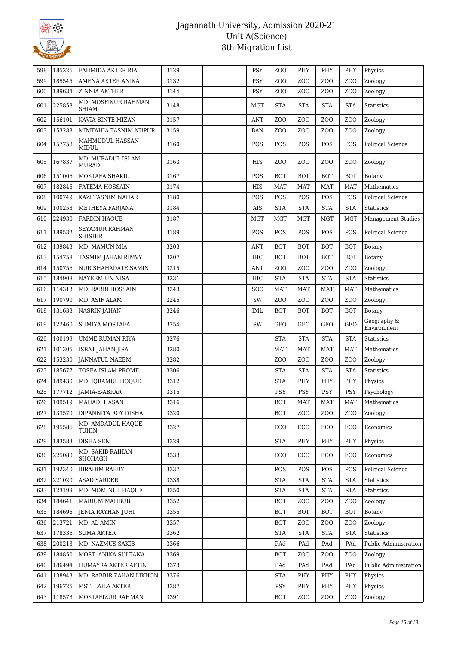

| 598 | 185226 | FAHMIDA AKTER RIA                   | 3129 |  | <b>PSY</b> | Z <sub>O</sub> O | PHY              | PHY              | PHY              | Physics                    |
|-----|--------|-------------------------------------|------|--|------------|------------------|------------------|------------------|------------------|----------------------------|
| 599 | 185545 | AMENA AKTER ANIKA                   | 3132 |  | PSY        | ZO <sub>O</sub>  | ZO <sub>O</sub>  | Z <sub>O</sub> O | ZO <sub>O</sub>  | Zoology                    |
| 600 | 189634 | <b>ZINNIA AKTHER</b>                | 3144 |  | <b>PSY</b> | Z <sub>O</sub> O | Z <sub>O</sub> O | Z <sub>O</sub> O | Z <sub>O</sub> O | Zoology                    |
| 601 | 225858 | MD. MOSFIKUR RAHMAN<br><b>SHIAM</b> | 3148 |  | <b>MGT</b> | <b>STA</b>       | <b>STA</b>       | <b>STA</b>       | <b>STA</b>       | Statistics                 |
| 602 | 156101 | KAVIA BINTE MIZAN                   | 3157 |  | <b>ANT</b> | ZO <sub>O</sub>  | ZO <sub>O</sub>  | Z <sub>O</sub> O | ZO <sub>O</sub>  | Zoology                    |
| 603 | 153288 | MIMTAHIA TASNIM NUPUR               | 3159 |  | <b>BAN</b> | Z <sub>0</sub>   | Z <sub>O</sub> O | Z <sub>O</sub> O | Z <sub>O</sub> O | Zoology                    |
| 604 | 157758 | MAHMUDUL HASSAN<br><b>MIDUL</b>     | 3160 |  | <b>POS</b> | POS              | POS              | POS              | POS              | <b>Political Science</b>   |
| 605 | 167837 | MD. MURADUL ISLAM<br><b>MURAD</b>   | 3163 |  | HIS        | Z <sub>0</sub>   | Z <sub>O</sub> O | Z <sub>O</sub> O | Z <sub>O</sub> O | Zoology                    |
| 606 | 151006 | MOSTAFA SHAKIL                      | 3167 |  | POS        | <b>BOT</b>       | <b>BOT</b>       | <b>BOT</b>       | <b>BOT</b>       | Botany                     |
| 607 | 182846 | <b>FATEMA HOSSAIN</b>               | 3174 |  | <b>HIS</b> | <b>MAT</b>       | <b>MAT</b>       | <b>MAT</b>       | <b>MAT</b>       | Mathematics                |
| 608 | 100749 | KAZI TASNIM NAHAR                   | 3180 |  | POS        | POS              | POS              | POS              | POS              | <b>Political Science</b>   |
| 609 | 100258 | METHEYA FARJANA                     | 3184 |  | AIS        | <b>STA</b>       | <b>STA</b>       | <b>STA</b>       | <b>STA</b>       | Statistics                 |
| 610 | 224930 | <b>FARDIN HAQUE</b>                 | 3187 |  | <b>MGT</b> | <b>MGT</b>       | <b>MGT</b>       | <b>MGT</b>       | <b>MGT</b>       | Management Studies         |
| 611 | 189532 | SEYAMUR RAHMAN<br><b>SHISHIR</b>    | 3189 |  | POS        | POS              | <b>POS</b>       | POS              | POS              | <b>Political Science</b>   |
| 612 | 139843 | MD. MAMUN MIA                       | 3203 |  | <b>ANT</b> | <b>BOT</b>       | <b>BOT</b>       | <b>BOT</b>       | <b>BOT</b>       | Botany                     |
| 613 | 154758 | TASMIM JAHAN RIMVY                  | 3207 |  | <b>IHC</b> | <b>BOT</b>       | <b>BOT</b>       | <b>BOT</b>       | <b>BOT</b>       | Botany                     |
| 614 | 150756 | <b>NUR SHAHADATE SAMIN</b>          | 3215 |  | <b>ANT</b> | ZO <sub>O</sub>  | Z <sub>O</sub> O | Z <sub>O</sub> O | Z <sub>O</sub> O | Zoology                    |
| 615 | 184908 | NAYEEM-UN NISA                      | 3231 |  | <b>IHC</b> | <b>STA</b>       | <b>STA</b>       | <b>STA</b>       | <b>STA</b>       | <b>Statistics</b>          |
| 616 | 114313 | MD. RABBI HOSSAIN                   | 3243 |  | SOC        | <b>MAT</b>       | <b>MAT</b>       | <b>MAT</b>       | <b>MAT</b>       | Mathematics                |
| 617 | 190790 | MD. ASIF ALAM                       | 3245 |  | SW         | Z <sub>O</sub> O | Z <sub>O</sub> O | Z <sub>0</sub>   | Z <sub>O</sub> O | Zoology                    |
| 618 | 131633 | NASRIN JAHAN                        | 3246 |  | IML        | <b>BOT</b>       | <b>BOT</b>       | <b>BOT</b>       | <b>BOT</b>       | Botany                     |
| 619 | 122460 | <b>SUMIYA MOSTAFA</b>               | 3254 |  | SW         | GEO              | <b>GEO</b>       | <b>GEO</b>       | <b>GEO</b>       | Geography &<br>Environment |
| 620 | 100199 | UMME RUMAN RIYA                     | 3276 |  |            | <b>STA</b>       | <b>STA</b>       | <b>STA</b>       | <b>STA</b>       | <b>Statistics</b>          |
| 621 | 101305 | ISRAT JAHAN JISA                    | 3280 |  |            | <b>MAT</b>       | <b>MAT</b>       | <b>MAT</b>       | <b>MAT</b>       | Mathematics                |
| 622 | 153230 | <b>JANNATUL NAEEM</b>               | 3282 |  |            | ZO <sub>O</sub>  | Z <sub>O</sub> O | Z <sub>O</sub> O | Z <sub>O</sub> O | Zoology                    |
| 623 | 185677 | TOSFA ISLAM PROME                   | 3306 |  |            | <b>STA</b>       | <b>STA</b>       | <b>STA</b>       | <b>STA</b>       | Statistics                 |
| 624 | 189430 | MD. IQRAMUL HOQUE                   | 3312 |  |            | <b>STA</b>       | PHY              | PHY              | PHY              | Physics                    |
| 625 | 177712 | JAMIA-E-ABRAR                       | 3315 |  |            | <b>PSY</b>       | <b>PSY</b>       | <b>PSY</b>       | <b>PSY</b>       | Psychology                 |
| 626 | 109519 | <b>MAHADI HASAN</b>                 | 3316 |  |            | <b>BOT</b>       | <b>MAT</b>       | MAT              | <b>MAT</b>       | Mathematics                |
| 627 | 133570 | DIPANNITA ROY DISHA                 | 3320 |  |            | <b>BOT</b>       | Z <sub>O</sub> O | Z <sub>O</sub> O | ZOO              | Zoology                    |
| 628 | 195586 | MD. AMDADUL HAQUE<br>TUHIN          | 3327 |  |            | ECO              | ECO              | ECO              | ECO              | Economics                  |
| 629 | 183583 | <b>DISHA SEN</b>                    | 3329 |  |            | <b>STA</b>       | PHY              | PHY              | PHY              | Physics                    |
| 630 | 225080 | MD. SAKIB RAIHAN<br>SHOHAGH         | 3333 |  |            | ECO              | ECO              | ECO              | ECO              | Economics                  |
| 631 | 192340 | <b>IBRAHIM RABBY</b>                | 3337 |  |            | POS              | <b>POS</b>       | <b>POS</b>       | <b>POS</b>       | Political Science          |
| 632 | 221020 | <b>ASAD SARDER</b>                  | 3338 |  |            | <b>STA</b>       | <b>STA</b>       | <b>STA</b>       | <b>STA</b>       | Statistics                 |
| 633 | 123199 | MD. MOMINUL HAQUE                   | 3350 |  |            | <b>STA</b>       | <b>STA</b>       | <b>STA</b>       | <b>STA</b>       | Statistics                 |
| 634 | 184641 | <b>MARIUM MAHBUB</b>                | 3352 |  |            | <b>BOT</b>       | Z <sub>O</sub> O | Z <sub>O</sub> O | Z <sub>O</sub> O | Zoology                    |
| 635 | 184696 | JENIA RAYHAN JUHI                   | 3355 |  |            | <b>BOT</b>       | <b>BOT</b>       | <b>BOT</b>       | <b>BOT</b>       | Botany                     |
| 636 | 213721 | MD. AL-AMIN                         | 3357 |  |            | <b>BOT</b>       | Z <sub>O</sub> O | Z <sub>O</sub> O | Z <sub>O</sub> O | Zoology                    |
| 637 | 178336 | <b>SUMA AKTER</b>                   | 3362 |  |            | <b>STA</b>       | <b>STA</b>       | <b>STA</b>       | <b>STA</b>       | Statistics                 |
| 638 | 200213 | MD. NAZMUS SAKIB                    | 3366 |  |            | PAd              | PAd              | PAd              | PAd              | Public Administration      |
| 639 | 184850 | MOST. ANIKA SULTANA                 | 3369 |  |            | <b>BOT</b>       | Z <sub>O</sub> O | Z <sub>0</sub>   | Z <sub>O</sub> O | Zoology                    |
| 640 | 186494 | HUMAYRA AKTER AFTIN                 | 3373 |  |            | PAd              | PAd              | PAd              | PAd              | Public Administration      |
| 641 | 138943 | MD. RABBIR ZAHAN LIKHON             | 3376 |  |            | <b>STA</b>       | PHY              | PHY              | PHY              | Physics                    |
| 642 | 196725 | MST. LAILA AKTER                    | 3387 |  |            | PSY              | PHY              | PHY              | PHY              | Physics                    |
| 643 | 118578 | MOSTAFIZUR RAHMAN                   | 3391 |  |            | <b>BOT</b>       | Z <sub>O</sub> O | Z <sub>O</sub> O | Z <sub>0</sub>   | Zoology                    |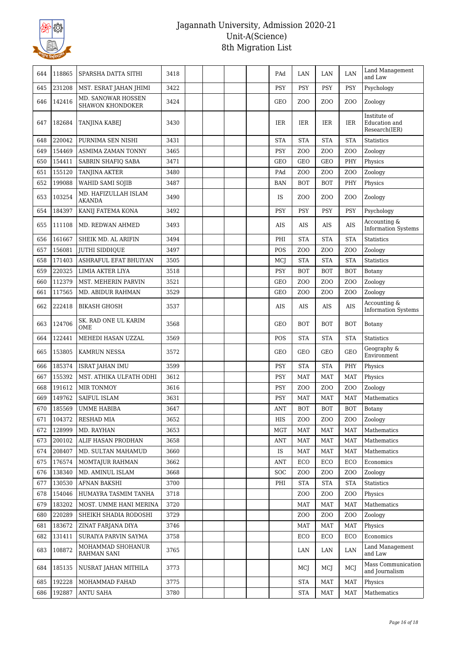

| 644 | 118865           | SPARSHA DATTA SITHI                           | 3418 |  | PAd            | LAN              | LAN              | LAN              | Land Management<br>and Law                     |
|-----|------------------|-----------------------------------------------|------|--|----------------|------------------|------------------|------------------|------------------------------------------------|
| 645 | 231208           | MST. ESRAT JAHAN JHIMI                        | 3422 |  | <b>PSY</b>     | <b>PSY</b>       | <b>PSY</b>       | <b>PSY</b>       | Psychology                                     |
| 646 | 142416           | MD. SANOWAR HOSSEN<br><b>SHAWON KHONDOKER</b> | 3424 |  | <b>GEO</b>     | Z <sub>O</sub> O | Z <sub>O</sub> O | Z <sub>O</sub> O | Zoology                                        |
| 647 | 182684           | TANJINA KABEJ                                 | 3430 |  | <b>IER</b>     | <b>IER</b>       | IER              | <b>IER</b>       | Institute of<br>Education and<br>Research(IER) |
| 648 | 220042           | PURNIMA SEN NISHI                             | 3431 |  | <b>STA</b>     | <b>STA</b>       | <b>STA</b>       | <b>STA</b>       | Statistics                                     |
| 649 | 154469           | <b>ASMIMA ZAMAN TONNY</b>                     | 3465 |  | <b>PSY</b>     | Z <sub>O</sub> O | Z <sub>O</sub> O | Z <sub>O</sub> O | Zoology                                        |
| 650 | 154411           | SABRIN SHAFIQ SABA                            | 3471 |  | <b>GEO</b>     | <b>GEO</b>       | <b>GEO</b>       | PHY              | Physics                                        |
| 651 | 155120           | <b>TANJINA AKTER</b>                          | 3480 |  | PAd            | Z <sub>O</sub> O | Z <sub>O</sub> O | Z <sub>O</sub> O | Zoology                                        |
| 652 | 199088           | WAHID SAMI SOJIB                              | 3487 |  | <b>BAN</b>     | <b>BOT</b>       | <b>BOT</b>       | PHY              | Physics                                        |
| 653 | 103254           | MD. HAFIZULLAH ISLAM<br><b>AKANDA</b>         | 3490 |  | <b>IS</b>      | Z <sub>O</sub> O | Z <sub>O</sub> O | Z <sub>O</sub> O | Zoology                                        |
| 654 | 184397           | KANIJ FATEMA KONA                             | 3492 |  | PSY            | <b>PSY</b>       | <b>PSY</b>       | PSY              | Psychology                                     |
| 655 | 111108           | MD. REDWAN AHMED                              | 3493 |  | AIS            | AIS              | AIS              | AIS              | Accounting &<br><b>Information Systems</b>     |
| 656 | 161667           | SHEIK MD. AL ARIFIN                           | 3494 |  | PHI            | <b>STA</b>       | <b>STA</b>       | <b>STA</b>       | <b>Statistics</b>                              |
| 657 | 156081           | JUTHI SIDDIQUE                                | 3497 |  | POS            | Z <sub>O</sub> O | ZO <sub>O</sub>  | Z <sub>O</sub> O | Zoology                                        |
| 658 | 171403           | ASHRAFUL EFAT BHUIYAN                         | 3505 |  | MCJ            | <b>STA</b>       | <b>STA</b>       | <b>STA</b>       | <b>Statistics</b>                              |
| 659 | 220325           | LIMIA AKTER LIYA                              | 3518 |  | PSY            | <b>BOT</b>       | <b>BOT</b>       | <b>BOT</b>       | Botany                                         |
| 660 | 112379           | MST. MEHERIN PARVIN                           | 3521 |  | <b>GEO</b>     | Z <sub>O</sub> O | Z <sub>O</sub> O | Z <sub>O</sub> O | Zoology                                        |
| 661 | 117565           | MD. ABIDUR RAHMAN                             | 3529 |  | <b>GEO</b>     | Z <sub>O</sub> O | Z <sub>O</sub> O | Z <sub>O</sub> O | Zoology                                        |
| 662 | 222418           | <b>BIKASH GHOSH</b>                           | 3537 |  | AIS            | AIS              | AIS              | <b>AIS</b>       | Accounting &<br><b>Information Systems</b>     |
| 663 | 124706           | SK. RAD ONE UL KARIM<br><b>OME</b>            | 3568 |  | <b>GEO</b>     | <b>BOT</b>       | <b>BOT</b>       | <b>BOT</b>       | Botany                                         |
|     |                  |                                               |      |  |                |                  |                  |                  |                                                |
| 664 | 122441           | MEHEDI HASAN UZZAL                            | 3569 |  | POS            | <b>STA</b>       | <b>STA</b>       | <b>STA</b>       | Statistics                                     |
| 665 | 153805           | <b>KAMRUN NESSA</b>                           | 3572 |  | <b>GEO</b>     | <b>GEO</b>       | <b>GEO</b>       | <b>GEO</b>       | Geography &<br>Environment                     |
| 666 | 185374           | <b>ISRAT JAHAN IMU</b>                        | 3599 |  | <b>PSY</b>     | <b>STA</b>       | <b>STA</b>       | PHY              | Physics                                        |
| 667 | 155392           | MST. ATHIKA ULFATH ODHI                       | 3612 |  | PSY            | <b>MAT</b>       | <b>MAT</b>       | <b>MAT</b>       | Physics                                        |
| 668 | 191612           | MIR TONMOY                                    | 3616 |  | PSY            | Z <sub>O</sub> O | Z <sub>O</sub> O | Z <sub>O</sub> O | Zoology                                        |
| 669 | 149762           | <b>SAIFUL ISLAM</b>                           | 3631 |  | <b>PSY</b>     | <b>MAT</b>       | <b>MAT</b>       | <b>MAT</b>       | Mathematics                                    |
| 670 |                  | 185569 UMME HABIBA                            | 3647 |  | $\mathbf{ANT}$ | <b>BOT</b>       | <b>BOT</b>       | <b>BOT</b>       | Botany                                         |
| 671 | 104372           | RESHAD MIA                                    | 3652 |  | HIS            | ZOO              | Z <sub>O</sub> O | ZOO              | Zoology                                        |
| 672 | 128999           | MD. RAYHAN                                    | 3653 |  | MGT            | <b>MAT</b>       | <b>MAT</b>       | MAT              | Mathematics                                    |
| 673 | 200102           | ALIF HASAN PRODHAN                            | 3658 |  | <b>ANT</b>     | <b>MAT</b>       | <b>MAT</b>       | <b>MAT</b>       | Mathematics                                    |
| 674 | 208407           | MD. SULTAN MAHAMUD                            | 3660 |  | IS             | <b>MAT</b>       | <b>MAT</b>       | MAT              | Mathematics                                    |
| 675 | 176574           | MOMTAJUR RAHMAN                               | 3662 |  | <b>ANT</b>     | ECO              | ECO              | ECO              | Economics                                      |
| 676 | 138340           | MD. AMINUL ISLAM                              | 3668 |  | <b>SOC</b>     | Z <sub>O</sub> O | Z <sub>O</sub> O | Z <sub>O</sub> O | Zoology                                        |
| 677 | 130530           | <b>AFNAN BAKSHI</b>                           | 3700 |  | PHI            | <b>STA</b>       | <b>STA</b>       | <b>STA</b>       | <b>Statistics</b>                              |
| 678 | 154046           | HUMAYRA TASMIM TANHA                          | 3718 |  |                | Z <sub>O</sub> O | Z <sub>O</sub> O | ZOO              | Physics                                        |
| 679 | 183202           | MOST. UMME HANI MERINA                        | 3720 |  |                | MAT              | <b>MAT</b>       | MAT              | Mathematics                                    |
| 680 | 220289           | SHEIKH SHADIA RODOSHI                         | 3729 |  |                | Z <sub>O</sub> O | Z <sub>O</sub> O | Z <sub>O</sub> O | Zoology                                        |
| 681 | 183672           | ZINAT FARJANA DIYA                            | 3746 |  |                | <b>MAT</b>       | <b>MAT</b>       | MAT              | Physics                                        |
| 682 | 131411           | SURAIYA PARVIN SAYMA                          | 3758 |  |                | ECO              | ECO              | ECO              | Economics                                      |
| 683 | 108872           | MOHAMMAD SHOHANUR<br><b>RAHMAN SANI</b>       | 3765 |  |                | LAN              | LAN              | LAN              | Land Management<br>and Law                     |
| 684 | 185135           | NUSRAT JAHAN MITHILA                          | 3773 |  |                | MCJ              | MCJ              | MCI              | Mass Communication<br>and Journalism           |
| 685 | 192228<br>192887 | MOHAMMAD FAHAD                                | 3775 |  |                | <b>STA</b>       | <b>MAT</b>       | <b>MAT</b>       | Physics                                        |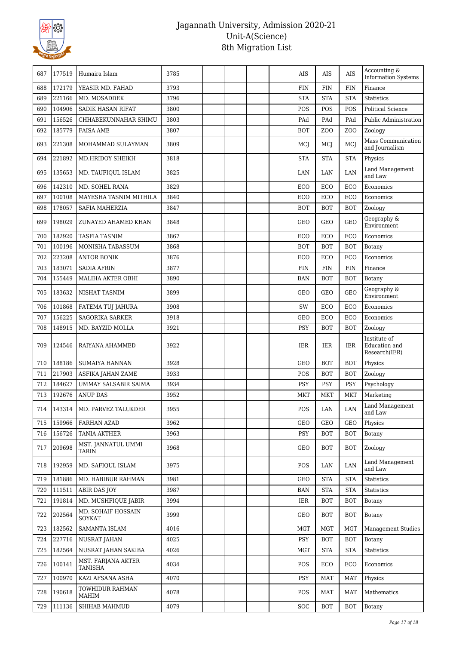

| 687 | 177519 | Humaira Islam                 | 3785 |  |  | AIS        | AIS              | AIS             | Accounting &<br><b>Information Systems</b>     |
|-----|--------|-------------------------------|------|--|--|------------|------------------|-----------------|------------------------------------------------|
| 688 | 172179 | YEASIR MD. FAHAD              | 3793 |  |  | <b>FIN</b> | <b>FIN</b>       | <b>FIN</b>      | Finance                                        |
| 689 | 221166 | MD. MOSADDEK                  | 3796 |  |  | <b>STA</b> | <b>STA</b>       | <b>STA</b>      | <b>Statistics</b>                              |
| 690 | 104906 | <b>SADIK HASAN RIFAT</b>      | 3800 |  |  | POS        | POS              | POS             | <b>Political Science</b>                       |
| 691 | 156526 | CHHABEKUNNAHAR SHIMU          | 3803 |  |  | PAd        | PAd              | PAd             | Public Administration                          |
| 692 | 185779 | <b>FAISA AME</b>              | 3807 |  |  | <b>BOT</b> | Z <sub>O</sub> O | ZO <sub>O</sub> | Zoology                                        |
| 693 | 221308 | MOHAMMAD SULAYMAN             | 3809 |  |  | MCJ        | MCJ              | MCJ             | Mass Communication<br>and Journalism           |
| 694 | 221892 | MD.HRIDOY SHEIKH              | 3818 |  |  | <b>STA</b> | <b>STA</b>       | <b>STA</b>      | Physics                                        |
| 695 | 135653 | MD. TAUFIQUL ISLAM            | 3825 |  |  | LAN        | LAN              | LAN             | Land Management<br>and Law                     |
| 696 | 142310 | MD. SOHEL RANA                | 3829 |  |  | ECO        | ECO              | ECO             | Economics                                      |
| 697 | 100108 | MAYESHA TASNIM MITHILA        | 3840 |  |  | ECO        | ECO              | ECO             | Economics                                      |
| 698 | 178057 | SAFIA MAHERZIA                | 3847 |  |  | <b>BOT</b> | <b>BOT</b>       | <b>BOT</b>      | Zoology                                        |
| 699 | 198029 | ZUNAYED AHAMED KHAN           | 3848 |  |  | <b>GEO</b> | <b>GEO</b>       | <b>GEO</b>      | Geography &<br>Environment                     |
| 700 | 182920 | <b>TASFIA TASNIM</b>          | 3867 |  |  | ECO        | ECO              | ECO             | Economics                                      |
| 701 | 100196 | MONISHA TABASSUM              | 3868 |  |  | <b>BOT</b> | <b>BOT</b>       | <b>BOT</b>      | Botany                                         |
| 702 | 223208 | <b>ANTOR BONIK</b>            | 3876 |  |  | ECO        | ECO              | ECO             | Economics                                      |
| 703 | 183071 | <b>SADIA AFRIN</b>            | 3877 |  |  | <b>FIN</b> | <b>FIN</b>       | <b>FIN</b>      | Finance                                        |
| 704 | 155449 | MALIHA AKTER OBHI             | 3890 |  |  | <b>BAN</b> | <b>BOT</b>       | <b>BOT</b>      | Botany                                         |
| 705 | 183632 | NISHAT TASNIM                 | 3899 |  |  | GEO        | GEO              | <b>GEO</b>      | Geography &<br>Environment                     |
| 706 | 101868 | FATEMA TUJ JAHURA             | 3908 |  |  | SW         | ECO              | ECO             | Economics                                      |
| 707 | 156225 | <b>SAGORIKA SARKER</b>        | 3918 |  |  | <b>GEO</b> | ECO              | ECO             | Economics                                      |
| 708 | 148915 | MD. BAYZID MOLLA              | 3921 |  |  | <b>PSY</b> | <b>BOT</b>       | <b>BOT</b>      | Zoology                                        |
| 709 | 124546 | RAIYANA AHAMMED               | 3922 |  |  | IER        | IER              | IER             | Institute of<br>Education and<br>Research(IER) |
| 710 | 188186 | <b>SUMAIYA HANNAN</b>         | 3928 |  |  | <b>GEO</b> | <b>BOT</b>       | <b>BOT</b>      | Physics                                        |
| 711 | 217903 | ASFIKA JAHAN ZAME             | 3933 |  |  | POS        | <b>BOT</b>       | <b>BOT</b>      | Zoology                                        |
| 712 | 184627 | UMMAY SALSABIR SAIMA          | 3934 |  |  | <b>PSY</b> | PSY              | PSY             | Psychology                                     |
| 713 | 192676 | <b>ANUP DAS</b>               | 3952 |  |  | MKT        | <b>MKT</b>       | MKT             | Marketing                                      |
| 714 | 143314 | MD. PARVEZ TALUKDER           | 3955 |  |  | POS        | $\rm LAN$        | $\rm LAN$       | Land Management<br>and Law                     |
| 715 | 159966 | FARHAN AZAD                   | 3962 |  |  | GEO        | <b>GEO</b>       | <b>GEO</b>      | Physics                                        |
| 716 | 156726 | <b>TANIA AKTHER</b>           | 3963 |  |  | <b>PSY</b> | BOT              | <b>BOT</b>      | Botany                                         |
| 717 | 209698 | MST. JANNATUL UMMI<br>TARIN   | 3968 |  |  | GEO        | BOT              | BOT             | Zoology                                        |
| 718 | 192959 | MD. SAFIOUL ISLAM             | 3975 |  |  | <b>POS</b> | LAN              | LAN             | Land Management<br>and Law                     |
| 719 | 181886 | MD. HABIBUR RAHMAN            | 3981 |  |  | GEO        | <b>STA</b>       | <b>STA</b>      | Statistics                                     |
| 720 | 111511 | ABIR DAS JOY                  | 3987 |  |  | <b>BAN</b> | <b>STA</b>       | <b>STA</b>      | <b>Statistics</b>                              |
| 721 | 191814 | MD. MUSHFIQUE JABIR           | 3994 |  |  | IER        | <b>BOT</b>       | <b>BOT</b>      | Botany                                         |
| 722 | 202564 | MD. SOHAIF HOSSAIN<br>SOYKAT  | 3999 |  |  | GEO        | <b>BOT</b>       | <b>BOT</b>      | Botany                                         |
| 723 | 182562 | SAMANTA ISLAM                 | 4016 |  |  | <b>MGT</b> | MGT              | MGT             | <b>Management Studies</b>                      |
| 724 | 227716 | <b>NUSRAT JAHAN</b>           | 4025 |  |  | <b>PSY</b> | <b>BOT</b>       | <b>BOT</b>      | Botany                                         |
| 725 | 182564 | NUSRAT JAHAN SAKIBA           | 4026 |  |  | MGT        | <b>STA</b>       | <b>STA</b>      | Statistics                                     |
| 726 | 100141 | MST. FARJANA AKTER<br>TANISHA | 4034 |  |  | <b>POS</b> | ECO              | ECO             | Economics                                      |
| 727 | 100970 | KAZI AFSANA ASHA              | 4070 |  |  | <b>PSY</b> | MAT              | <b>MAT</b>      | Physics                                        |
| 728 | 190618 | TOWHIDUR RAHMAN<br>MAHIM      | 4078 |  |  | POS        | MAT              | MAT             | Mathematics                                    |
| 729 | 111136 | SHIHAB MAHMUD                 | 4079 |  |  | <b>SOC</b> | <b>BOT</b>       | <b>BOT</b>      | Botany                                         |